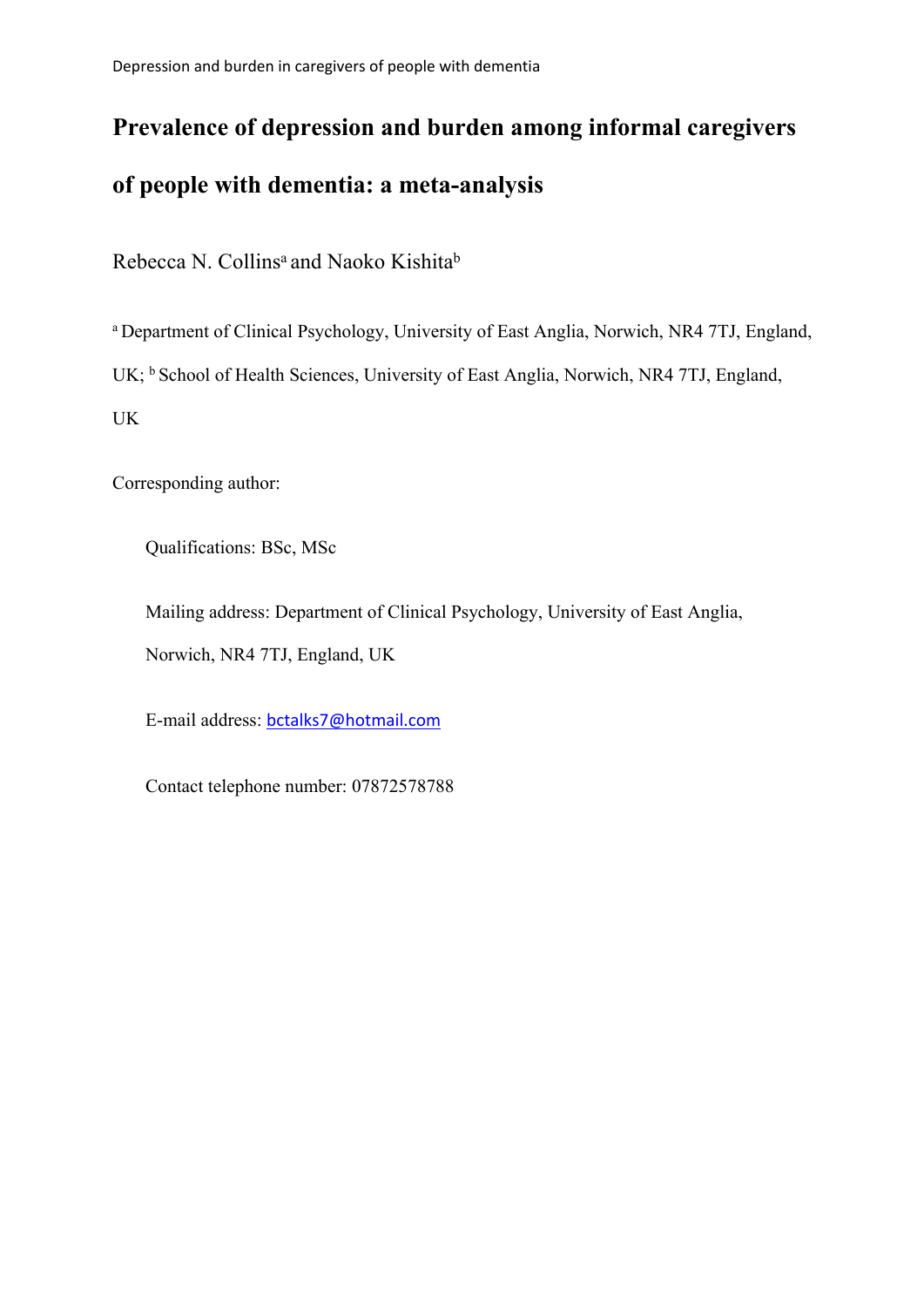Depression and burden in caregivers of people with dementia

# **Prevalence of depression and burden among informal caregivers of people with dementia: a meta-analysis**

Rebecca N. Collins<sup>a</sup> and Naoko Kishita<sup>b</sup>

a Department of Clinical Psychology, University of East Anglia, Norwich, NR4 7TJ, England,

UK; <sup>b</sup> School of Health Sciences, University of East Anglia, Norwich, NR4 7TJ, England,

UK

Corresponding author:

Qualifications: BSc, MSc

Mailing address: Department of Clinical Psychology, University of East Anglia, Norwich, NR4 7TJ, England, UK

E-mail address: bctalks7@hotmail.com

Contact telephone number: 07872578788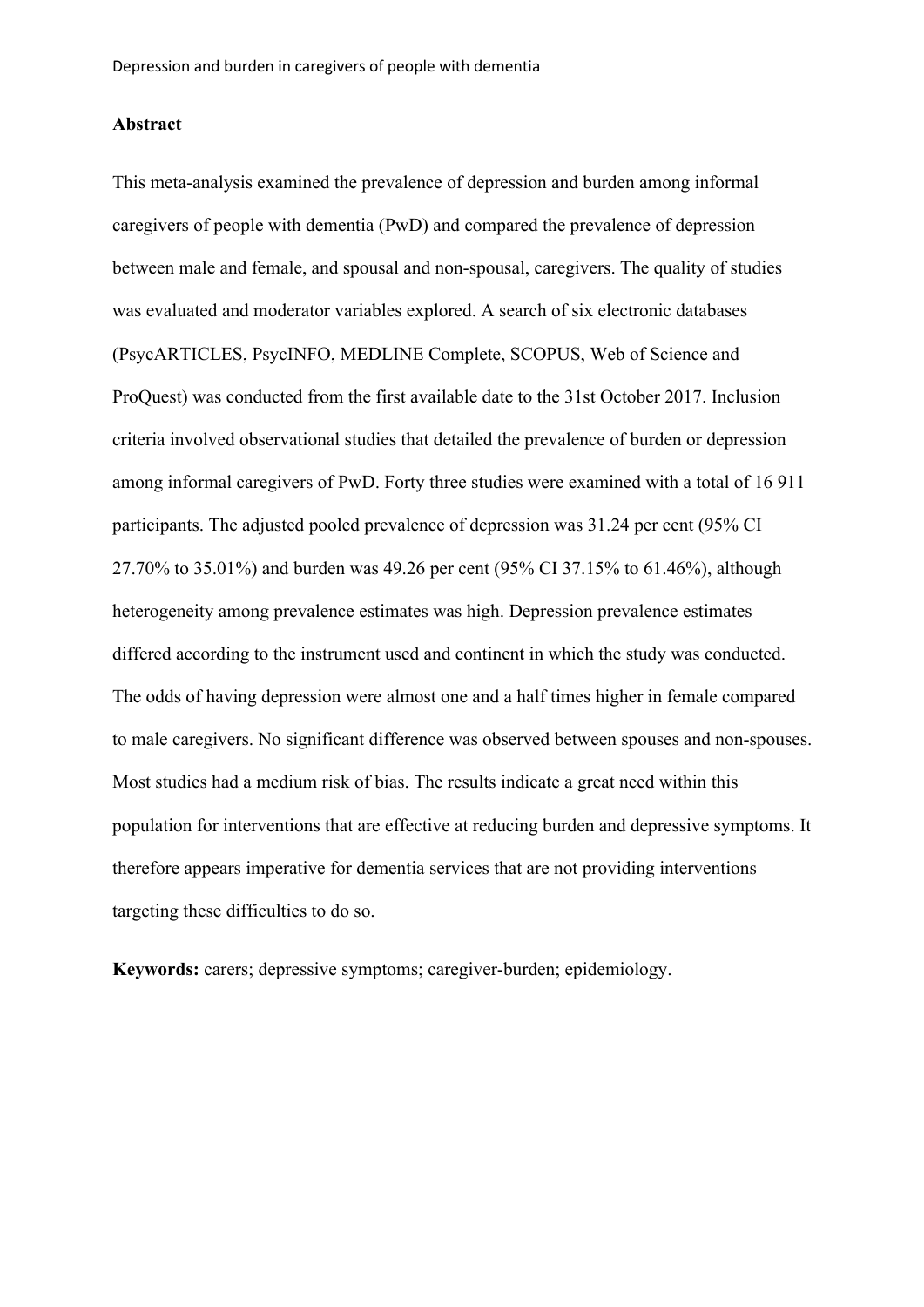## **Abstract**

This meta-analysis examined the prevalence of depression and burden among informal caregivers of people with dementia (PwD) and compared the prevalence of depression between male and female, and spousal and non-spousal, caregivers. The quality of studies was evaluated and moderator variables explored. A search of six electronic databases (PsycARTICLES, PsycINFO, MEDLINE Complete, SCOPUS, Web of Science and ProQuest) was conducted from the first available date to the 31st October 2017. Inclusion criteria involved observational studies that detailed the prevalence of burden or depression among informal caregivers of PwD. Forty three studies were examined with a total of 16 911 participants. The adjusted pooled prevalence of depression was 31.24 per cent (95% CI 27.70% to 35.01%) and burden was 49.26 per cent (95% CI 37.15% to 61.46%), although heterogeneity among prevalence estimates was high. Depression prevalence estimates differed according to the instrument used and continent in which the study was conducted. The odds of having depression were almost one and a half times higher in female compared to male caregivers. No significant difference was observed between spouses and non-spouses. Most studies had a medium risk of bias. The results indicate a great need within this population for interventions that are effective at reducing burden and depressive symptoms. It therefore appears imperative for dementia services that are not providing interventions targeting these difficulties to do so.

**Keywords:** carers; depressive symptoms; caregiver-burden; epidemiology.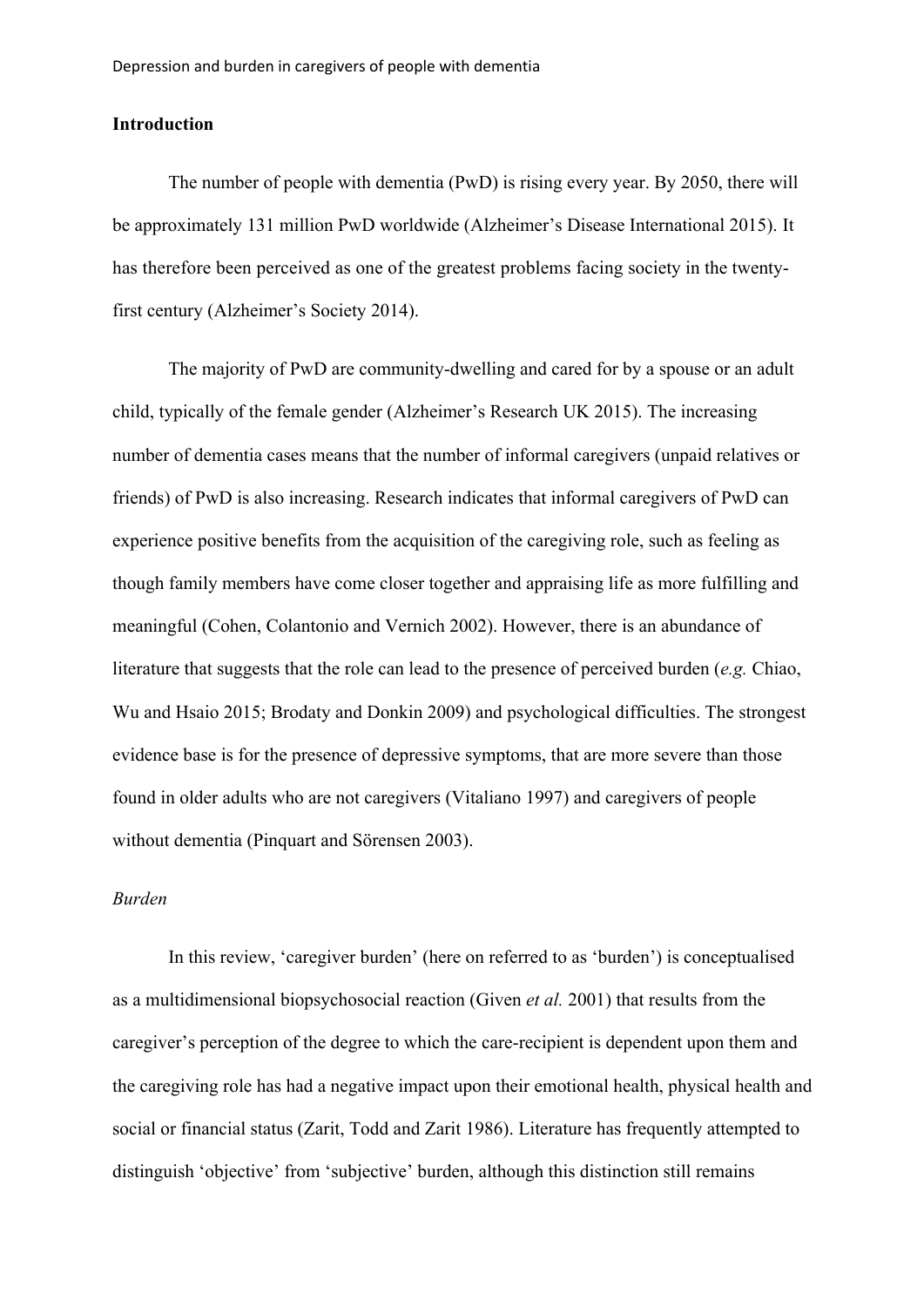## **Introduction**

The number of people with dementia (PwD) is rising every year. By 2050, there will be approximately 131 million PwD worldwide (Alzheimer's Disease International 2015). It has therefore been perceived as one of the greatest problems facing society in the twentyfirst century (Alzheimer's Society 2014).

The majority of PwD are community-dwelling and cared for by a spouse or an adult child, typically of the female gender (Alzheimer's Research UK 2015). The increasing number of dementia cases means that the number of informal caregivers (unpaid relatives or friends) of PwD is also increasing. Research indicates that informal caregivers of PwD can experience positive benefits from the acquisition of the caregiving role, such as feeling as though family members have come closer together and appraising life as more fulfilling and meaningful (Cohen, Colantonio and Vernich 2002). However, there is an abundance of literature that suggests that the role can lead to the presence of perceived burden (*e.g.* Chiao, Wu and Hsaio 2015; Brodaty and Donkin 2009) and psychological difficulties. The strongest evidence base is for the presence of depressive symptoms, that are more severe than those found in older adults who are not caregivers (Vitaliano 1997) and caregivers of people without dementia (Pinquart and Sörensen 2003).

# *Burden*

In this review, 'caregiver burden' (here on referred to as 'burden') is conceptualised as a multidimensional biopsychosocial reaction (Given *et al.* 2001) that results from the caregiver's perception of the degree to which the care-recipient is dependent upon them and the caregiving role has had a negative impact upon their emotional health, physical health and social or financial status (Zarit, Todd and Zarit 1986). Literature has frequently attempted to distinguish 'objective' from 'subjective' burden, although this distinction still remains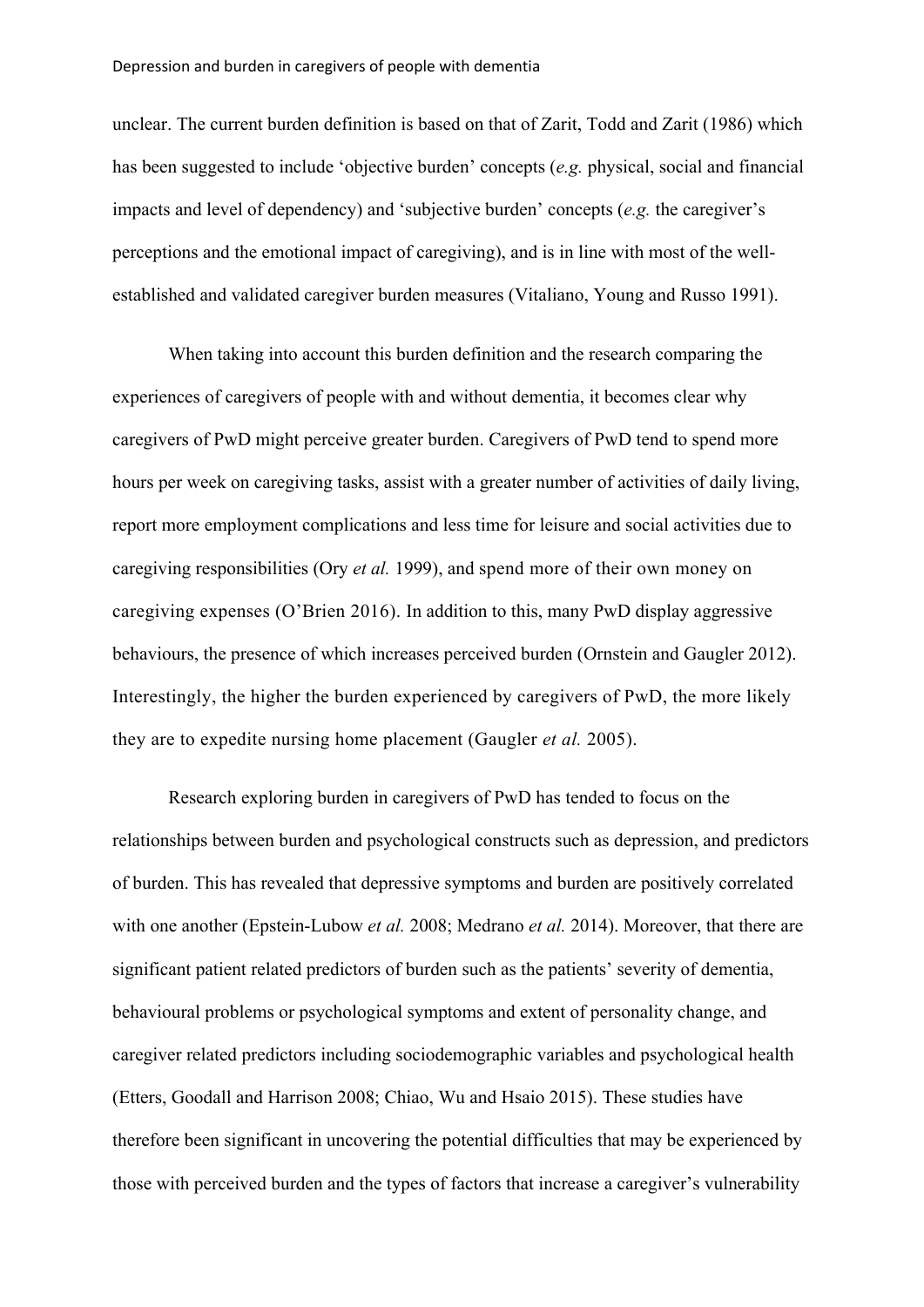unclear. The current burden definition is based on that of Zarit, Todd and Zarit (1986) which has been suggested to include 'objective burden' concepts (*e.g.* physical, social and financial impacts and level of dependency) and 'subjective burden' concepts (*e.g.* the caregiver's perceptions and the emotional impact of caregiving), and is in line with most of the wellestablished and validated caregiver burden measures (Vitaliano, Young and Russo 1991).

When taking into account this burden definition and the research comparing the experiences of caregivers of people with and without dementia, it becomes clear why caregivers of PwD might perceive greater burden. Caregivers of PwD tend to spend more hours per week on caregiving tasks, assist with a greater number of activities of daily living, report more employment complications and less time for leisure and social activities due to caregiving responsibilities (Ory *et al.* 1999), and spend more of their own money on caregiving expenses (O'Brien 2016). In addition to this, many PwD display aggressive behaviours, the presence of which increases perceived burden (Ornstein and Gaugler 2012). Interestingly, the higher the burden experienced by caregivers of PwD, the more likely they are to expedite nursing home placement (Gaugler *et al.* 2005).

Research exploring burden in caregivers of PwD has tended to focus on the relationships between burden and psychological constructs such as depression, and predictors of burden. This has revealed that depressive symptoms and burden are positively correlated with one another (Epstein-Lubow *et al.* 2008; Medrano *et al.* 2014). Moreover, that there are significant patient related predictors of burden such as the patients' severity of dementia, behavioural problems or psychological symptoms and extent of personality change, and caregiver related predictors including sociodemographic variables and psychological health (Etters, Goodall and Harrison 2008; Chiao, Wu and Hsaio 2015). These studies have therefore been significant in uncovering the potential difficulties that may be experienced by those with perceived burden and the types of factors that increase a caregiver's vulnerability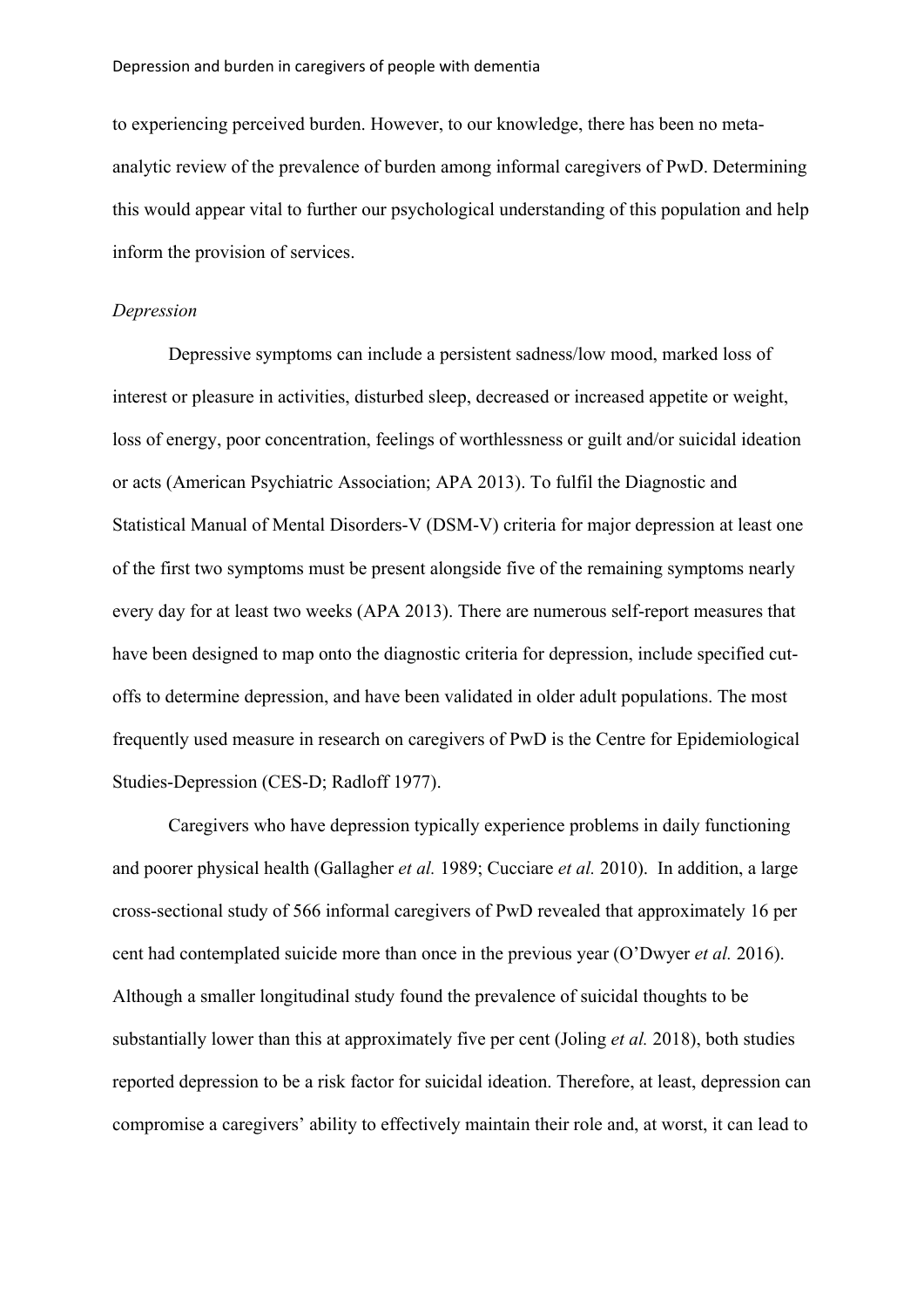to experiencing perceived burden. However, to our knowledge, there has been no metaanalytic review of the prevalence of burden among informal caregivers of PwD. Determining this would appear vital to further our psychological understanding of this population and help inform the provision of services.

### *Depression*

Depressive symptoms can include a persistent sadness/low mood, marked loss of interest or pleasure in activities, disturbed sleep, decreased or increased appetite or weight, loss of energy, poor concentration, feelings of worthlessness or guilt and/or suicidal ideation or acts (American Psychiatric Association; APA 2013). To fulfil the Diagnostic and Statistical Manual of Mental Disorders-V (DSM-V) criteria for major depression at least one of the first two symptoms must be present alongside five of the remaining symptoms nearly every day for at least two weeks (APA 2013). There are numerous self-report measures that have been designed to map onto the diagnostic criteria for depression, include specified cutoffs to determine depression, and have been validated in older adult populations. The most frequently used measure in research on caregivers of PwD is the Centre for Epidemiological Studies-Depression (CES-D; Radloff 1977).

Caregivers who have depression typically experience problems in daily functioning and poorer physical health (Gallagher *et al.* 1989; Cucciare *et al.* 2010). In addition, a large cross-sectional study of 566 informal caregivers of PwD revealed that approximately 16 per cent had contemplated suicide more than once in the previous year (O'Dwyer *et al.* 2016). Although a smaller longitudinal study found the prevalence of suicidal thoughts to be substantially lower than this at approximately five per cent (Joling *et al.* 2018), both studies reported depression to be a risk factor for suicidal ideation. Therefore, at least, depression can compromise a caregivers' ability to effectively maintain their role and, at worst, it can lead to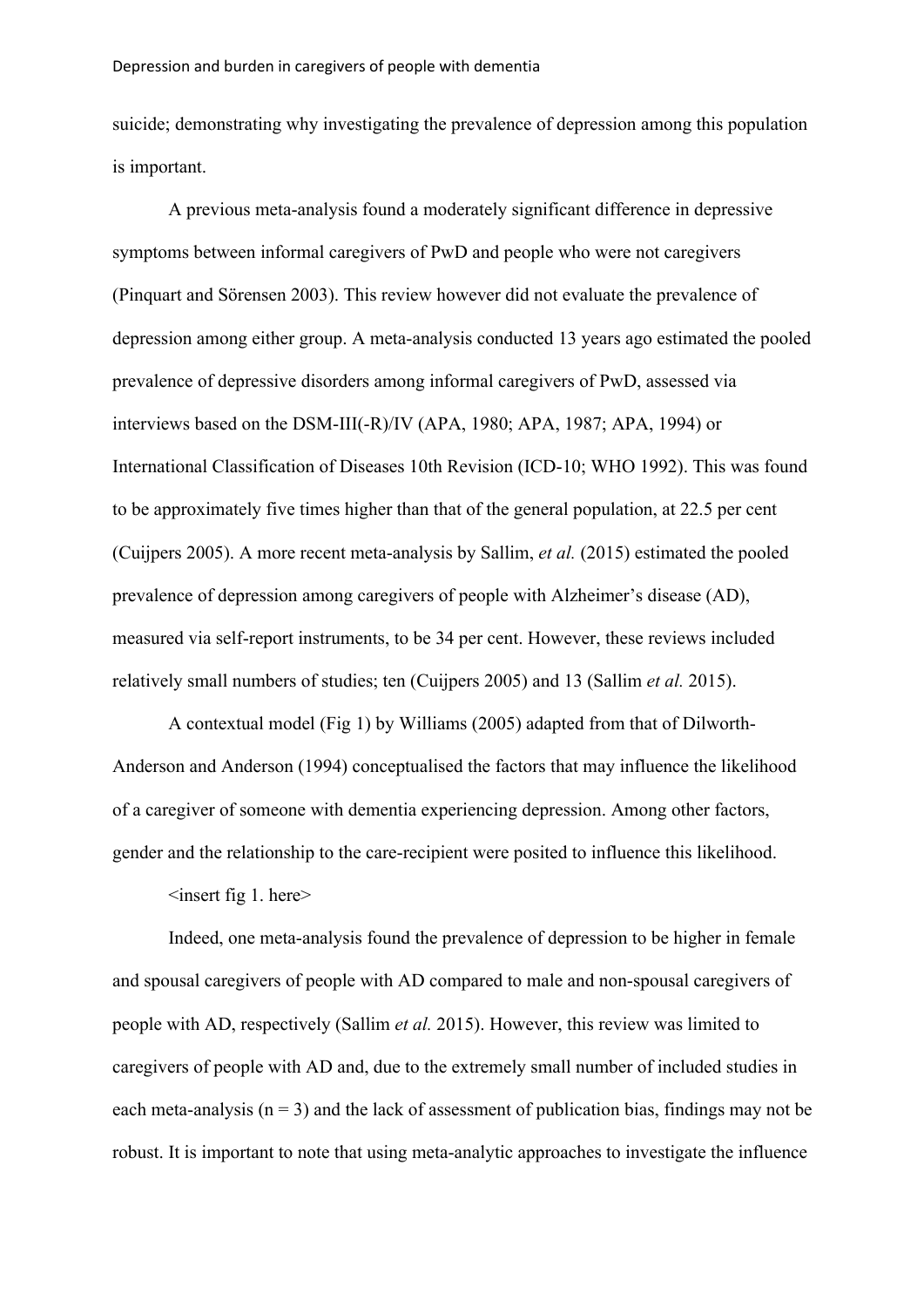suicide; demonstrating why investigating the prevalence of depression among this population is important.

A previous meta-analysis found a moderately significant difference in depressive symptoms between informal caregivers of PwD and people who were not caregivers (Pinquart and Sörensen 2003). This review however did not evaluate the prevalence of depression among either group. A meta-analysis conducted 13 years ago estimated the pooled prevalence of depressive disorders among informal caregivers of PwD, assessed via interviews based on the DSM-III(-R)/IV (APA, 1980; APA, 1987; APA, 1994) or International Classification of Diseases 10th Revision (ICD-10; WHO 1992). This was found to be approximately five times higher than that of the general population, at 22.5 per cent (Cuijpers 2005). A more recent meta-analysis by Sallim, *et al.* (2015) estimated the pooled prevalence of depression among caregivers of people with Alzheimer's disease (AD), measured via self-report instruments, to be 34 per cent. However, these reviews included relatively small numbers of studies; ten (Cuijpers 2005) and 13 (Sallim *et al.* 2015).

A contextual model (Fig 1) by Williams (2005) adapted from that of Dilworth-Anderson and Anderson (1994) conceptualised the factors that may influence the likelihood of a caregiver of someone with dementia experiencing depression. Among other factors, gender and the relationship to the care-recipient were posited to influence this likelihood.

 $\langle$ insert fig 1. here $>$ 

Indeed, one meta-analysis found the prevalence of depression to be higher in female and spousal caregivers of people with AD compared to male and non-spousal caregivers of people with AD, respectively (Sallim *et al.* 2015). However, this review was limited to caregivers of people with AD and, due to the extremely small number of included studies in each meta-analysis ( $n = 3$ ) and the lack of assessment of publication bias, findings may not be robust. It is important to note that using meta-analytic approaches to investigate the influence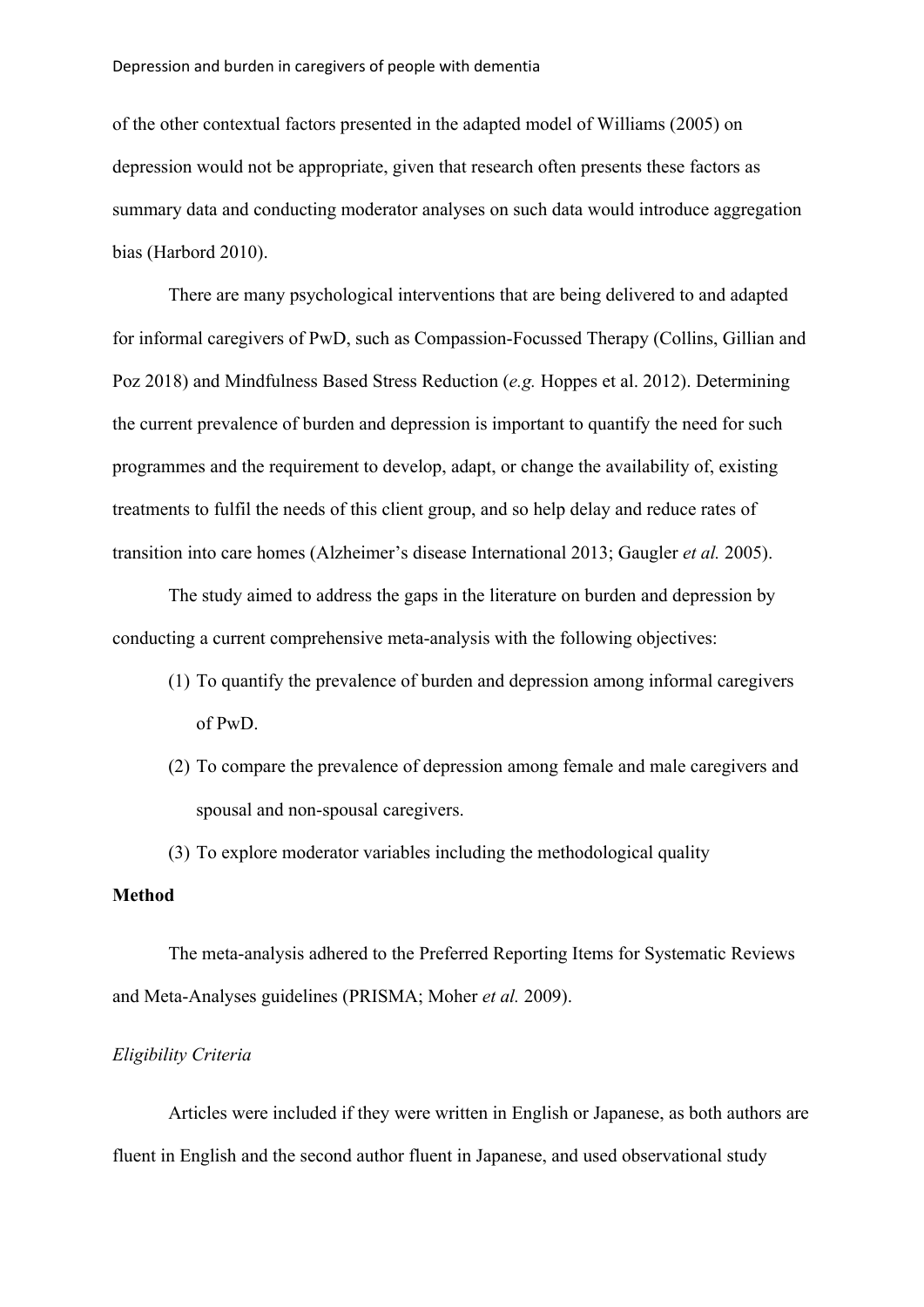#### Depression and burden in caregivers of people with dementia

of the other contextual factors presented in the adapted model of Williams (2005) on depression would not be appropriate, given that research often presents these factors as summary data and conducting moderator analyses on such data would introduce aggregation bias (Harbord 2010).

There are many psychological interventions that are being delivered to and adapted for informal caregivers of PwD, such as Compassion-Focussed Therapy (Collins, Gillian and Poz 2018) and Mindfulness Based Stress Reduction (*e.g.* Hoppes et al. 2012). Determining the current prevalence of burden and depression is important to quantify the need for such programmes and the requirement to develop, adapt, or change the availability of, existing treatments to fulfil the needs of this client group, and so help delay and reduce rates of transition into care homes (Alzheimer's disease International 2013; Gaugler *et al.* 2005).

The study aimed to address the gaps in the literature on burden and depression by conducting a current comprehensive meta-analysis with the following objectives:

- (1) To quantify the prevalence of burden and depression among informal caregivers of PwD.
- (2) To compare the prevalence of depression among female and male caregivers and spousal and non-spousal caregivers.
- (3) To explore moderator variables including the methodological quality

# **Method**

The meta-analysis adhered to the Preferred Reporting Items for Systematic Reviews and Meta-Analyses guidelines (PRISMA; Moher *et al.* 2009).

## *Eligibility Criteria*

Articles were included if they were written in English or Japanese, as both authors are fluent in English and the second author fluent in Japanese, and used observational study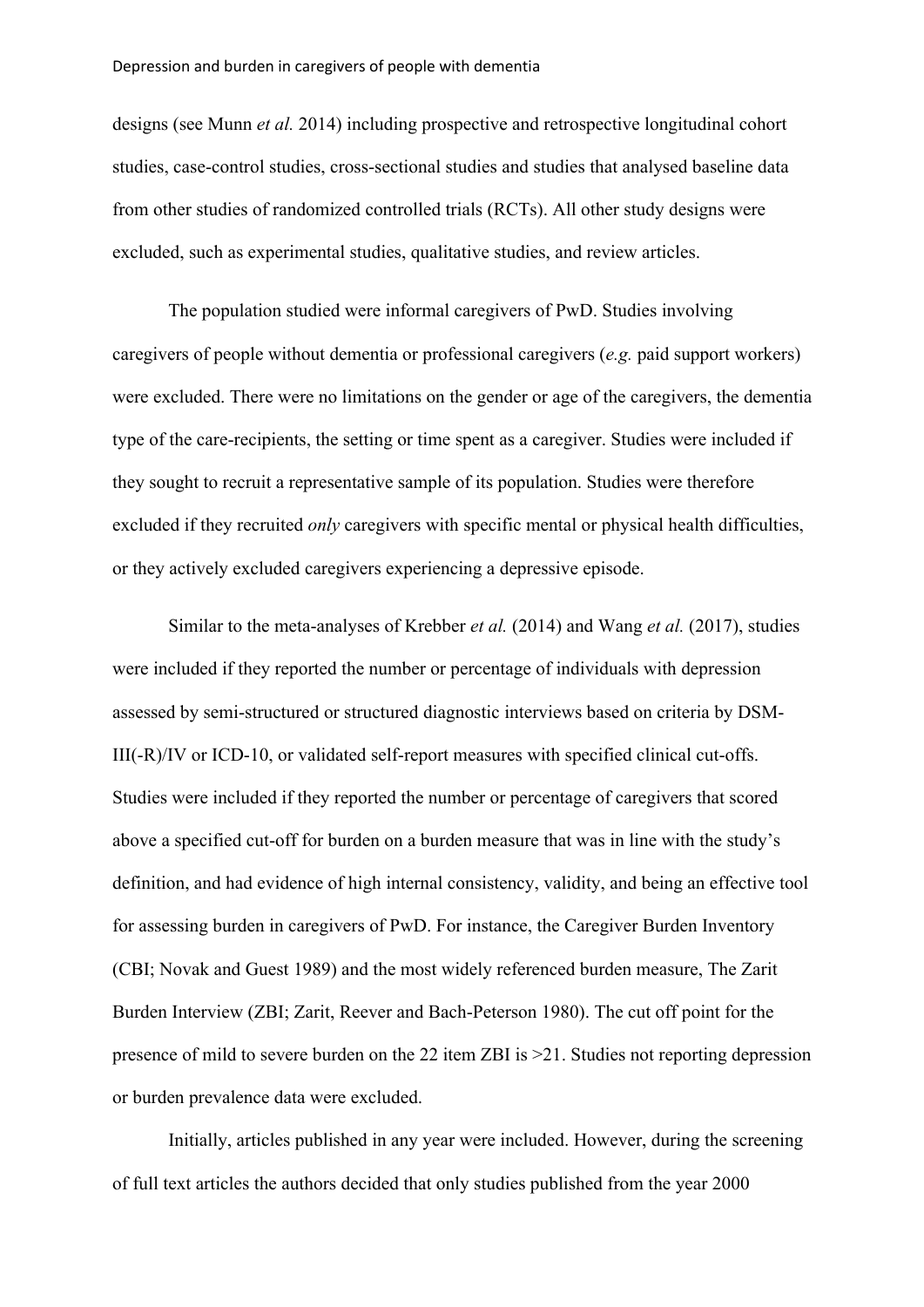designs (see Munn *et al.* 2014) including prospective and retrospective longitudinal cohort studies, case-control studies, cross-sectional studies and studies that analysed baseline data from other studies of randomized controlled trials (RCTs). All other study designs were excluded, such as experimental studies, qualitative studies, and review articles.

The population studied were informal caregivers of PwD. Studies involving caregivers of people without dementia or professional caregivers (*e.g.* paid support workers) were excluded. There were no limitations on the gender or age of the caregivers, the dementia type of the care-recipients, the setting or time spent as a caregiver. Studies were included if they sought to recruit a representative sample of its population. Studies were therefore excluded if they recruited *only* caregivers with specific mental or physical health difficulties, or they actively excluded caregivers experiencing a depressive episode.

Similar to the meta-analyses of Krebber *et al.* (2014) and Wang *et al.* (2017), studies were included if they reported the number or percentage of individuals with depression assessed by semi-structured or structured diagnostic interviews based on criteria by DSM-III(-R)/IV or ICD-10, or validated self-report measures with specified clinical cut-offs. Studies were included if they reported the number or percentage of caregivers that scored above a specified cut-off for burden on a burden measure that was in line with the study's definition, and had evidence of high internal consistency, validity, and being an effective tool for assessing burden in caregivers of PwD. For instance, the Caregiver Burden Inventory (CBI; Novak and Guest 1989) and the most widely referenced burden measure, The Zarit Burden Interview (ZBI; Zarit, Reever and Bach-Peterson 1980). The cut off point for the presence of mild to severe burden on the 22 item ZBI is >21. Studies not reporting depression or burden prevalence data were excluded.

Initially, articles published in any year were included. However, during the screening of full text articles the authors decided that only studies published from the year 2000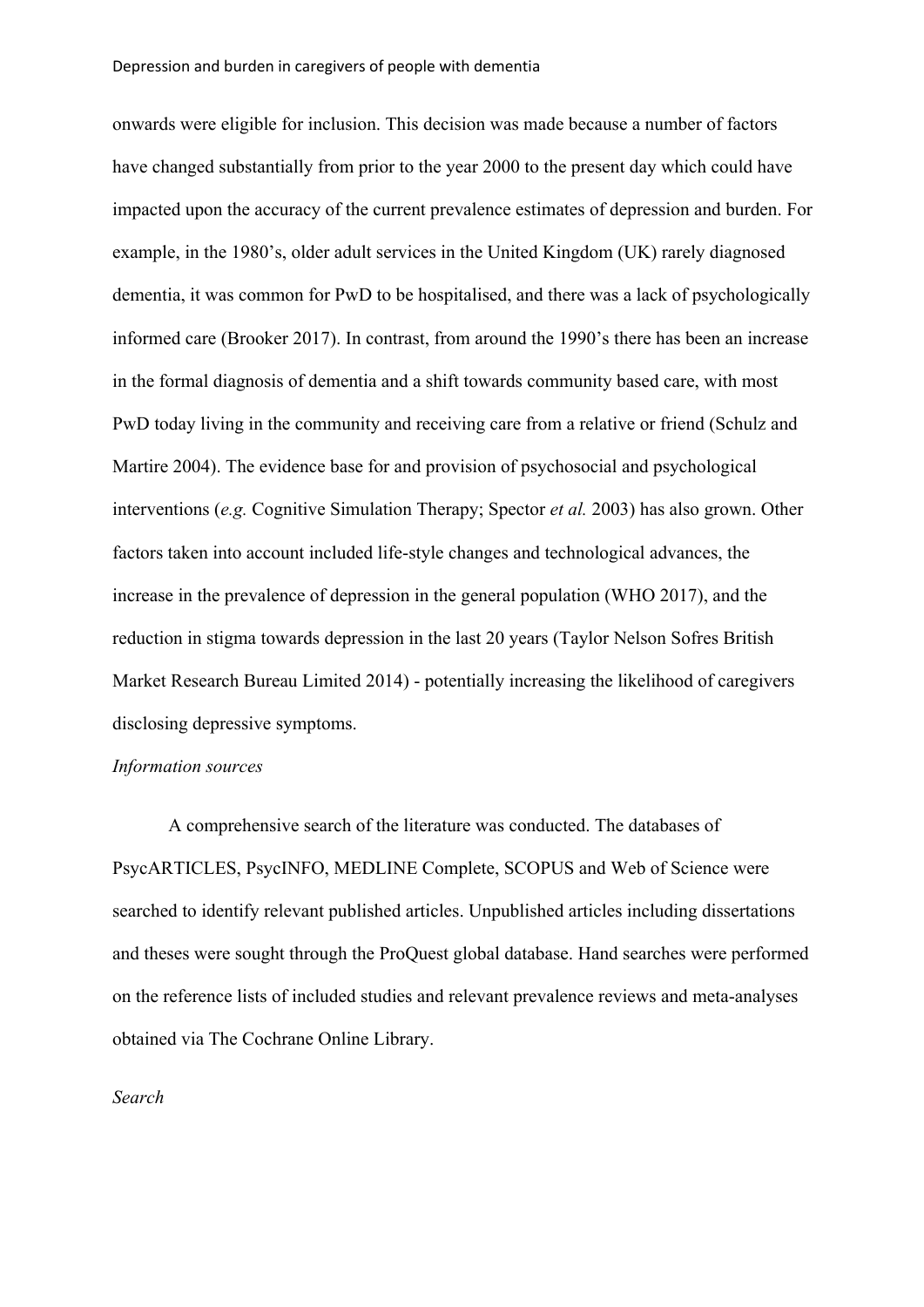onwards were eligible for inclusion. This decision was made because a number of factors have changed substantially from prior to the year 2000 to the present day which could have impacted upon the accuracy of the current prevalence estimates of depression and burden. For example, in the 1980's, older adult services in the United Kingdom (UK) rarely diagnosed dementia, it was common for PwD to be hospitalised, and there was a lack of psychologically informed care (Brooker 2017). In contrast, from around the 1990's there has been an increase in the formal diagnosis of dementia and a shift towards community based care, with most PwD today living in the community and receiving care from a relative or friend (Schulz and Martire 2004). The evidence base for and provision of psychosocial and psychological interventions (*e.g.* Cognitive Simulation Therapy; Spector *et al.* 2003) has also grown. Other factors taken into account included life-style changes and technological advances, the increase in the prevalence of depression in the general population (WHO 2017), and the reduction in stigma towards depression in the last 20 years (Taylor Nelson Sofres British Market Research Bureau Limited 2014) - potentially increasing the likelihood of caregivers disclosing depressive symptoms.

## *Information sources*

A comprehensive search of the literature was conducted. The databases of PsycARTICLES, PsycINFO, MEDLINE Complete, SCOPUS and Web of Science were searched to identify relevant published articles. Unpublished articles including dissertations and theses were sought through the ProQuest global database. Hand searches were performed on the reference lists of included studies and relevant prevalence reviews and meta-analyses obtained via The Cochrane Online Library.

#### *Search*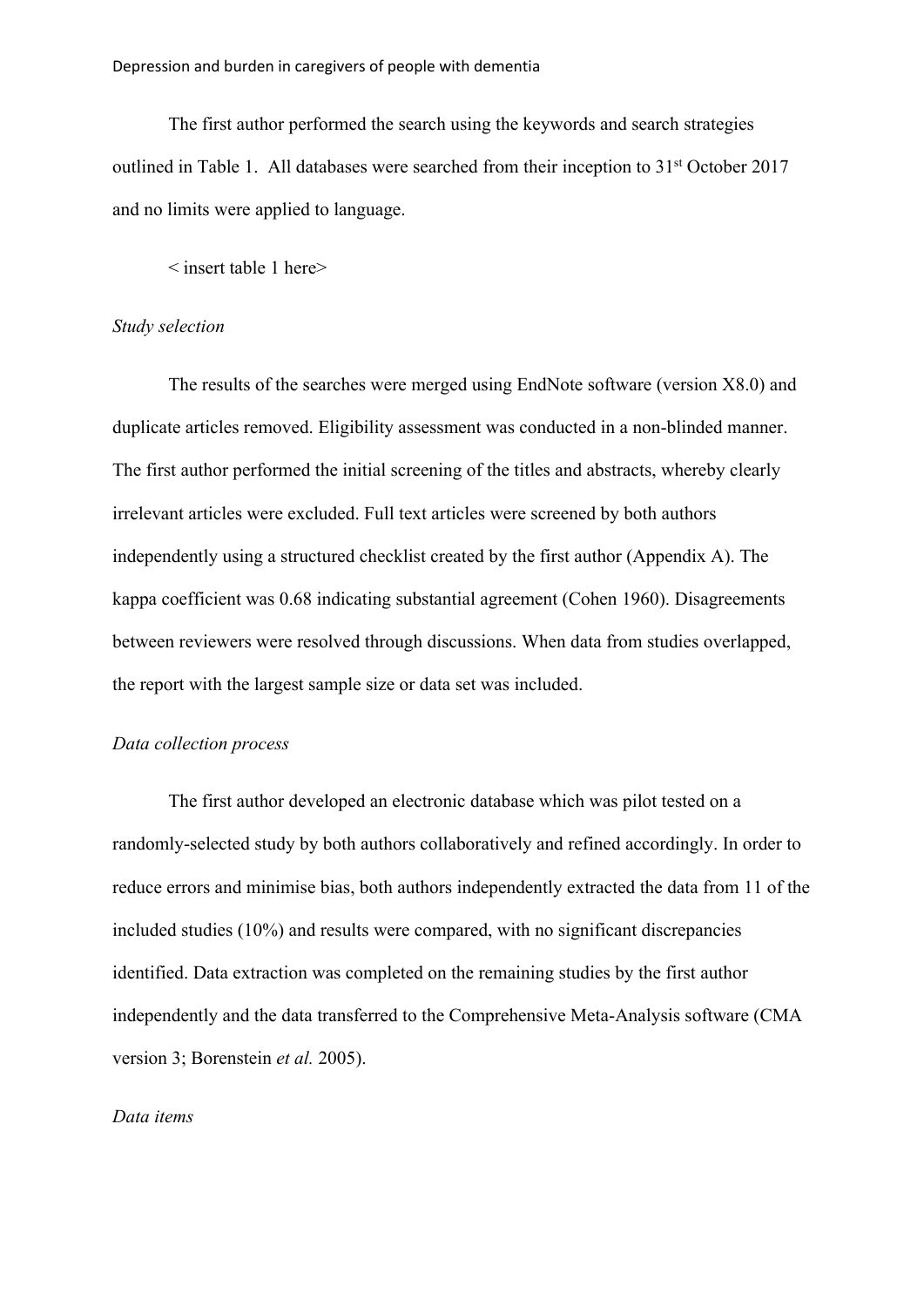The first author performed the search using the keywords and search strategies outlined in Table 1. All databases were searched from their inception to 31<sup>st</sup> October 2017 and no limits were applied to language.

< insert table 1 here>

#### *Study selection*

The results of the searches were merged using EndNote software (version X8.0) and duplicate articles removed. Eligibility assessment was conducted in a non-blinded manner. The first author performed the initial screening of the titles and abstracts, whereby clearly irrelevant articles were excluded. Full text articles were screened by both authors independently using a structured checklist created by the first author (Appendix A). The kappa coefficient was 0.68 indicating substantial agreement (Cohen 1960). Disagreements between reviewers were resolved through discussions. When data from studies overlapped, the report with the largest sample size or data set was included.

# *Data collection process*

The first author developed an electronic database which was pilot tested on a randomly-selected study by both authors collaboratively and refined accordingly. In order to reduce errors and minimise bias, both authors independently extracted the data from 11 of the included studies (10%) and results were compared, with no significant discrepancies identified. Data extraction was completed on the remaining studies by the first author independently and the data transferred to the Comprehensive Meta-Analysis software (CMA version 3; Borenstein *et al.* 2005).

#### *Data items*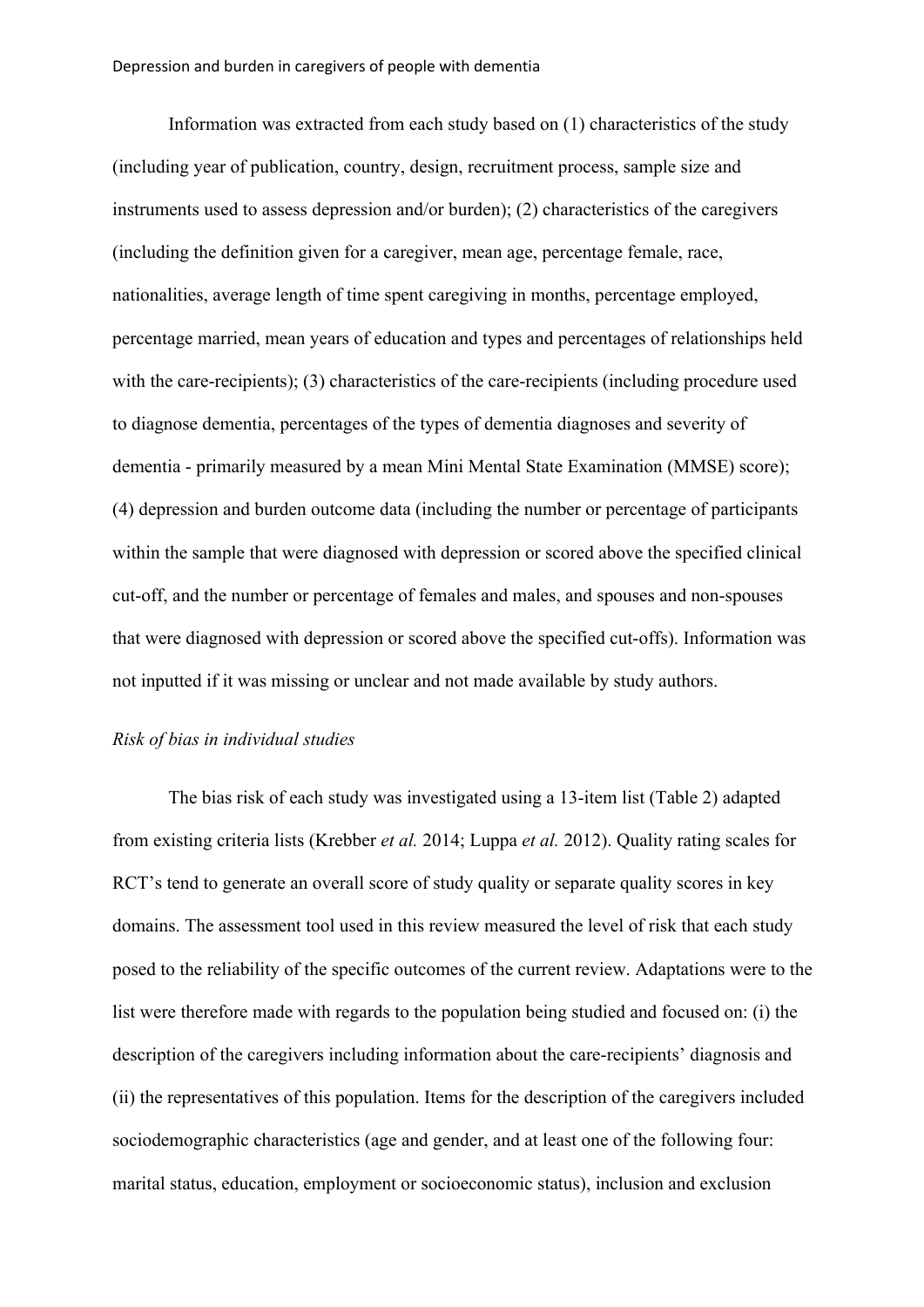Information was extracted from each study based on (1) characteristics of the study (including year of publication, country, design, recruitment process, sample size and instruments used to assess depression and/or burden); (2) characteristics of the caregivers (including the definition given for a caregiver, mean age, percentage female, race, nationalities, average length of time spent caregiving in months, percentage employed, percentage married, mean years of education and types and percentages of relationships held with the care-recipients); (3) characteristics of the care-recipients (including procedure used to diagnose dementia, percentages of the types of dementia diagnoses and severity of dementia - primarily measured by a mean Mini Mental State Examination (MMSE) score); (4) depression and burden outcome data (including the number or percentage of participants within the sample that were diagnosed with depression or scored above the specified clinical cut-off, and the number or percentage of females and males, and spouses and non-spouses that were diagnosed with depression or scored above the specified cut-offs). Information was not inputted if it was missing or unclear and not made available by study authors.

#### *Risk of bias in individual studies*

The bias risk of each study was investigated using a 13-item list (Table 2) adapted from existing criteria lists (Krebber *et al.* 2014; Luppa *et al.* 2012). Quality rating scales for RCT's tend to generate an overall score of study quality or separate quality scores in key domains. The assessment tool used in this review measured the level of risk that each study posed to the reliability of the specific outcomes of the current review. Adaptations were to the list were therefore made with regards to the population being studied and focused on: (i) the description of the caregivers including information about the care-recipients' diagnosis and (ii) the representatives of this population. Items for the description of the caregivers included sociodemographic characteristics (age and gender, and at least one of the following four: marital status, education, employment or socioeconomic status), inclusion and exclusion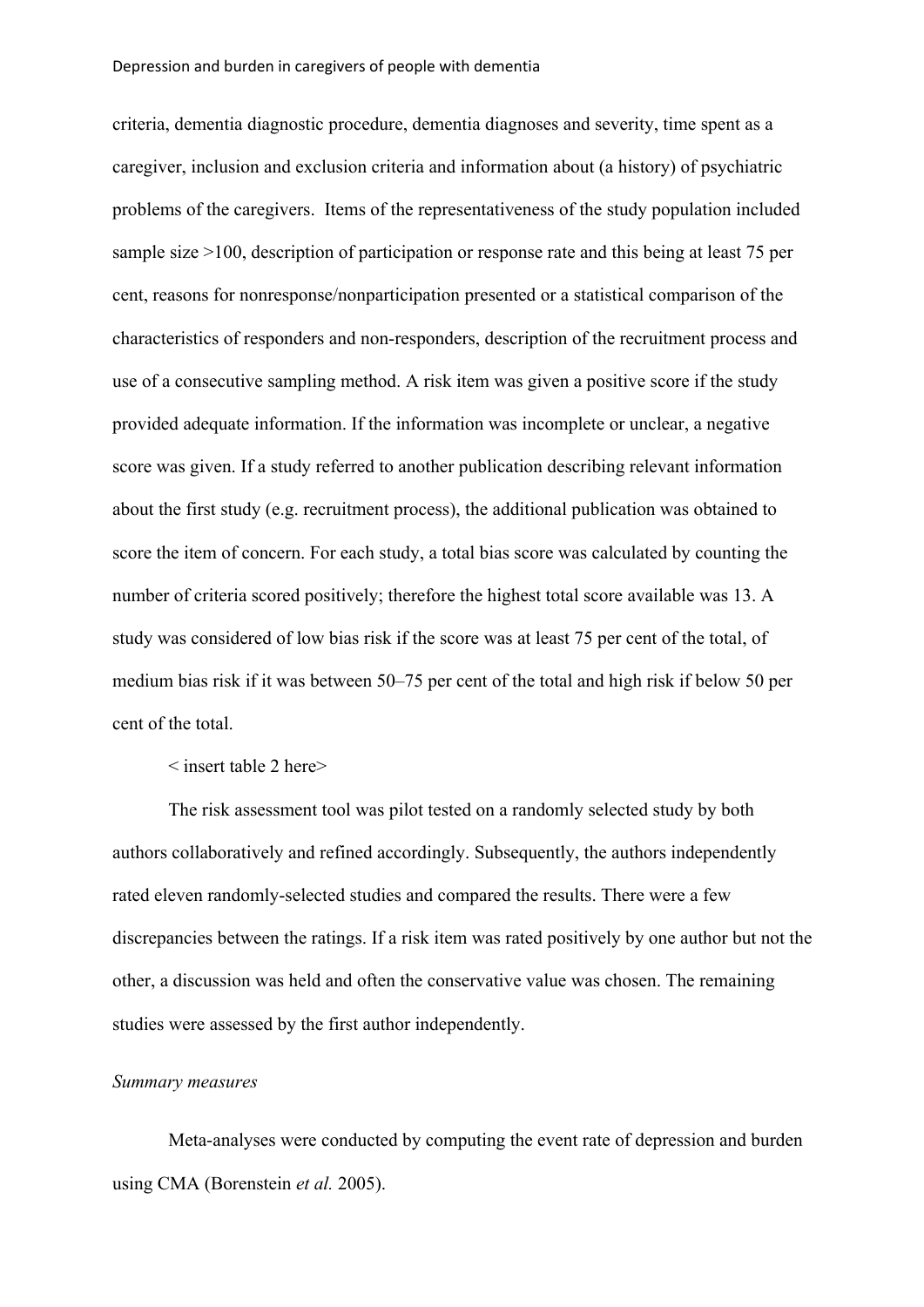criteria, dementia diagnostic procedure, dementia diagnoses and severity, time spent as a caregiver, inclusion and exclusion criteria and information about (a history) of psychiatric problems of the caregivers. Items of the representativeness of the study population included sample size >100, description of participation or response rate and this being at least 75 per cent, reasons for nonresponse/nonparticipation presented or a statistical comparison of the characteristics of responders and non-responders, description of the recruitment process and use of a consecutive sampling method. A risk item was given a positive score if the study provided adequate information. If the information was incomplete or unclear, a negative score was given. If a study referred to another publication describing relevant information about the first study (e.g. recruitment process), the additional publication was obtained to score the item of concern. For each study, a total bias score was calculated by counting the number of criteria scored positively; therefore the highest total score available was 13. A study was considered of low bias risk if the score was at least 75 per cent of the total, of medium bias risk if it was between 50–75 per cent of the total and high risk if below 50 per cent of the total.

< insert table 2 here>

The risk assessment tool was pilot tested on a randomly selected study by both authors collaboratively and refined accordingly. Subsequently, the authors independently rated eleven randomly-selected studies and compared the results. There were a few discrepancies between the ratings. If a risk item was rated positively by one author but not the other, a discussion was held and often the conservative value was chosen. The remaining studies were assessed by the first author independently.

#### *Summary measures*

Meta-analyses were conducted by computing the event rate of depression and burden using CMA (Borenstein *et al.* 2005).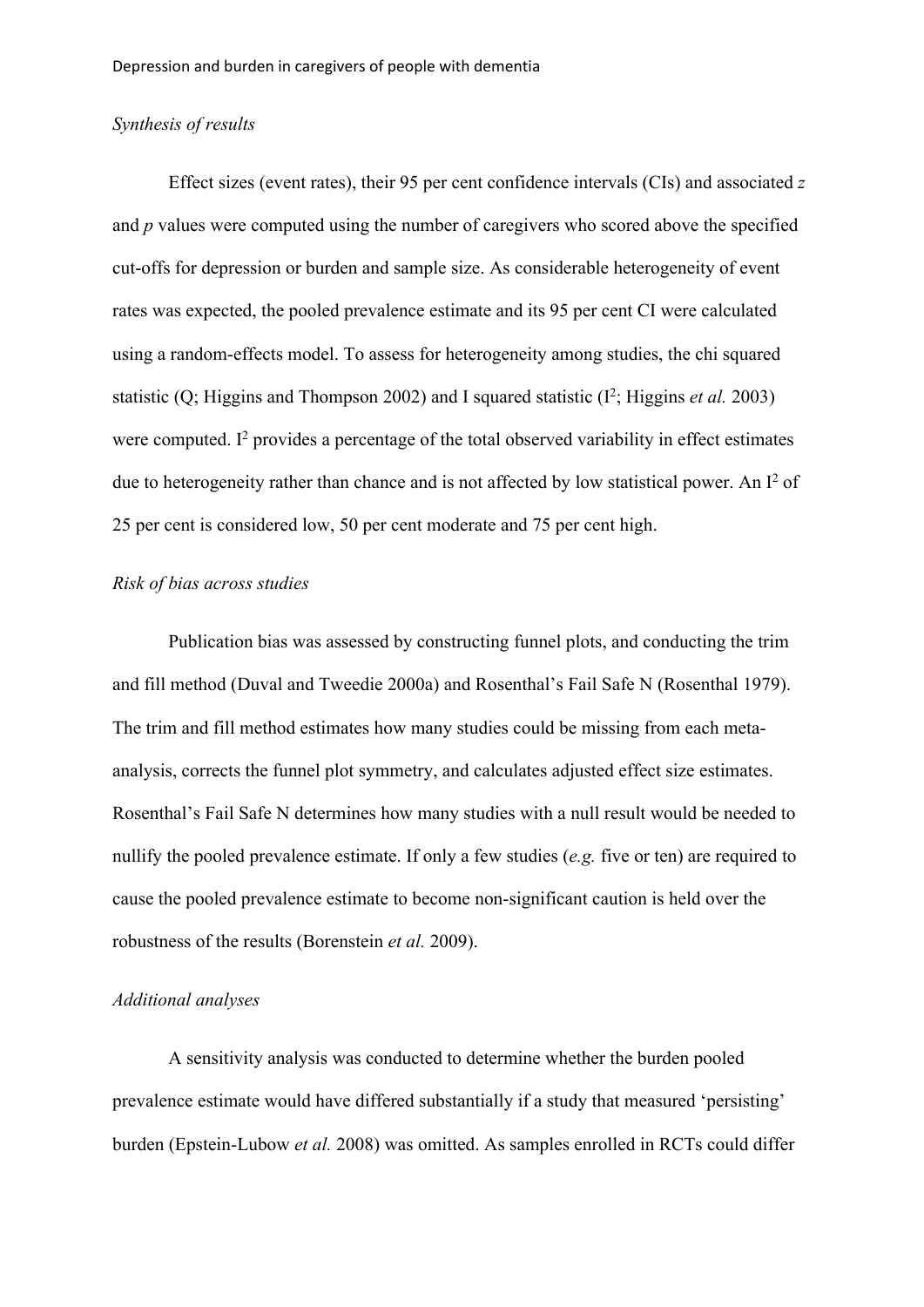## *Synthesis of results*

Effect sizes (event rates), their 95 per cent confidence intervals (CIs) and associated *z* and *p* values were computed using the number of caregivers who scored above the specified cut-offs for depression or burden and sample size. As considerable heterogeneity of event rates was expected, the pooled prevalence estimate and its 95 per cent CI were calculated using a random-effects model. To assess for heterogeneity among studies, the chi squared statistic (Q; Higgins and Thompson 2002) and I squared statistic  $(I^2; Higgs)$  et al. 2003) were computed.  $I^2$  provides a percentage of the total observed variability in effect estimates due to heterogeneity rather than chance and is not affected by low statistical power. An I<sup>2</sup> of 25 per cent is considered low, 50 per cent moderate and 75 per cent high.

## *Risk of bias across studies*

Publication bias was assessed by constructing funnel plots, and conducting the trim and fill method (Duval and Tweedie 2000a) and Rosenthal's Fail Safe N (Rosenthal 1979). The trim and fill method estimates how many studies could be missing from each metaanalysis, corrects the funnel plot symmetry, and calculates adjusted effect size estimates. Rosenthal's Fail Safe N determines how many studies with a null result would be needed to nullify the pooled prevalence estimate. If only a few studies (*e.g.* five or ten) are required to cause the pooled prevalence estimate to become non-significant caution is held over the robustness of the results (Borenstein *et al.* 2009).

# *Additional analyses*

A sensitivity analysis was conducted to determine whether the burden pooled prevalence estimate would have differed substantially if a study that measured 'persisting' burden (Epstein-Lubow *et al.* 2008) was omitted. As samples enrolled in RCTs could differ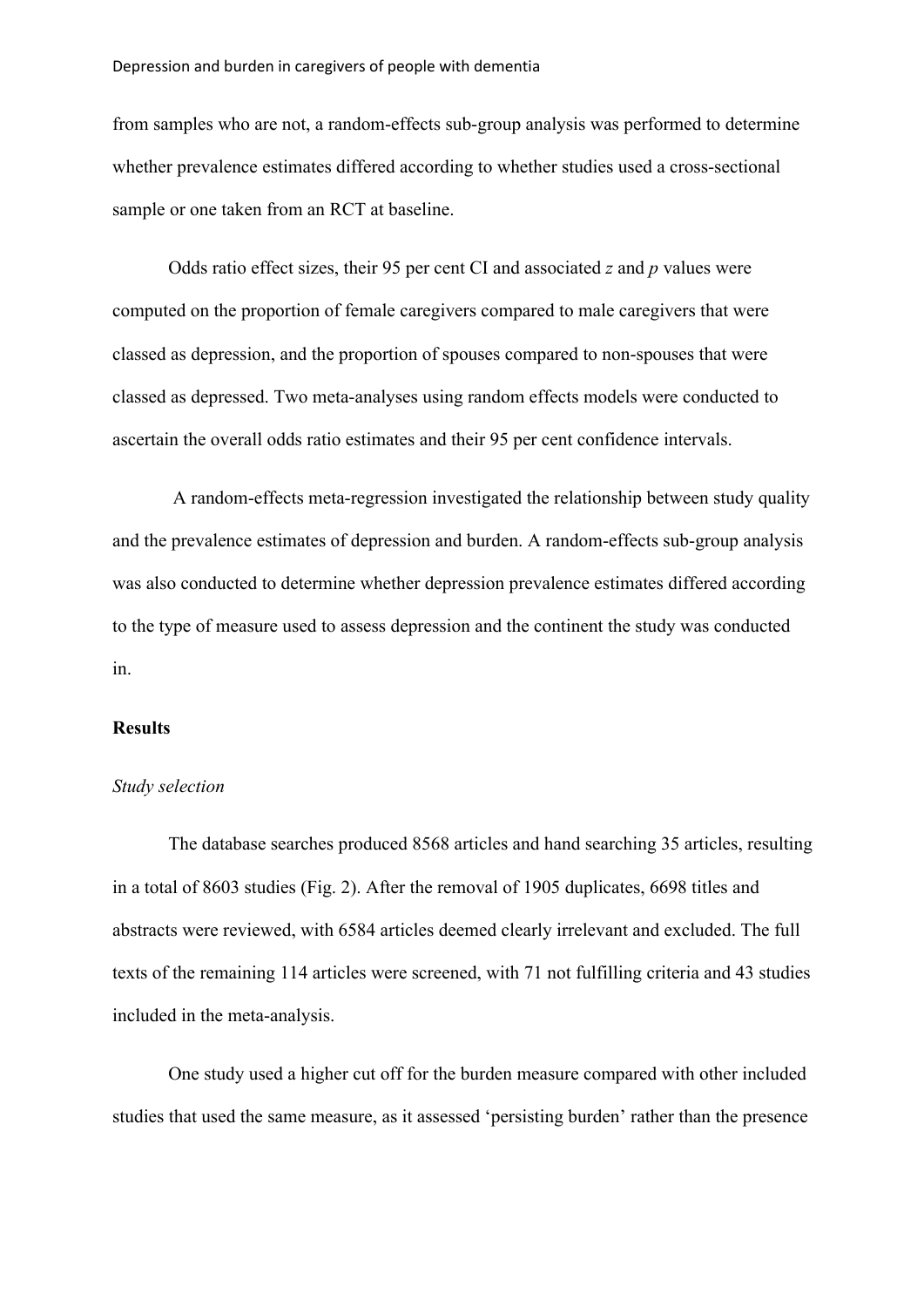#### Depression and burden in caregivers of people with dementia

from samples who are not, a random-effects sub-group analysis was performed to determine whether prevalence estimates differed according to whether studies used a cross-sectional sample or one taken from an RCT at baseline.

Odds ratio effect sizes, their 95 per cent CI and associated *z* and *p* values were computed on the proportion of female caregivers compared to male caregivers that were classed as depression, and the proportion of spouses compared to non-spouses that were classed as depressed. Two meta-analyses using random effects models were conducted to ascertain the overall odds ratio estimates and their 95 per cent confidence intervals.

A random-effects meta-regression investigated the relationship between study quality and the prevalence estimates of depression and burden. A random-effects sub-group analysis was also conducted to determine whether depression prevalence estimates differed according to the type of measure used to assess depression and the continent the study was conducted in.

#### **Results**

#### *Study selection*

The database searches produced 8568 articles and hand searching 35 articles, resulting in a total of 8603 studies (Fig. 2). After the removal of 1905 duplicates, 6698 titles and abstracts were reviewed, with 6584 articles deemed clearly irrelevant and excluded. The full texts of the remaining 114 articles were screened, with 71 not fulfilling criteria and 43 studies included in the meta-analysis.

One study used a higher cut off for the burden measure compared with other included studies that used the same measure, as it assessed 'persisting burden' rather than the presence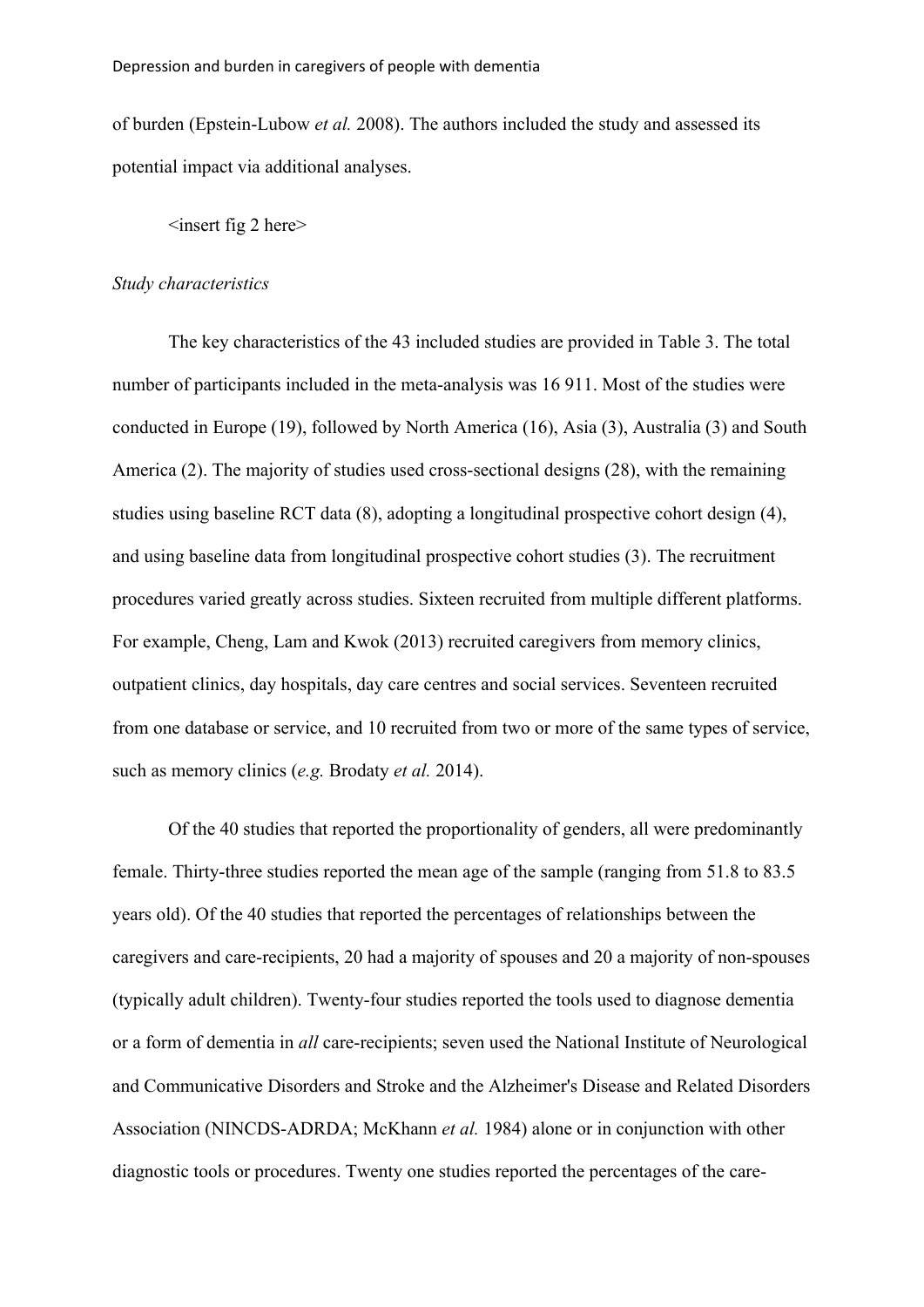of burden (Epstein-Lubow *et al.* 2008). The authors included the study and assessed its potential impact via additional analyses.

## $\langle$ insert fig 2 here $>$

#### *Study characteristics*

The key characteristics of the 43 included studies are provided in Table 3. The total number of participants included in the meta-analysis was 16 911. Most of the studies were conducted in Europe (19), followed by North America (16), Asia (3), Australia (3) and South America (2). The majority of studies used cross-sectional designs (28), with the remaining studies using baseline RCT data (8), adopting a longitudinal prospective cohort design (4), and using baseline data from longitudinal prospective cohort studies (3). The recruitment procedures varied greatly across studies. Sixteen recruited from multiple different platforms. For example, Cheng, Lam and Kwok (2013) recruited caregivers from memory clinics, outpatient clinics, day hospitals, day care centres and social services. Seventeen recruited from one database or service, and 10 recruited from two or more of the same types of service, such as memory clinics (*e.g.* Brodaty *et al.* 2014).

Of the 40 studies that reported the proportionality of genders, all were predominantly female. Thirty-three studies reported the mean age of the sample (ranging from 51.8 to 83.5 years old). Of the 40 studies that reported the percentages of relationships between the caregivers and care-recipients, 20 had a majority of spouses and 20 a majority of non-spouses (typically adult children). Twenty-four studies reported the tools used to diagnose dementia or a form of dementia in *all* care-recipients; seven used the National Institute of Neurological and Communicative Disorders and Stroke and the Alzheimer's Disease and Related Disorders Association (NINCDS-ADRDA; McKhann *et al.* 1984) alone or in conjunction with other diagnostic tools or procedures. Twenty one studies reported the percentages of the care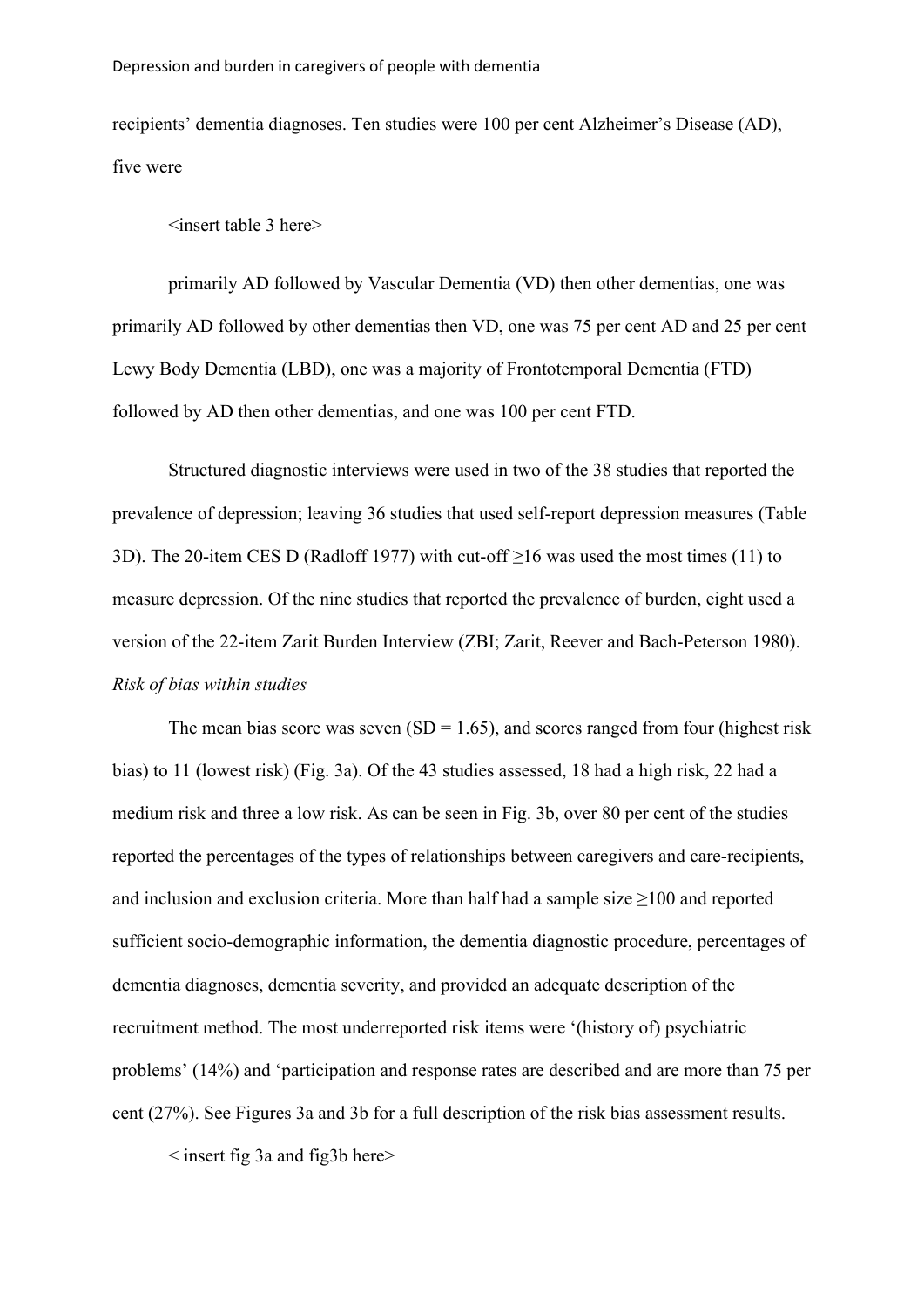recipients' dementia diagnoses. Ten studies were 100 per cent Alzheimer's Disease (AD), five were

<insert table 3 here>

primarily AD followed by Vascular Dementia (VD) then other dementias, one was primarily AD followed by other dementias then VD, one was 75 per cent AD and 25 per cent Lewy Body Dementia (LBD), one was a majority of Frontotemporal Dementia (FTD) followed by AD then other dementias, and one was 100 per cent FTD.

Structured diagnostic interviews were used in two of the 38 studies that reported the prevalence of depression; leaving 36 studies that used self-report depression measures (Table 3D). The 20-item CES D (Radloff 1977) with cut-off ≥16 was used the most times (11) to measure depression. Of the nine studies that reported the prevalence of burden, eight used a version of the 22-item Zarit Burden Interview (ZBI; Zarit, Reever and Bach-Peterson 1980). *Risk of bias within studies* 

The mean bias score was seven  $(SD = 1.65)$ , and scores ranged from four (highest risk bias) to 11 (lowest risk) (Fig. 3a). Of the 43 studies assessed, 18 had a high risk, 22 had a medium risk and three a low risk. As can be seen in Fig. 3b, over 80 per cent of the studies reported the percentages of the types of relationships between caregivers and care-recipients, and inclusion and exclusion criteria. More than half had a sample size  $\geq$ 100 and reported sufficient socio-demographic information, the dementia diagnostic procedure, percentages of dementia diagnoses, dementia severity, and provided an adequate description of the recruitment method. The most underreported risk items were '(history of) psychiatric problems' (14%) and 'participation and response rates are described and are more than 75 per cent (27%). See Figures 3a and 3b for a full description of the risk bias assessment results.

< insert fig 3a and fig3b here>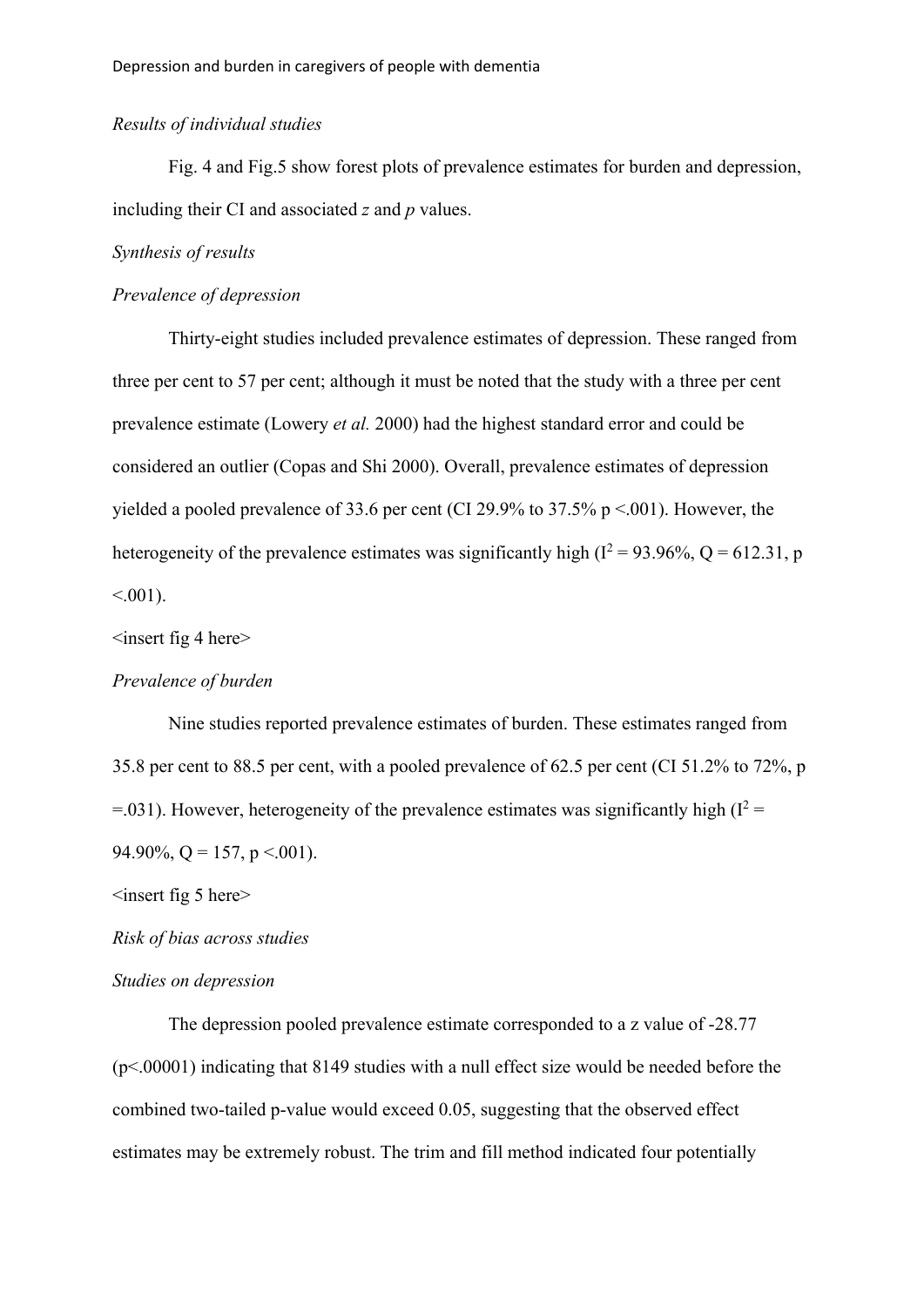## *Results of individual studies*

Fig. 4 and Fig.5 show forest plots of prevalence estimates for burden and depression, including their CI and associated *z* and *p* values.

## *Synthesis of results*

## *Prevalence of depression*

Thirty-eight studies included prevalence estimates of depression. These ranged from three per cent to 57 per cent; although it must be noted that the study with a three per cent prevalence estimate (Lowery *et al.* 2000) had the highest standard error and could be considered an outlier (Copas and Shi 2000). Overall, prevalence estimates of depression yielded a pooled prevalence of 33.6 per cent (CI 29.9% to 37.5% p <.001). However, the heterogeneity of the prevalence estimates was significantly high ( $I^2 = 93.96\%$ , Q = 612.31, p  $< 0.001$ ).

# $\langle$ insert fig 4 here $>$

#### *Prevalence of burden*

Nine studies reported prevalence estimates of burden. These estimates ranged from 35.8 per cent to 88.5 per cent, with a pooled prevalence of 62.5 per cent (CI 51.2% to 72%, p =.031). However, heterogeneity of the prevalence estimates was significantly high  $(I^2 =$ 94.90%, Q = 157, p < 001).

 $\langle$ insert fig 5 here $>$ 

*Risk of bias across studies*

# *Studies on depression*

The depression pooled prevalence estimate corresponded to a z value of -28.77 (p<.00001) indicating that 8149 studies with a null effect size would be needed before the combined two-tailed p-value would exceed 0.05, suggesting that the observed effect estimates may be extremely robust. The trim and fill method indicated four potentially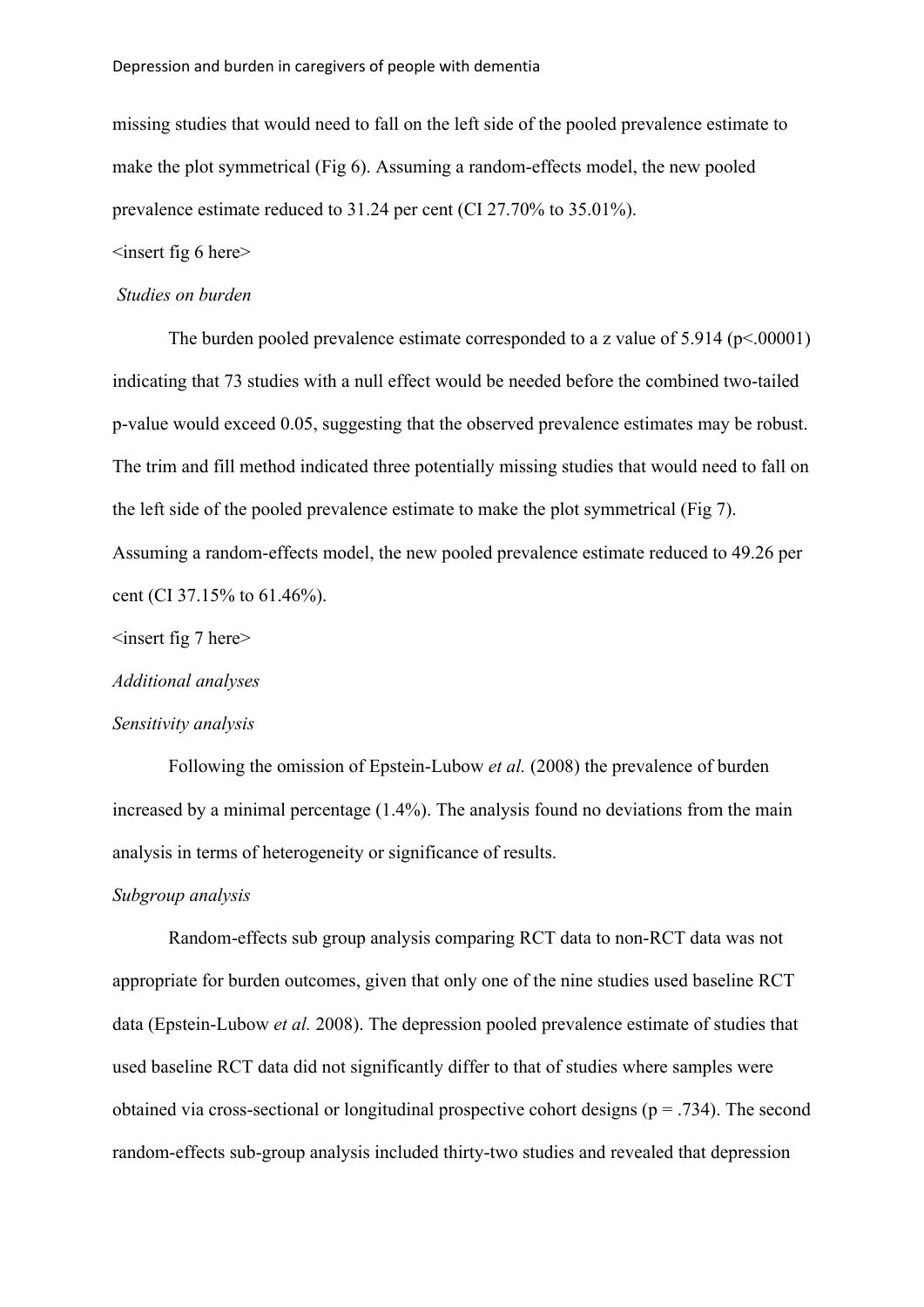#### Depression and burden in caregivers of people with dementia

missing studies that would need to fall on the left side of the pooled prevalence estimate to make the plot symmetrical (Fig 6). Assuming a random-effects model, the new pooled prevalence estimate reduced to 31.24 per cent (CI 27.70% to 35.01%).

## $\langle$ insert fig 6 here $>$

#### *Studies on burden*

The burden pooled prevalence estimate corresponded to a z value of  $5.914$  ( $p \le 0.00001$ ) indicating that 73 studies with a null effect would be needed before the combined two-tailed p-value would exceed 0.05, suggesting that the observed prevalence estimates may be robust. The trim and fill method indicated three potentially missing studies that would need to fall on the left side of the pooled prevalence estimate to make the plot symmetrical (Fig 7). Assuming a random-effects model, the new pooled prevalence estimate reduced to 49.26 per cent (CI 37.15% to 61.46%).

## $\langle$ insert fig 7 here $>$

*Additional analyses*

#### *Sensitivity analysis*

Following the omission of Epstein-Lubow *et al.* (2008) the prevalence of burden increased by a minimal percentage (1.4%). The analysis found no deviations from the main analysis in terms of heterogeneity or significance of results.

#### *Subgroup analysis*

Random-effects sub group analysis comparing RCT data to non-RCT data was not appropriate for burden outcomes, given that only one of the nine studies used baseline RCT data (Epstein-Lubow *et al.* 2008). The depression pooled prevalence estimate of studies that used baseline RCT data did not significantly differ to that of studies where samples were obtained via cross-sectional or longitudinal prospective cohort designs ( $p = .734$ ). The second random-effects sub-group analysis included thirty-two studies and revealed that depression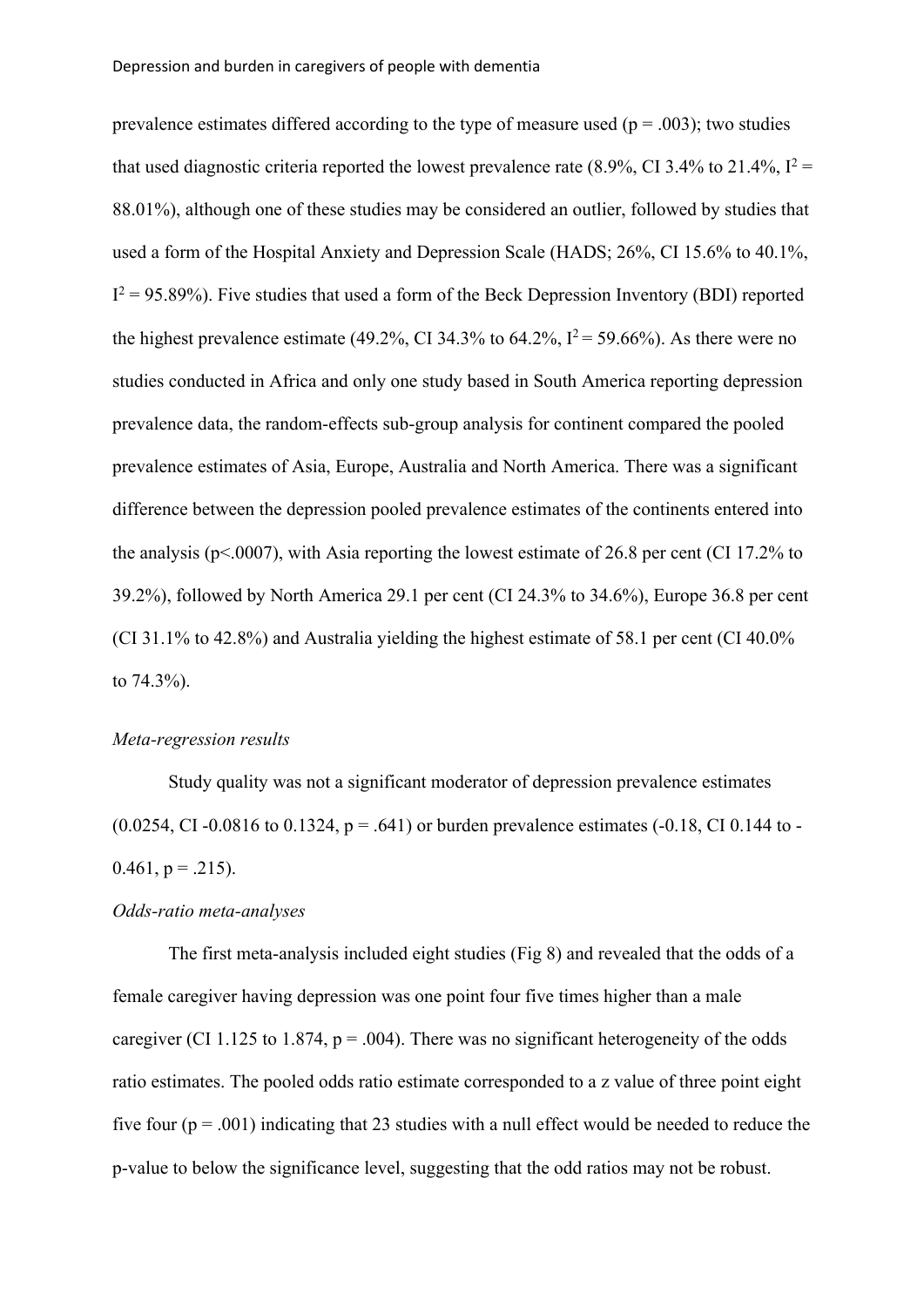prevalence estimates differed according to the type of measure used ( $p = .003$ ); two studies that used diagnostic criteria reported the lowest prevalence rate (8.9%, CI 3.4% to 21.4%,  $I^2$  = 88.01%), although one of these studies may be considered an outlier, followed by studies that used a form of the Hospital Anxiety and Depression Scale (HADS; 26%, CI 15.6% to 40.1%,  $I^2 = 95.89\%$ ). Five studies that used a form of the Beck Depression Inventory (BDI) reported the highest prevalence estimate (49.2%, CI 34.3% to 64.2%,  $I^2 = 59.66\%$ ). As there were no studies conducted in Africa and only one study based in South America reporting depression prevalence data, the random-effects sub-group analysis for continent compared the pooled prevalence estimates of Asia, Europe, Australia and North America. There was a significant difference between the depression pooled prevalence estimates of the continents entered into the analysis ( $p<.0007$ ), with Asia reporting the lowest estimate of 26.8 per cent (CI 17.2% to 39.2%), followed by North America 29.1 per cent (CI 24.3% to 34.6%), Europe 36.8 per cent (CI 31.1% to 42.8%) and Australia yielding the highest estimate of 58.1 per cent (CI 40.0% to 74.3%).

## *Meta-regression results*

Study quality was not a significant moderator of depression prevalence estimates  $(0.0254, CI -0.0816$  to  $0.1324$ ,  $p = .641$ ) or burden prevalence estimates (-0.18, CI 0.144 to - $0.461$ , p = .215).

# *Odds-ratio meta-analyses*

The first meta-analysis included eight studies (Fig 8) and revealed that the odds of a female caregiver having depression was one point four five times higher than a male caregiver (CI 1.125 to 1.874,  $p = .004$ ). There was no significant heterogeneity of the odds ratio estimates. The pooled odds ratio estimate corresponded to a z value of three point eight five four  $(p = .001)$  indicating that 23 studies with a null effect would be needed to reduce the p-value to below the significance level, suggesting that the odd ratios may not be robust.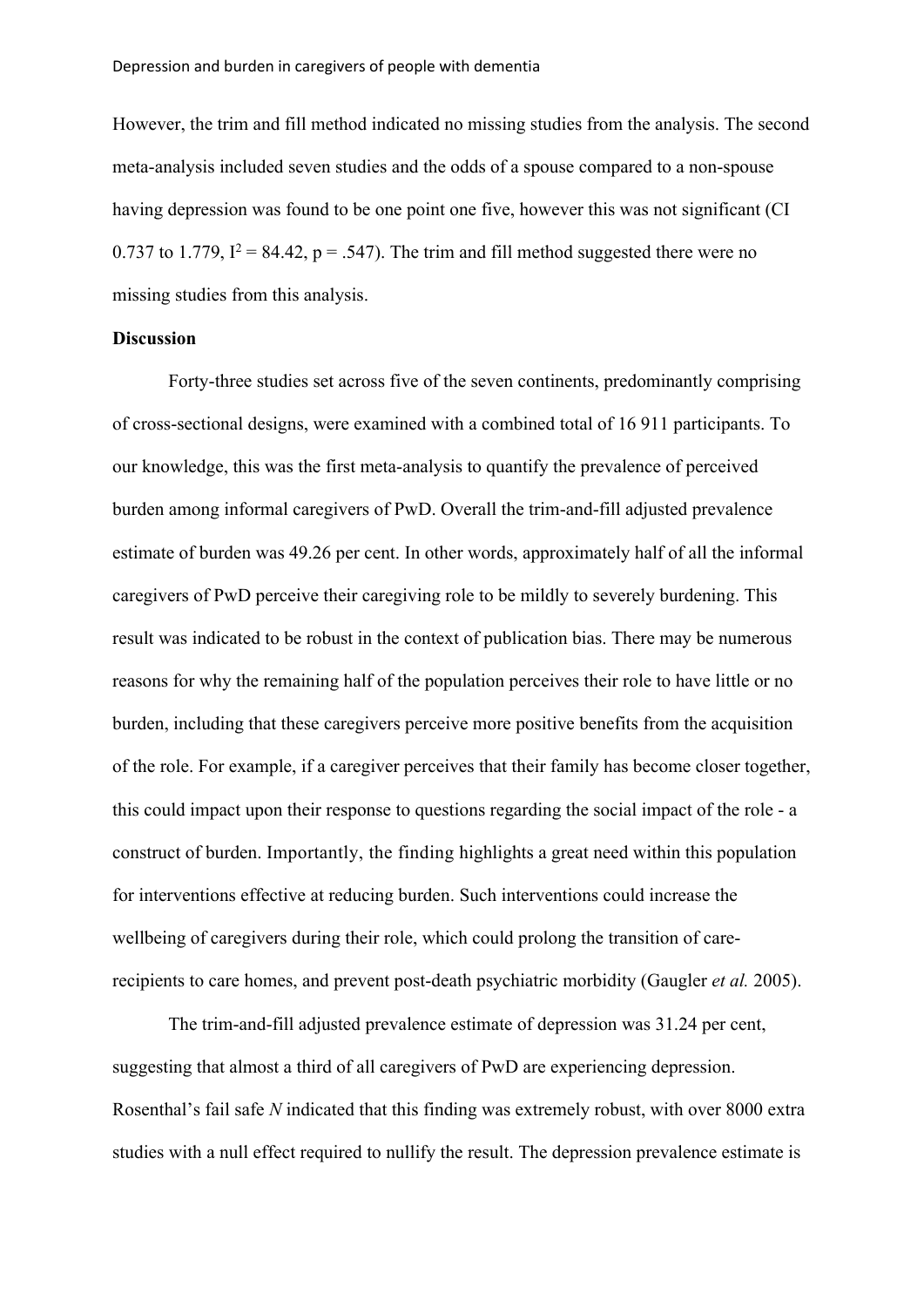However, the trim and fill method indicated no missing studies from the analysis. The second meta-analysis included seven studies and the odds of a spouse compared to a non-spouse having depression was found to be one point one five, however this was not significant (CI 0.737 to 1.779,  $I^2 = 84.42$ ,  $p = .547$ ). The trim and fill method suggested there were no missing studies from this analysis.

# **Discussion**

Forty-three studies set across five of the seven continents, predominantly comprising of cross-sectional designs, were examined with a combined total of 16 911 participants. To our knowledge, this was the first meta-analysis to quantify the prevalence of perceived burden among informal caregivers of PwD. Overall the trim-and-fill adjusted prevalence estimate of burden was 49.26 per cent. In other words, approximately half of all the informal caregivers of PwD perceive their caregiving role to be mildly to severely burdening. This result was indicated to be robust in the context of publication bias. There may be numerous reasons for why the remaining half of the population perceives their role to have little or no burden, including that these caregivers perceive more positive benefits from the acquisition of the role. For example, if a caregiver perceives that their family has become closer together, this could impact upon their response to questions regarding the social impact of the role - a construct of burden. Importantly, the finding highlights a great need within this population for interventions effective at reducing burden. Such interventions could increase the wellbeing of caregivers during their role, which could prolong the transition of carerecipients to care homes, and prevent post-death psychiatric morbidity (Gaugler *et al.* 2005).

The trim-and-fill adjusted prevalence estimate of depression was 31.24 per cent, suggesting that almost a third of all caregivers of PwD are experiencing depression. Rosenthal's fail safe *N* indicated that this finding was extremely robust, with over 8000 extra studies with a null effect required to nullify the result. The depression prevalence estimate is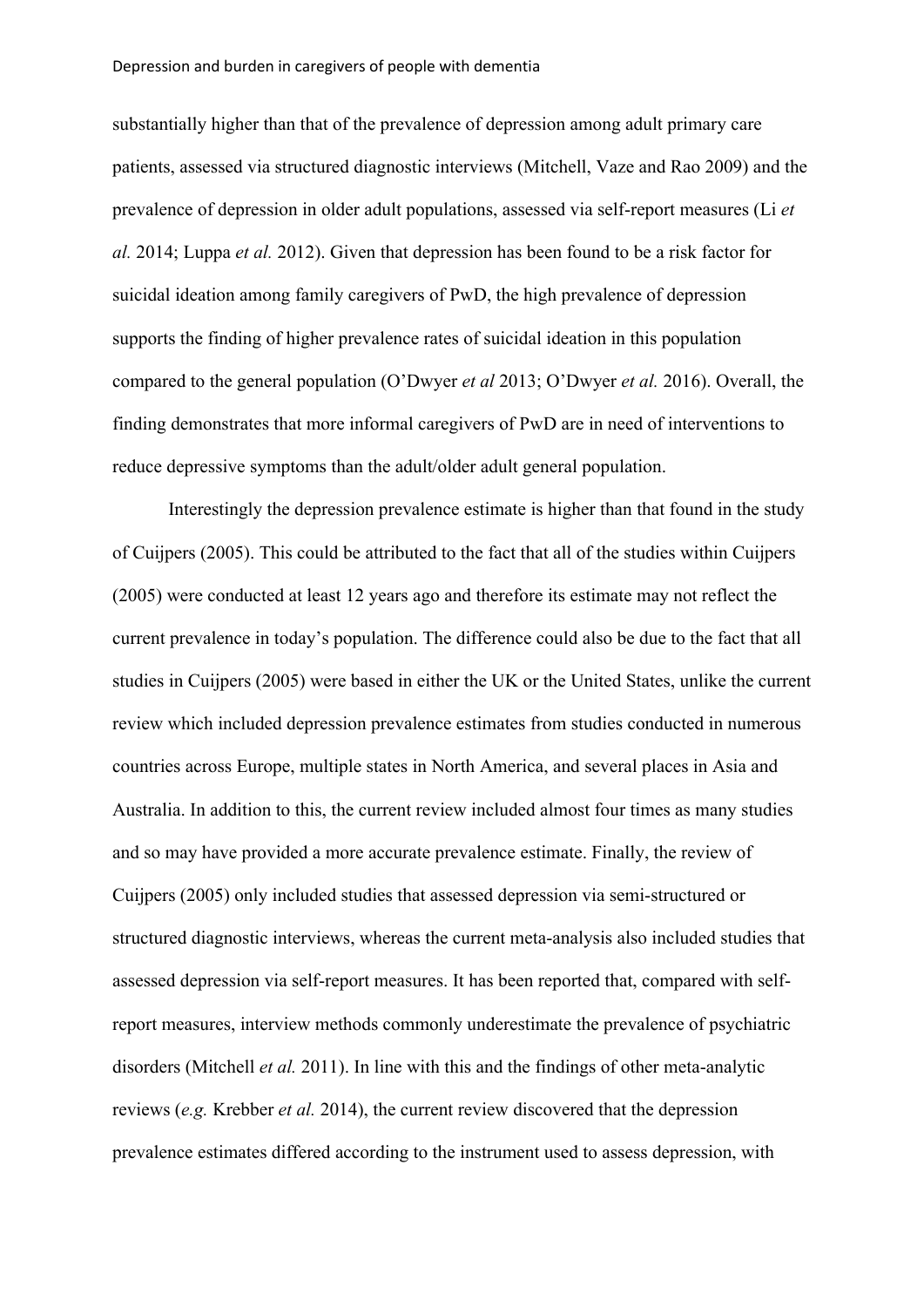substantially higher than that of the prevalence of depression among adult primary care patients, assessed via structured diagnostic interviews (Mitchell, Vaze and Rao 2009) and the prevalence of depression in older adult populations, assessed via self-report measures (Li *et al.* 2014; Luppa *et al.* 2012). Given that depression has been found to be a risk factor for suicidal ideation among family caregivers of PwD, the high prevalence of depression supports the finding of higher prevalence rates of suicidal ideation in this population compared to the general population (O'Dwyer *et al* 2013; O'Dwyer *et al.* 2016). Overall, the finding demonstrates that more informal caregivers of PwD are in need of interventions to reduce depressive symptoms than the adult/older adult general population.

Interestingly the depression prevalence estimate is higher than that found in the study of Cuijpers (2005). This could be attributed to the fact that all of the studies within Cuijpers (2005) were conducted at least 12 years ago and therefore its estimate may not reflect the current prevalence in today's population. The difference could also be due to the fact that all studies in Cuijpers (2005) were based in either the UK or the United States, unlike the current review which included depression prevalence estimates from studies conducted in numerous countries across Europe, multiple states in North America, and several places in Asia and Australia. In addition to this, the current review included almost four times as many studies and so may have provided a more accurate prevalence estimate. Finally, the review of Cuijpers (2005) only included studies that assessed depression via semi-structured or structured diagnostic interviews, whereas the current meta-analysis also included studies that assessed depression via self-report measures. It has been reported that, compared with selfreport measures, interview methods commonly underestimate the prevalence of psychiatric disorders (Mitchell *et al.* 2011). In line with this and the findings of other meta-analytic reviews (*e.g.* Krebber *et al.* 2014), the current review discovered that the depression prevalence estimates differed according to the instrument used to assess depression, with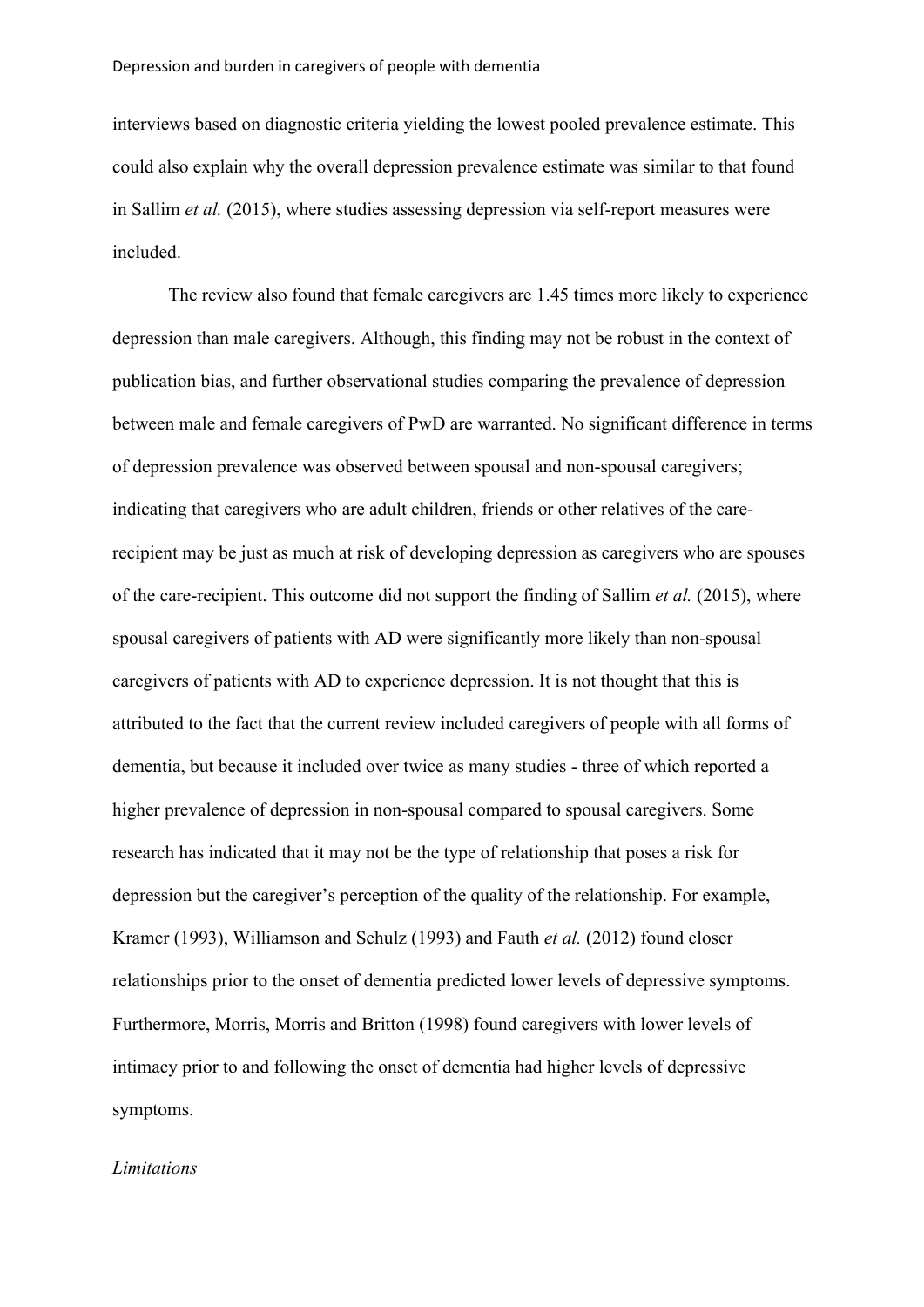interviews based on diagnostic criteria yielding the lowest pooled prevalence estimate. This could also explain why the overall depression prevalence estimate was similar to that found in Sallim *et al.* (2015), where studies assessing depression via self-report measures were included.

The review also found that female caregivers are 1.45 times more likely to experience depression than male caregivers. Although, this finding may not be robust in the context of publication bias, and further observational studies comparing the prevalence of depression between male and female caregivers of PwD are warranted. No significant difference in terms of depression prevalence was observed between spousal and non-spousal caregivers; indicating that caregivers who are adult children, friends or other relatives of the carerecipient may be just as much at risk of developing depression as caregivers who are spouses of the care-recipient. This outcome did not support the finding of Sallim *et al.* (2015), where spousal caregivers of patients with AD were significantly more likely than non-spousal caregivers of patients with AD to experience depression. It is not thought that this is attributed to the fact that the current review included caregivers of people with all forms of dementia, but because it included over twice as many studies - three of which reported a higher prevalence of depression in non-spousal compared to spousal caregivers. Some research has indicated that it may not be the type of relationship that poses a risk for depression but the caregiver's perception of the quality of the relationship. For example, Kramer (1993), Williamson and Schulz (1993) and Fauth *et al.* (2012) found closer relationships prior to the onset of dementia predicted lower levels of depressive symptoms. Furthermore, Morris, Morris and Britton (1998) found caregivers with lower levels of intimacy prior to and following the onset of dementia had higher levels of depressive symptoms.

#### *Limitations*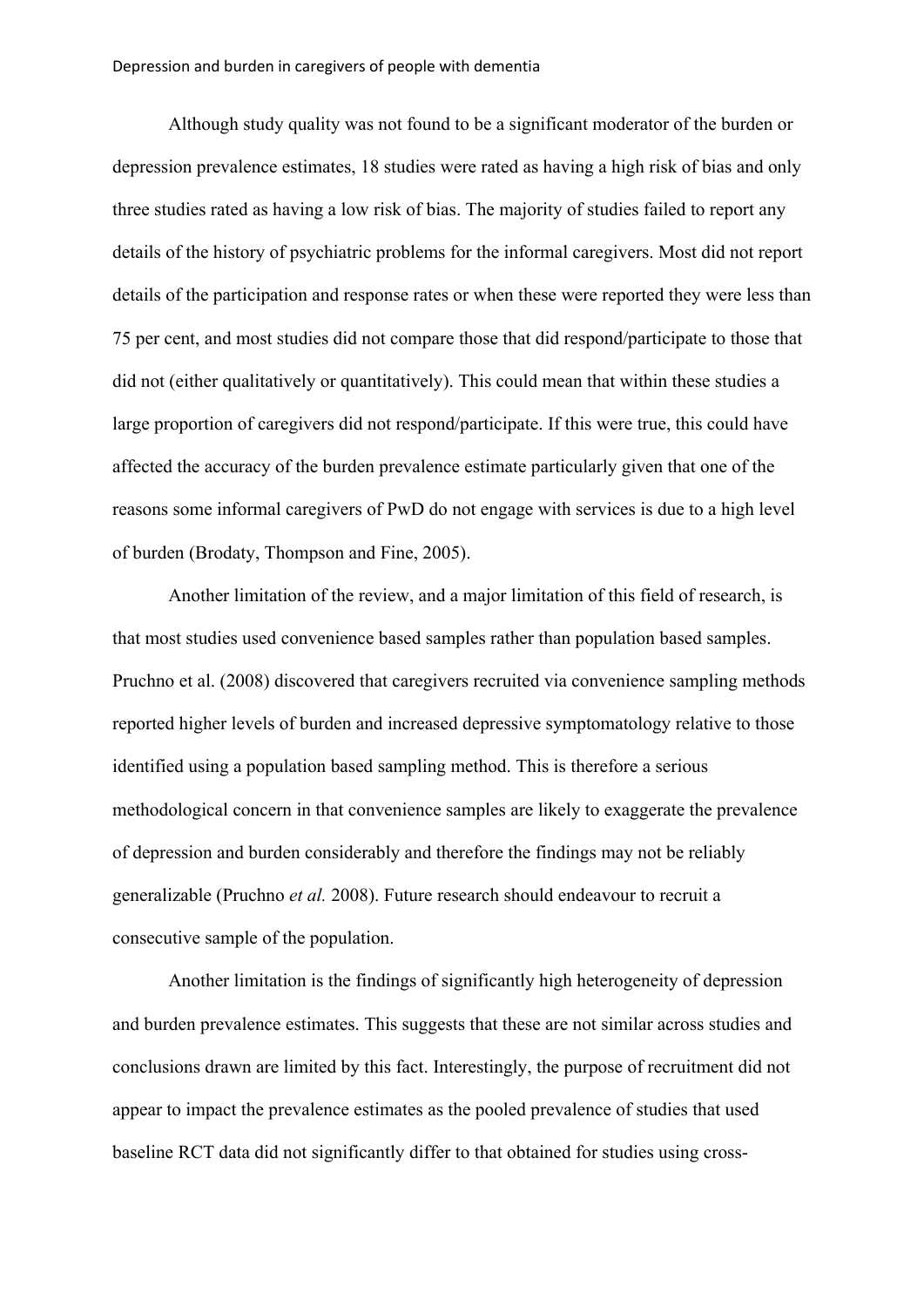Although study quality was not found to be a significant moderator of the burden or depression prevalence estimates, 18 studies were rated as having a high risk of bias and only three studies rated as having a low risk of bias. The majority of studies failed to report any details of the history of psychiatric problems for the informal caregivers. Most did not report details of the participation and response rates or when these were reported they were less than 75 per cent, and most studies did not compare those that did respond/participate to those that did not (either qualitatively or quantitatively). This could mean that within these studies a large proportion of caregivers did not respond/participate. If this were true, this could have affected the accuracy of the burden prevalence estimate particularly given that one of the reasons some informal caregivers of PwD do not engage with services is due to a high level of burden (Brodaty, Thompson and Fine, 2005).

Another limitation of the review, and a major limitation of this field of research, is that most studies used convenience based samples rather than population based samples. Pruchno et al. (2008) discovered that caregivers recruited via convenience sampling methods reported higher levels of burden and increased depressive symptomatology relative to those identified using a population based sampling method. This is therefore a serious methodological concern in that convenience samples are likely to exaggerate the prevalence of depression and burden considerably and therefore the findings may not be reliably generalizable (Pruchno *et al.* 2008). Future research should endeavour to recruit a consecutive sample of the population.

Another limitation is the findings of significantly high heterogeneity of depression and burden prevalence estimates. This suggests that these are not similar across studies and conclusions drawn are limited by this fact. Interestingly, the purpose of recruitment did not appear to impact the prevalence estimates as the pooled prevalence of studies that used baseline RCT data did not significantly differ to that obtained for studies using cross-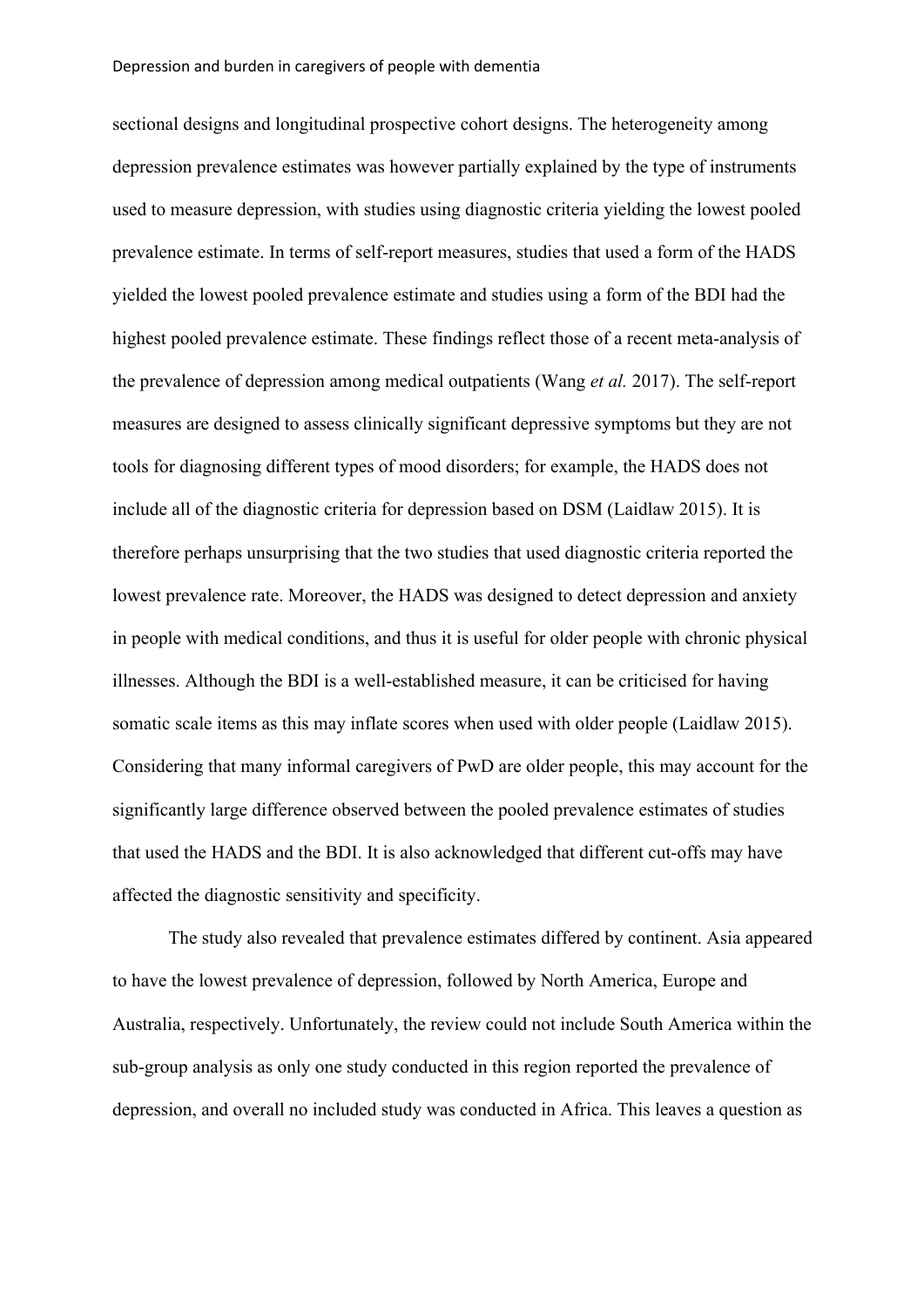sectional designs and longitudinal prospective cohort designs. The heterogeneity among depression prevalence estimates was however partially explained by the type of instruments used to measure depression, with studies using diagnostic criteria yielding the lowest pooled prevalence estimate. In terms of self-report measures, studies that used a form of the HADS yielded the lowest pooled prevalence estimate and studies using a form of the BDI had the highest pooled prevalence estimate. These findings reflect those of a recent meta-analysis of the prevalence of depression among medical outpatients (Wang *et al.* 2017). The self-report measures are designed to assess clinically significant depressive symptoms but they are not tools for diagnosing different types of mood disorders; for example, the HADS does not include all of the diagnostic criteria for depression based on DSM (Laidlaw 2015). It is therefore perhaps unsurprising that the two studies that used diagnostic criteria reported the lowest prevalence rate. Moreover, the HADS was designed to detect depression and anxiety in people with medical conditions, and thus it is useful for older people with chronic physical illnesses. Although the BDI is a well-established measure, it can be criticised for having somatic scale items as this may inflate scores when used with older people (Laidlaw 2015). Considering that many informal caregivers of PwD are older people, this may account for the significantly large difference observed between the pooled prevalence estimates of studies that used the HADS and the BDI. It is also acknowledged that different cut-offs may have affected the diagnostic sensitivity and specificity.

The study also revealed that prevalence estimates differed by continent. Asia appeared to have the lowest prevalence of depression, followed by North America, Europe and Australia, respectively. Unfortunately, the review could not include South America within the sub-group analysis as only one study conducted in this region reported the prevalence of depression, and overall no included study was conducted in Africa. This leaves a question as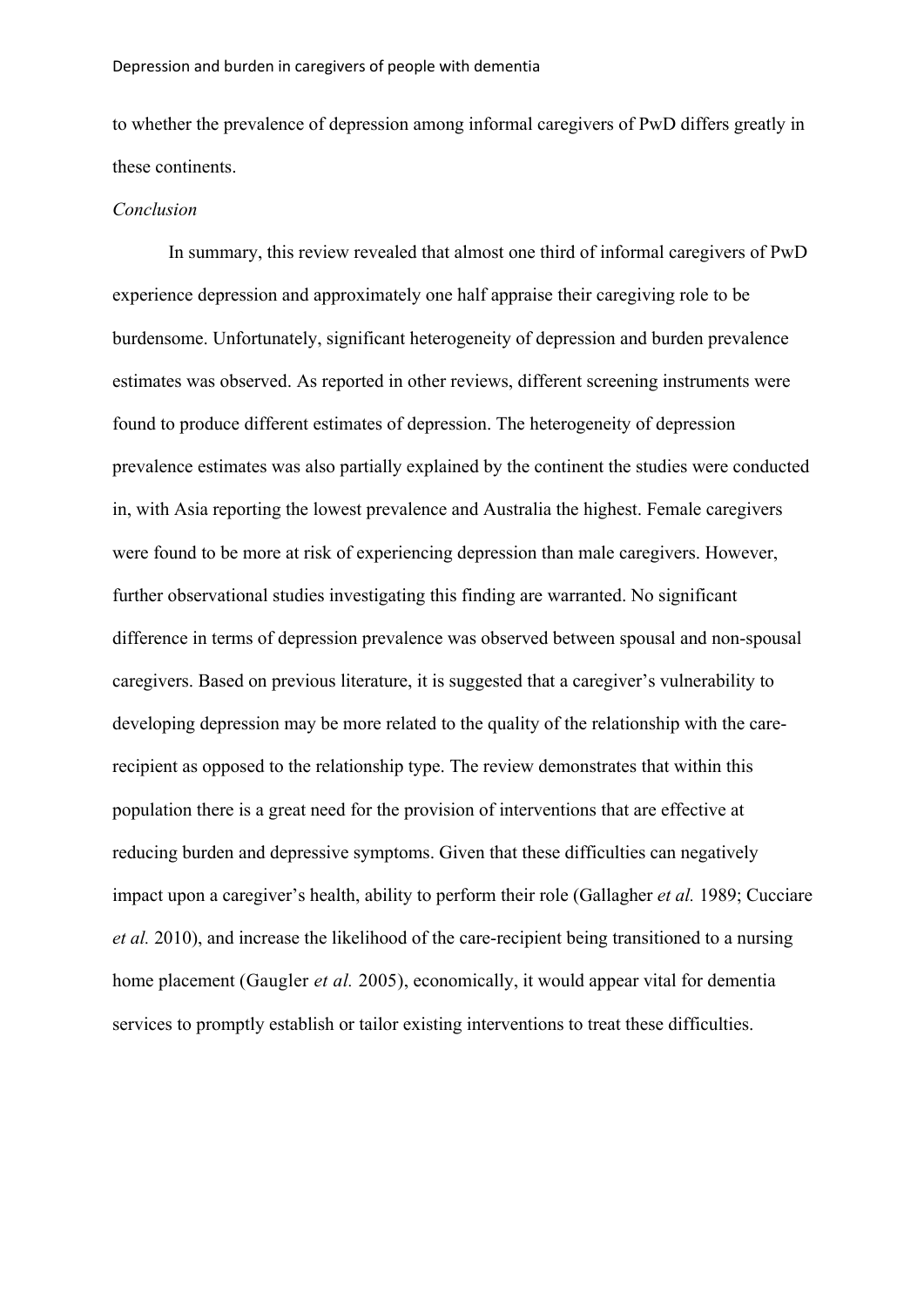to whether the prevalence of depression among informal caregivers of PwD differs greatly in these continents.

#### *Conclusion*

In summary, this review revealed that almost one third of informal caregivers of PwD experience depression and approximately one half appraise their caregiving role to be burdensome. Unfortunately, significant heterogeneity of depression and burden prevalence estimates was observed. As reported in other reviews, different screening instruments were found to produce different estimates of depression. The heterogeneity of depression prevalence estimates was also partially explained by the continent the studies were conducted in, with Asia reporting the lowest prevalence and Australia the highest. Female caregivers were found to be more at risk of experiencing depression than male caregivers. However, further observational studies investigating this finding are warranted. No significant difference in terms of depression prevalence was observed between spousal and non-spousal caregivers. Based on previous literature, it is suggested that a caregiver's vulnerability to developing depression may be more related to the quality of the relationship with the carerecipient as opposed to the relationship type. The review demonstrates that within this population there is a great need for the provision of interventions that are effective at reducing burden and depressive symptoms. Given that these difficulties can negatively impact upon a caregiver's health, ability to perform their role (Gallagher *et al.* 1989; Cucciare *et al.* 2010), and increase the likelihood of the care-recipient being transitioned to a nursing home placement (Gaugler *et al.* 2005), economically, it would appear vital for dementia services to promptly establish or tailor existing interventions to treat these difficulties.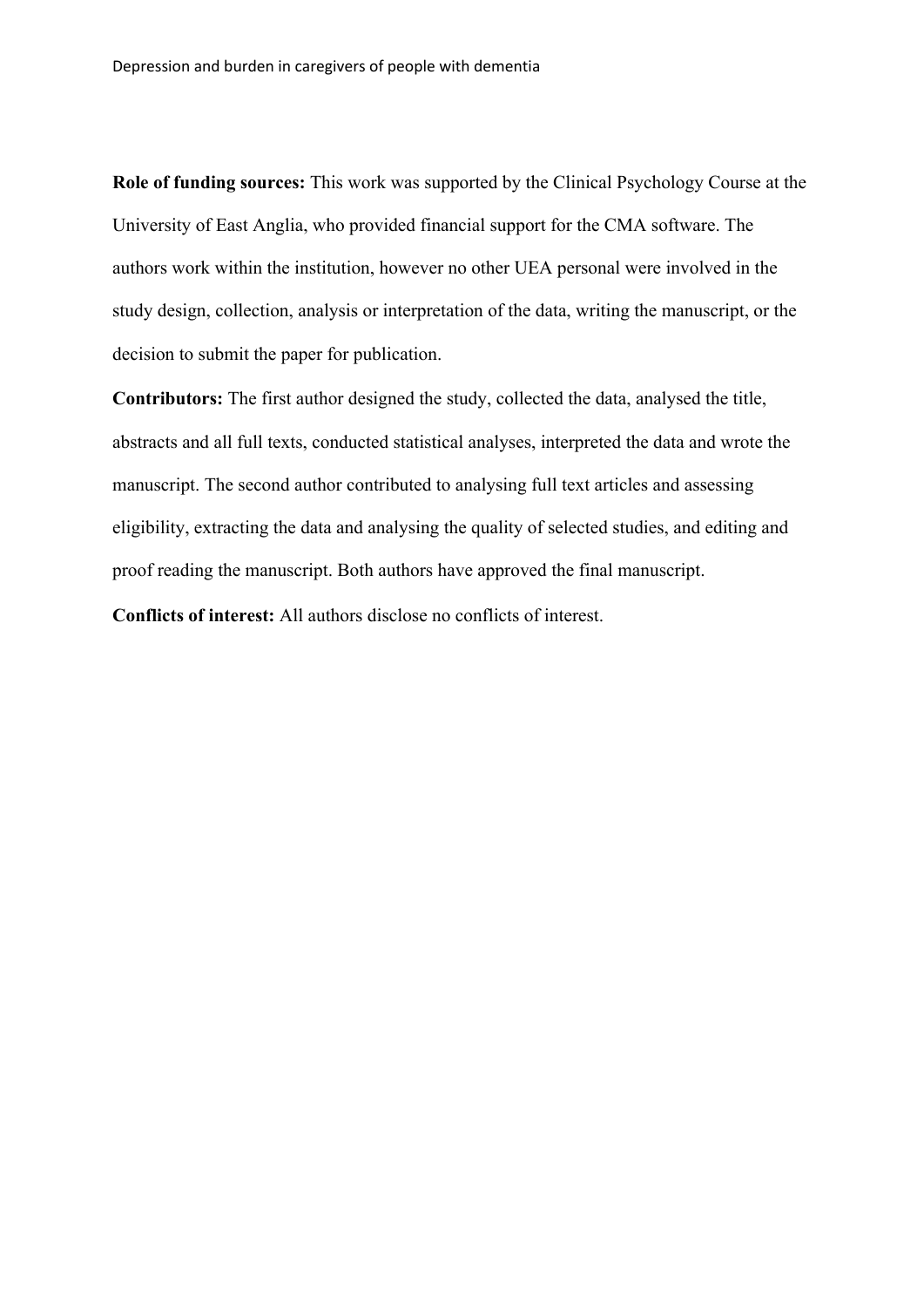**Role of funding sources:** This work was supported by the Clinical Psychology Course at the University of East Anglia, who provided financial support for the CMA software. The authors work within the institution, however no other UEA personal were involved in the study design, collection, analysis or interpretation of the data, writing the manuscript, or the decision to submit the paper for publication.

**Contributors:** The first author designed the study, collected the data, analysed the title, abstracts and all full texts, conducted statistical analyses, interpreted the data and wrote the manuscript. The second author contributed to analysing full text articles and assessing eligibility, extracting the data and analysing the quality of selected studies, and editing and proof reading the manuscript. Both authors have approved the final manuscript.

**Conflicts of interest:** All authors disclose no conflicts of interest.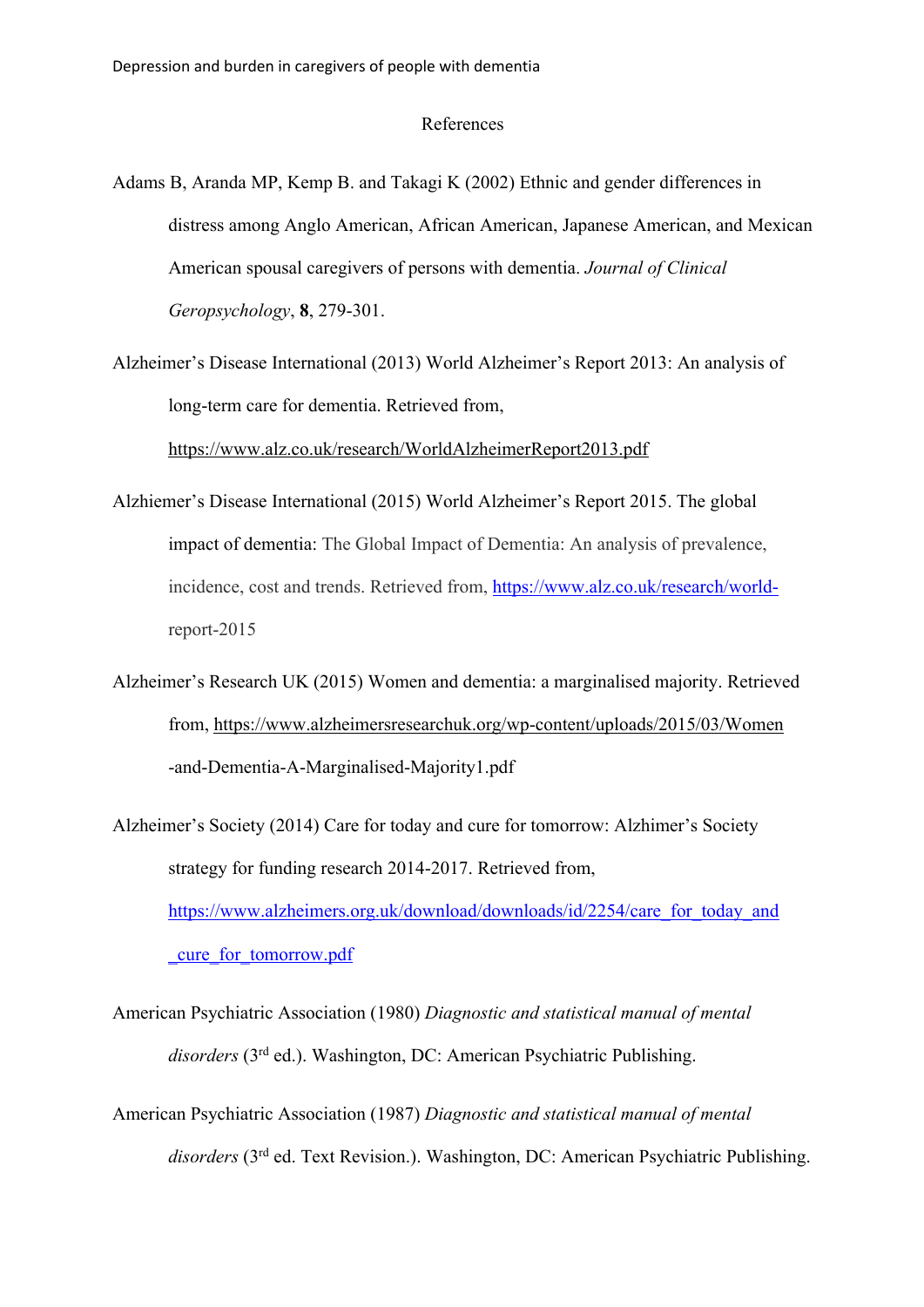#### References

- Adams B, Aranda MP, Kemp B. and Takagi K (2002) Ethnic and gender differences in distress among Anglo American, African American, Japanese American, and Mexican American spousal caregivers of persons with dementia. *Journal of Clinical Geropsychology*, **8**, 279-301.
- Alzheimer's Disease International (2013) World Alzheimer's Report 2013: An analysis of long-term care for dementia. Retrieved from,

https://www.alz.co.uk/research/WorldAlzheimerReport2013.pdf

- Alzhiemer's Disease International (2015) World Alzheimer's Report 2015. The global impact of dementia: The Global Impact of Dementia: An analysis of prevalence, incidence, cost and trends. Retrieved from, https://www.alz.co.uk/research/worldreport-2015
- Alzheimer's Research UK (2015) Women and dementia: a marginalised majority. Retrieved from, https://www.alzheimersresearchuk.org/wp-content/uploads/2015/03/Women -and-Dementia-A-Marginalised-Majority1.pdf
- Alzheimer's Society (2014) Care for today and cure for tomorrow: Alzhimer's Society strategy for funding research 2014-2017. Retrieved from, https://www.alzheimers.org.uk/download/downloads/id/2254/care\_for\_today\_and \_cure\_for\_tomorrow.pdf
- American Psychiatric Association (1980) *Diagnostic and statistical manual of mental disorders* (3rd ed.). Washington, DC: American Psychiatric Publishing.
- American Psychiatric Association (1987) *Diagnostic and statistical manual of mental disorders* (3rd ed. Text Revision.). Washington, DC: American Psychiatric Publishing.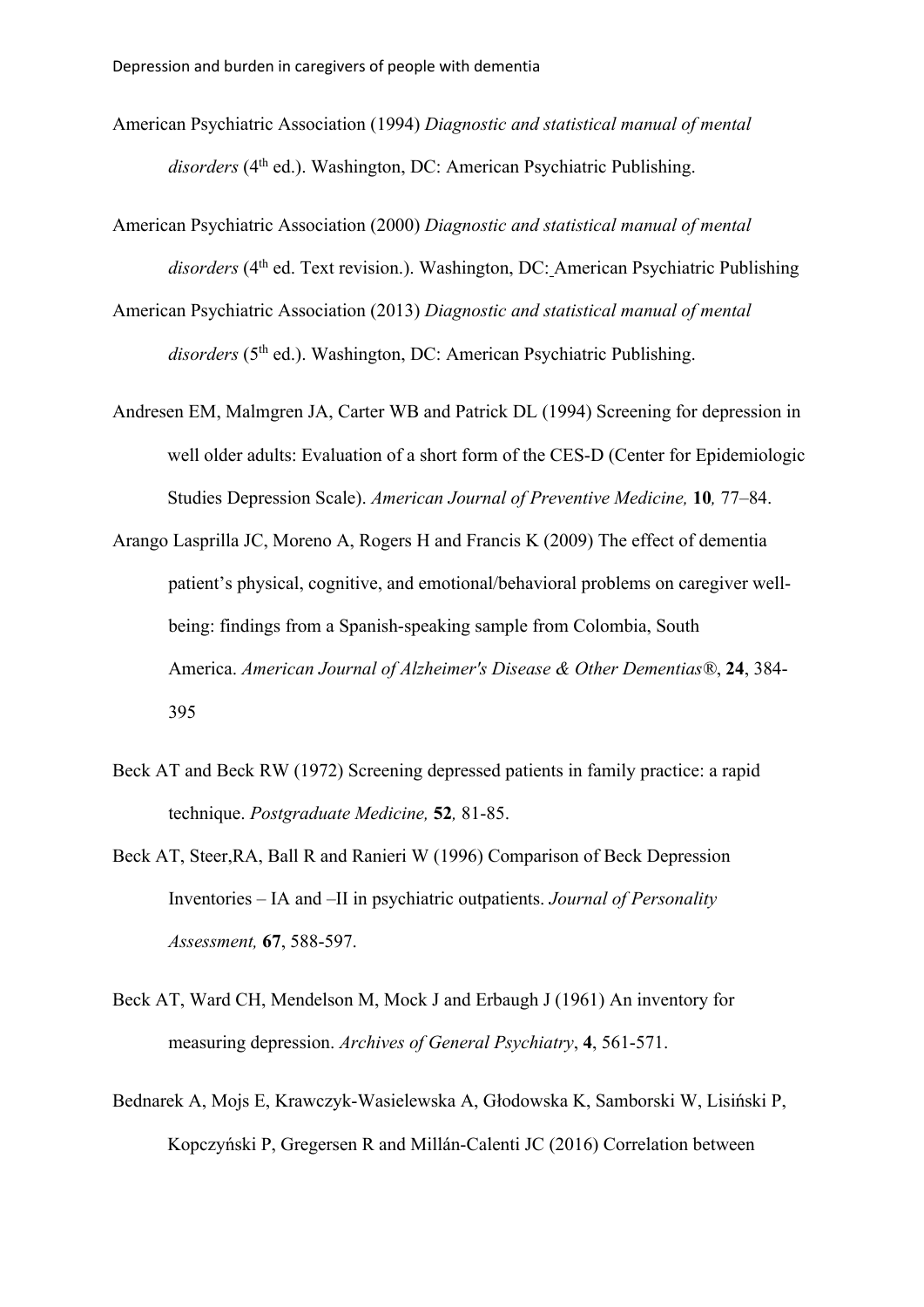- American Psychiatric Association (1994) *Diagnostic and statistical manual of mental*  disorders (4<sup>th</sup> ed.). Washington, DC: American Psychiatric Publishing.
- American Psychiatric Association (2000) *Diagnostic and statistical manual of mental*  disorders (4<sup>th</sup> ed. Text revision.). Washington, DC: American Psychiatric Publishing
- American Psychiatric Association (2013) *Diagnostic and statistical manual of mental*  disorders (5<sup>th</sup> ed.). Washington, DC: American Psychiatric Publishing.
- Andresen EM, Malmgren JA, Carter WB and Patrick DL (1994) Screening for depression in well older adults: Evaluation of a short form of the CES-D (Center for Epidemiologic Studies Depression Scale). *American Journal of Preventive Medicine,* **10***,* 77–84.
- Arango Lasprilla JC, Moreno A, Rogers H and Francis K (2009) The effect of dementia patient's physical, cognitive, and emotional/behavioral problems on caregiver wellbeing: findings from a Spanish-speaking sample from Colombia, South America. *American Journal of Alzheimer's Disease & Other Dementias®*, **24**, 384- 395
- Beck AT and Beck RW (1972) Screening depressed patients in family practice: a rapid technique. *Postgraduate Medicine,* **52***,* 81-85.
- Beck AT, Steer,RA, Ball R and Ranieri W (1996) Comparison of Beck Depression Inventories – IA and –II in psychiatric outpatients. *Journal of Personality Assessment,* **67**, 588-597.
- Beck AT, Ward CH, Mendelson M, Mock J and Erbaugh J (1961) An inventory for measuring depression. *Archives of General Psychiatry*, **4**, 561-571.
- Bednarek A, Mojs E, Krawczyk-Wasielewska A, Głodowska K, Samborski W, Lisiński P, Kopczyński P, Gregersen R and Millán-Calenti JC (2016) Correlation between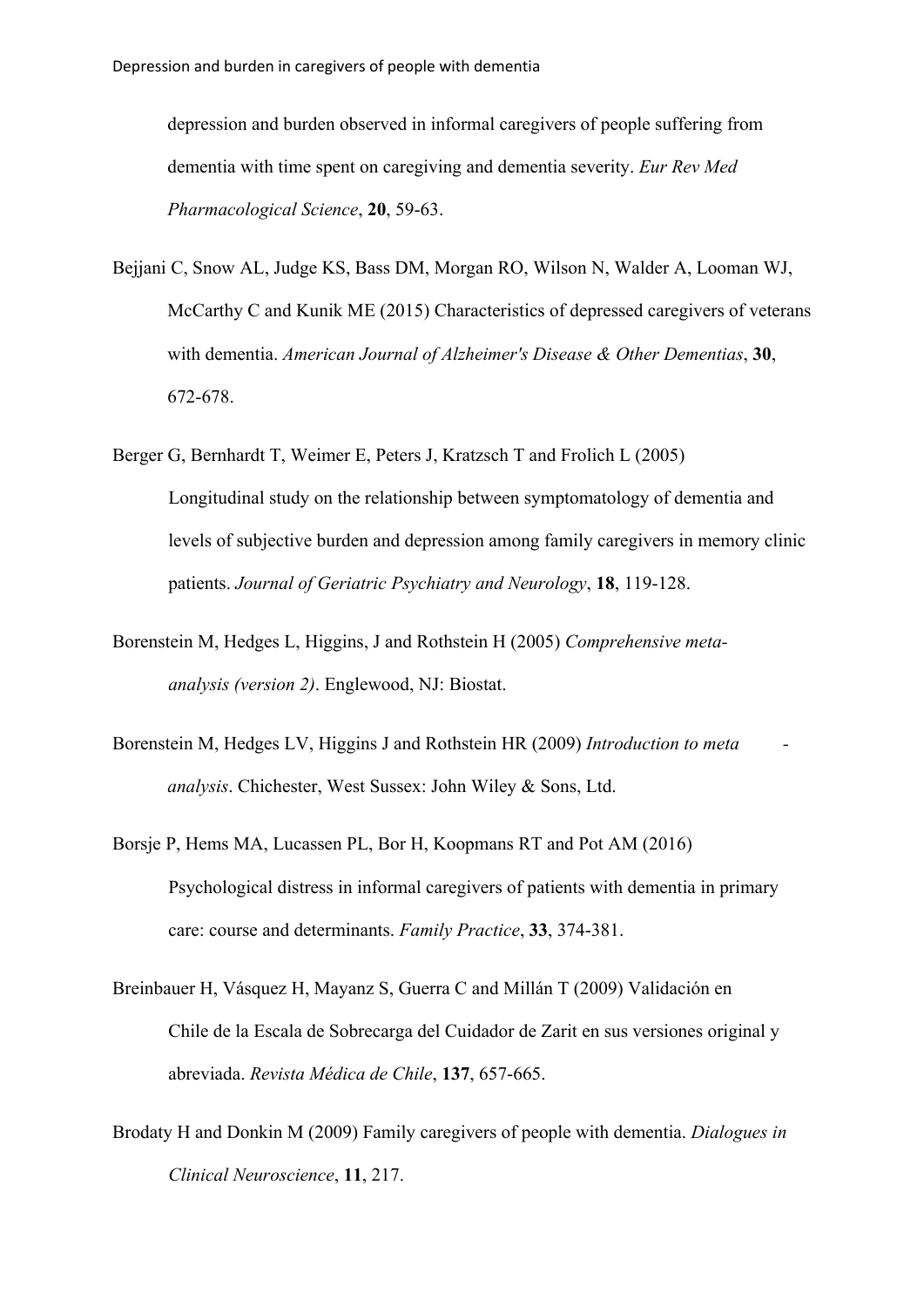depression and burden observed in informal caregivers of people suffering from dementia with time spent on caregiving and dementia severity. *Eur Rev Med Pharmacological Science*, **20**, 59-63.

- Bejjani C, Snow AL, Judge KS, Bass DM, Morgan RO, Wilson N, Walder A, Looman WJ, McCarthy C and Kunik ME (2015) Characteristics of depressed caregivers of veterans with dementia. *American Journal of Alzheimer's Disease & Other Dementias*, **30**, 672-678.
- Berger G, Bernhardt T, Weimer E, Peters J, Kratzsch T and Frolich L (2005) Longitudinal study on the relationship between symptomatology of dementia and levels of subjective burden and depression among family caregivers in memory clinic patients. *Journal of Geriatric Psychiatry and Neurology*, **18**, 119-128.
- Borenstein M, Hedges L, Higgins, J and Rothstein H (2005) *Comprehensive metaanalysis (version 2)*. Englewood, NJ: Biostat.
- Borenstein M, Hedges LV, Higgins J and Rothstein HR (2009) *Introduction to meta analysis*. Chichester, West Sussex: John Wiley & Sons, Ltd.
- Borsje P, Hems MA, Lucassen PL, Bor H, Koopmans RT and Pot AM (2016) Psychological distress in informal caregivers of patients with dementia in primary care: course and determinants. *Family Practice*, **33**, 374-381.
- Breinbauer H, Vásquez H, Mayanz S, Guerra C and Millán T (2009) Validación en Chile de la Escala de Sobrecarga del Cuidador de Zarit en sus versiones original y abreviada. *Revista Médica de Chile*, **137**, 657-665.
- Brodaty H and Donkin M (2009) Family caregivers of people with dementia. *Dialogues in Clinical Neuroscience*, **11**, 217.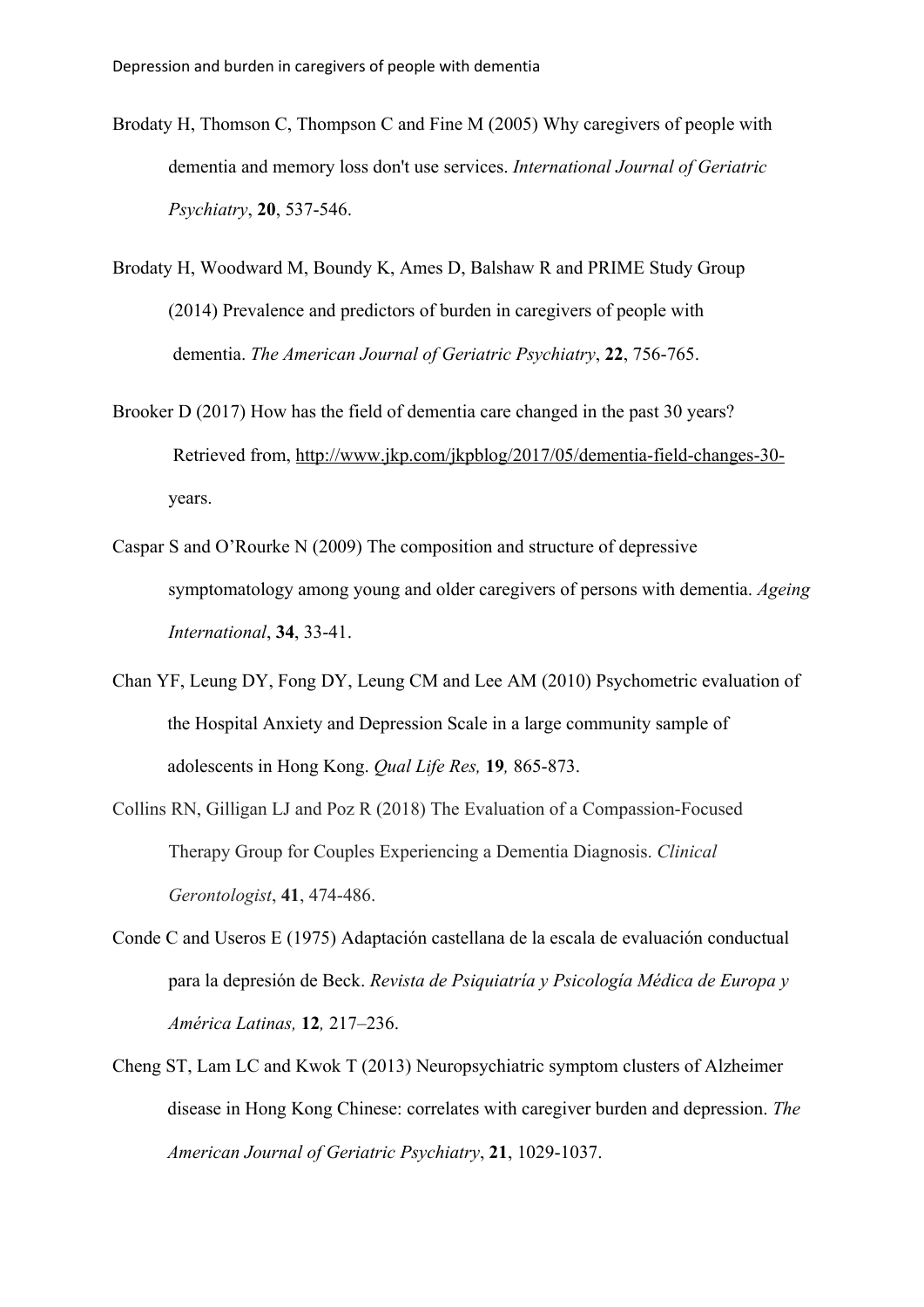- Brodaty H, Thomson C, Thompson C and Fine M (2005) Why caregivers of people with dementia and memory loss don't use services. *International Journal of Geriatric Psychiatry*, **20**, 537-546.
- Brodaty H, Woodward M, Boundy K, Ames D, Balshaw R and PRIME Study Group (2014) Prevalence and predictors of burden in caregivers of people with dementia. *The American Journal of Geriatric Psychiatry*, **22**, 756-765.
- Brooker D (2017) How has the field of dementia care changed in the past 30 years? Retrieved from, http://www.jkp.com/jkpblog/2017/05/dementia-field-changes-30 years.
- Caspar S and O'Rourke N (2009) The composition and structure of depressive symptomatology among young and older caregivers of persons with dementia. *Ageing International*, **34**, 33-41.
- Chan YF, Leung DY, Fong DY, Leung CM and Lee AM (2010) Psychometric evaluation of the Hospital Anxiety and Depression Scale in a large community sample of adolescents in Hong Kong. *Qual Life Res,* **19***,* 865-873.
- Collins RN, Gilligan LJ and Poz R (2018) The Evaluation of a Compassion-Focused Therapy Group for Couples Experiencing a Dementia Diagnosis. *Clinical Gerontologist*, **41**, 474-486.
- Conde C and Useros E (1975) Adaptación castellana de la escala de evaluación conductual para la depresión de Beck. *Revista de Psiquiatría y Psicología Médica de Europa y América Latinas,* **12***,* 217–236.
- Cheng ST, Lam LC and Kwok T (2013) Neuropsychiatric symptom clusters of Alzheimer disease in Hong Kong Chinese: correlates with caregiver burden and depression. *The American Journal of Geriatric Psychiatry*, **21**, 1029-1037.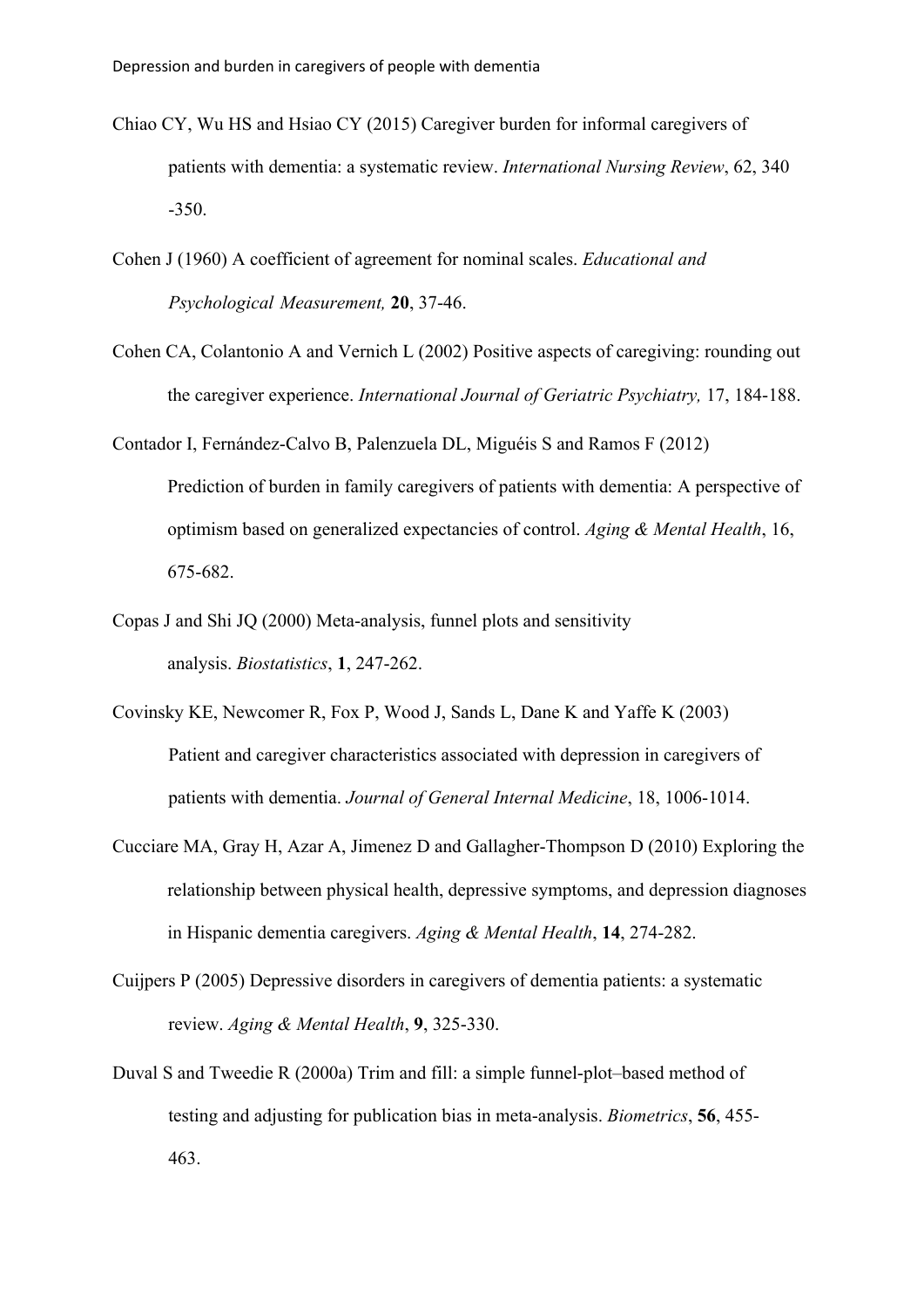- Chiao CY, Wu HS and Hsiao CY (2015) Caregiver burden for informal caregivers of patients with dementia: a systematic review. *International Nursing Review*, 62, 340 -350.
- Cohen J (1960) A coefficient of agreement for nominal scales. *Educational and Psychological Measurement,* **20**, 37-46.
- Cohen CA, Colantonio A and Vernich L (2002) Positive aspects of caregiving: rounding out the caregiver experience. *International Journal of Geriatric Psychiatry,* 17, 184-188.
- Contador I, Fernández-Calvo B, Palenzuela DL, Miguéis S and Ramos F (2012) Prediction of burden in family caregivers of patients with dementia: A perspective of optimism based on generalized expectancies of control. *Aging & Mental Health*, 16, 675-682.
- Copas J and Shi JQ (2000) Meta-analysis, funnel plots and sensitivity analysis. *Biostatistics*, **1**, 247-262.
- Covinsky KE, Newcomer R, Fox P, Wood J, Sands L, Dane K and Yaffe K (2003) Patient and caregiver characteristics associated with depression in caregivers of patients with dementia. *Journal of General Internal Medicine*, 18, 1006-1014.
- Cucciare MA, Gray H, Azar A, Jimenez D and Gallagher-Thompson D (2010) Exploring the relationship between physical health, depressive symptoms, and depression diagnoses in Hispanic dementia caregivers. *Aging & Mental Health*, **14**, 274-282.
- Cuijpers P (2005) Depressive disorders in caregivers of dementia patients: a systematic review. *Aging & Mental Health*, **9**, 325-330.
- Duval S and Tweedie R (2000a) Trim and fill: a simple funnel‐plot–based method of testing and adjusting for publication bias in meta‐analysis. *Biometrics*, **56**, 455- 463.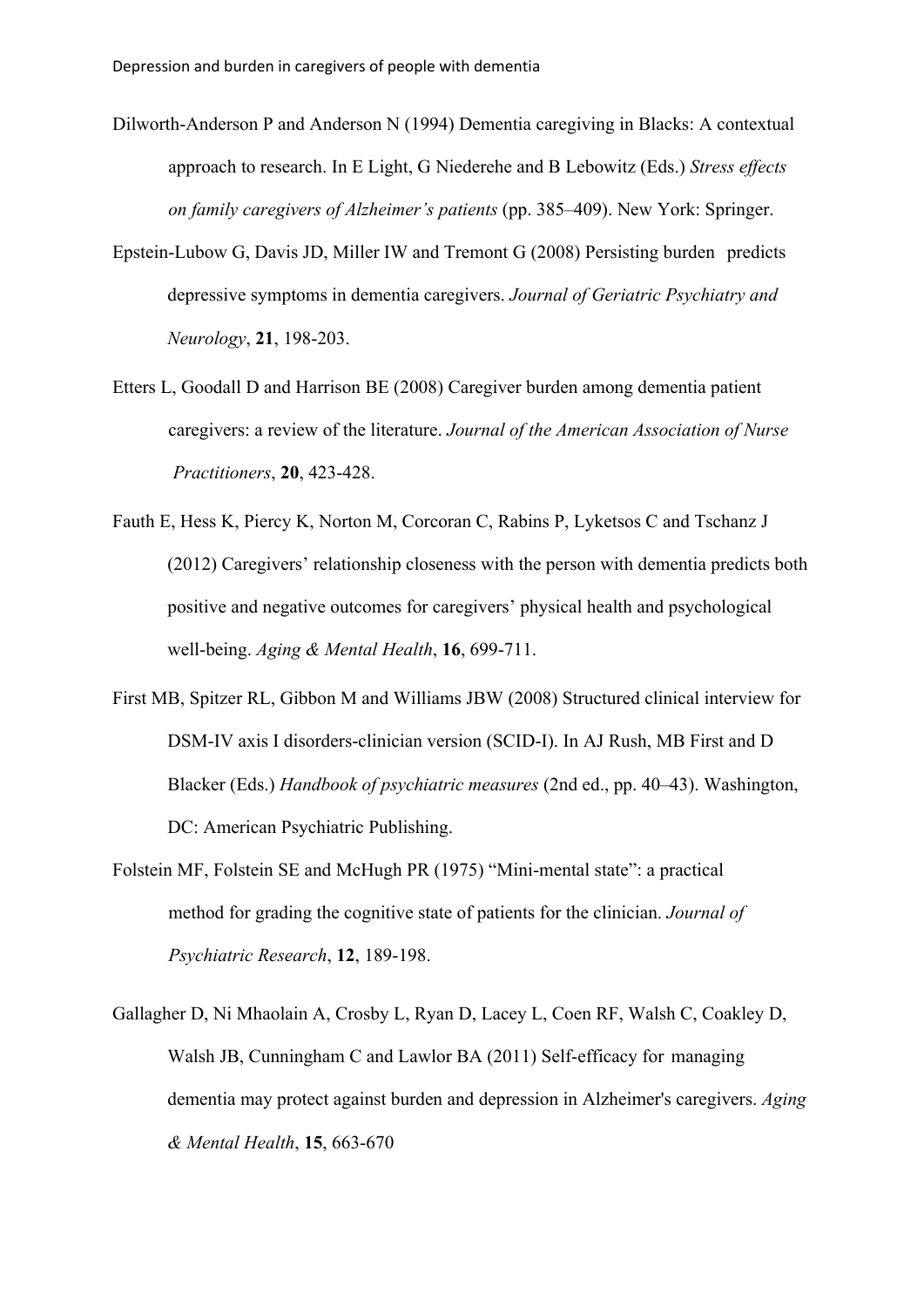- Dilworth-Anderson P and Anderson N (1994) Dementia caregiving in Blacks: A contextual approach to research. In E Light, G Niederehe and B Lebowitz (Eds.) *Stress effects on family caregivers of Alzheimer's patients* (pp. 385–409). New York: Springer.
- Epstein-Lubow G, Davis JD, Miller IW and Tremont G (2008) Persisting burden predicts depressive symptoms in dementia caregivers. *Journal of Geriatric Psychiatry and Neurology*, **21**, 198-203.
- Etters L, Goodall D and Harrison BE (2008) Caregiver burden among dementia patient caregivers: a review of the literature. *Journal of the American Association of Nurse Practitioners*, **20**, 423-428.
- Fauth E, Hess K, Piercy K, Norton M, Corcoran C, Rabins P, Lyketsos C and Tschanz J (2012) Caregivers' relationship closeness with the person with dementia predicts both positive and negative outcomes for caregivers' physical health and psychological well-being. *Aging & Mental Health*, **16**, 699-711.
- First MB, Spitzer RL, Gibbon M and Williams JBW (2008) Structured clinical interview for DSM-IV axis I disorders-clinician version (SCID-I). In AJ Rush, MB First and D Blacker (Eds.) *Handbook of psychiatric measures* (2nd ed., pp. 40–43). Washington, DC: American Psychiatric Publishing.
- Folstein MF, Folstein SE and McHugh PR (1975) "Mini-mental state": a practical method for grading the cognitive state of patients for the clinician. *Journal of Psychiatric Research*, **12**, 189-198.
- Gallagher D, Ni Mhaolain A, Crosby L, Ryan D, Lacey L, Coen RF, Walsh C, Coakley D, Walsh JB, Cunningham C and Lawlor BA (2011) Self-efficacy for managing dementia may protect against burden and depression in Alzheimer's caregivers. *Aging & Mental Health*, **15**, 663-670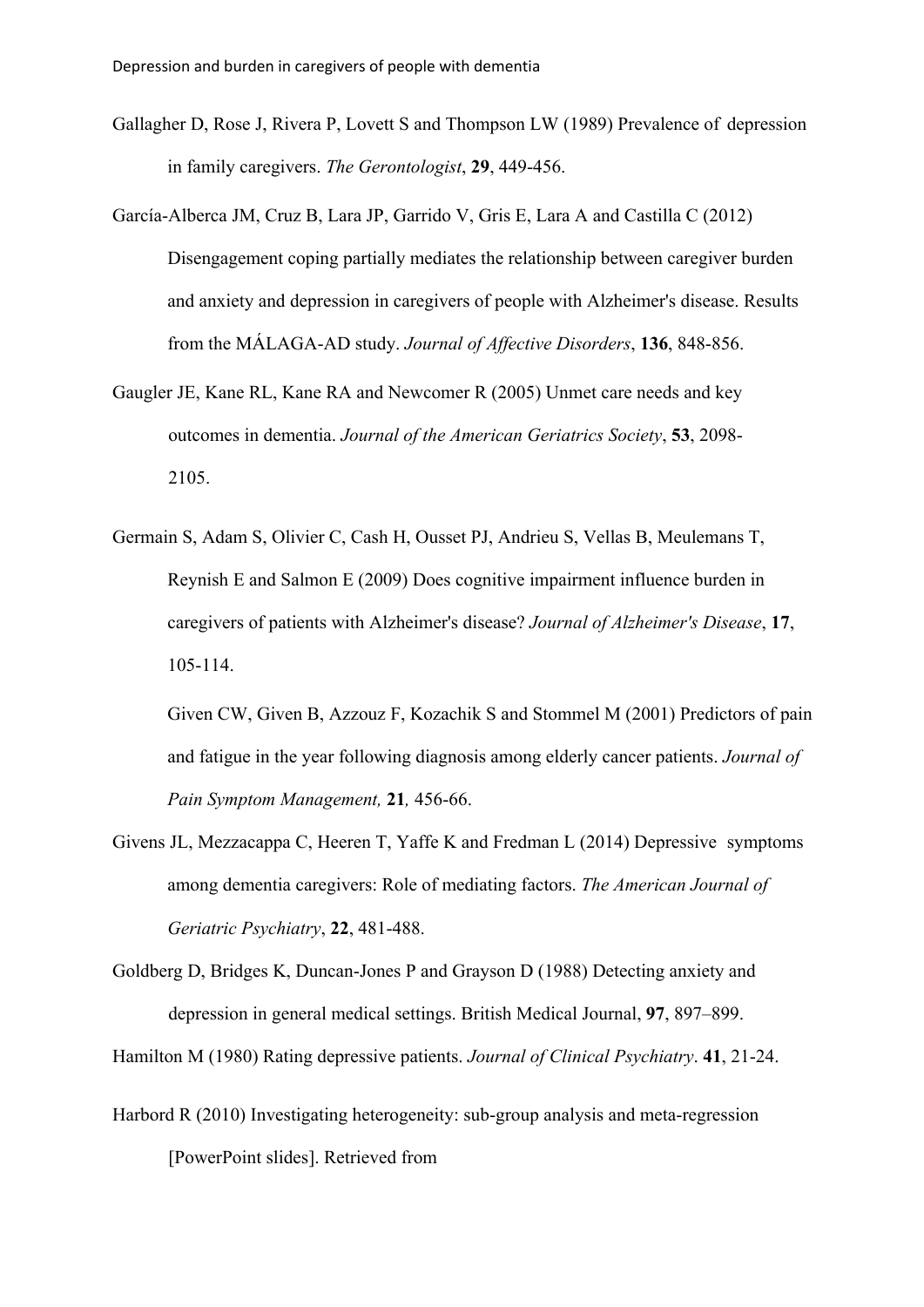- Gallagher D, Rose J, Rivera P, Lovett S and Thompson LW (1989) Prevalence of depression in family caregivers. *The Gerontologist*, **29**, 449-456.
- García-Alberca JM, Cruz B, Lara JP, Garrido V, Gris E, Lara A and Castilla C (2012) Disengagement coping partially mediates the relationship between caregiver burden and anxiety and depression in caregivers of people with Alzheimer's disease. Results from the MÁLAGA-AD study. *Journal of Affective Disorders*, **136**, 848-856.
- Gaugler JE, Kane RL, Kane RA and Newcomer R (2005) Unmet care needs and key outcomes in dementia. *Journal of the American Geriatrics Society*, **53**, 2098- 2105.
- Germain S, Adam S, Olivier C, Cash H, Ousset PJ, Andrieu S, Vellas B, Meulemans T, Reynish E and Salmon E (2009) Does cognitive impairment influence burden in caregivers of patients with Alzheimer's disease? *Journal of Alzheimer's Disease*, **17**, 105-114.

Given CW, Given B, Azzouz F, Kozachik S and Stommel M (2001) Predictors of pain and fatigue in the year following diagnosis among elderly cancer patients. *Journal of Pain Symptom Management,* **21***,* 456-66.

- Givens JL, Mezzacappa C, Heeren T, Yaffe K and Fredman L (2014) Depressive symptoms among dementia caregivers: Role of mediating factors. *The American Journal of Geriatric Psychiatry*, **22**, 481-488.
- Goldberg D, Bridges K, Duncan-Jones P and Grayson D (1988) Detecting anxiety and depression in general medical settings. British Medical Journal, **97**, 897–899.

Hamilton M (1980) Rating depressive patients. *Journal of Clinical Psychiatry*. **41**, 21-24.

Harbord R (2010) Investigating heterogeneity: sub-group analysis and meta-regression [PowerPoint slides]. Retrieved from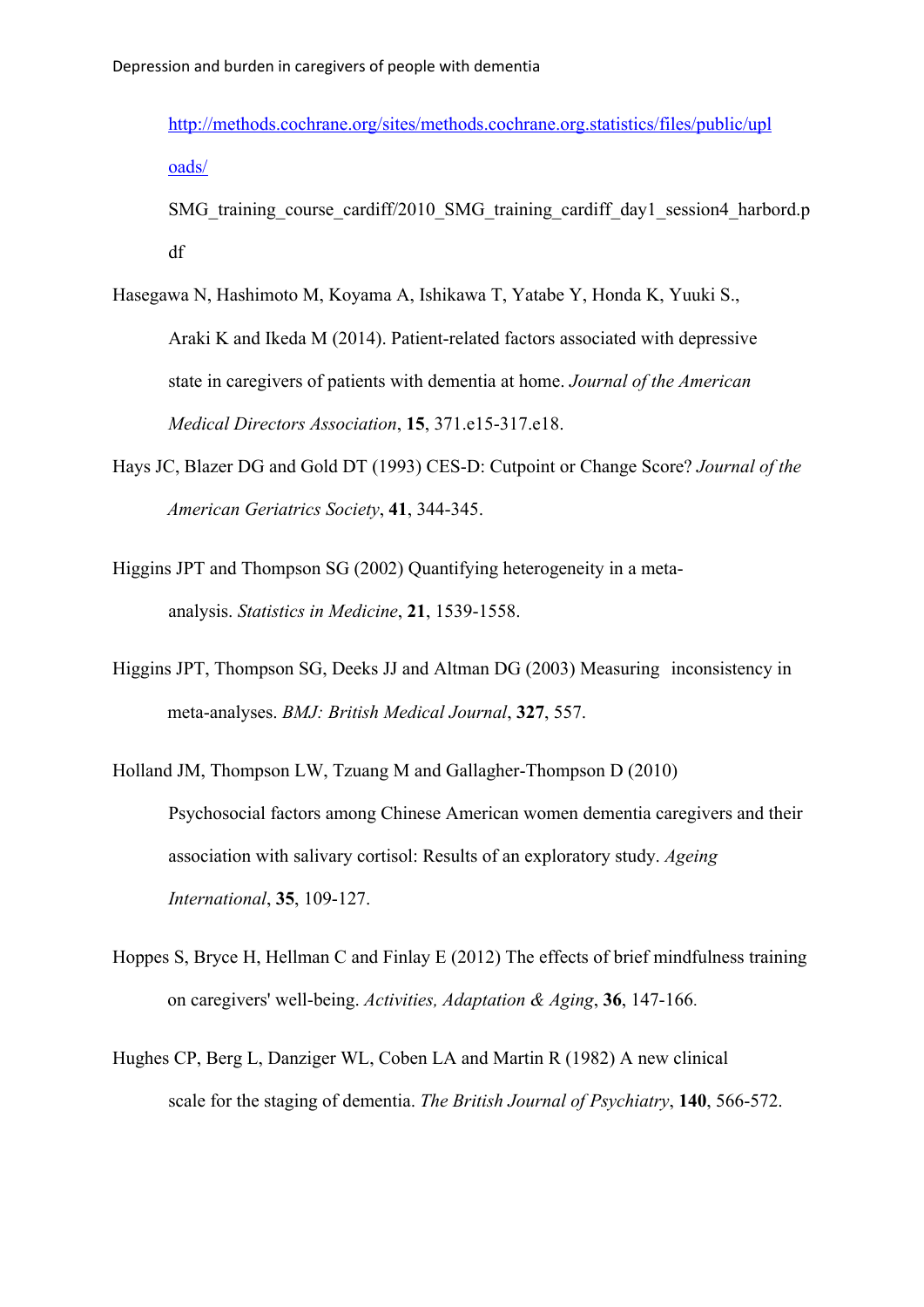http://methods.cochrane.org/sites/methods.cochrane.org.statistics/files/public/upl oads/

SMG training course cardiff/2010 SMG training cardiff day1 session4 harbord.p df

- Hasegawa N, Hashimoto M, Koyama A, Ishikawa T, Yatabe Y, Honda K, Yuuki S., Araki K and Ikeda M (2014). Patient-related factors associated with depressive state in caregivers of patients with dementia at home. *Journal of the American Medical Directors Association*, **15**, 371.e15-317.e18.
- Hays JC, Blazer DG and Gold DT (1993) CES‐D: Cutpoint or Change Score? *Journal of the American Geriatrics Society*, **41**, 344-345.
- Higgins JPT and Thompson SG (2002) Quantifying heterogeneity in a metaanalysis. *Statistics in Medicine*, **21**, 1539-1558.
- Higgins JPT, Thompson SG, Deeks JJ and Altman DG (2003) Measuring inconsistency in meta-analyses. *BMJ: British Medical Journal*, **327**, 557.
- Holland JM, Thompson LW, Tzuang M and Gallagher-Thompson D (2010) Psychosocial factors among Chinese American women dementia caregivers and their association with salivary cortisol: Results of an exploratory study. *Ageing International*, **35**, 109-127.
- Hoppes S, Bryce H, Hellman C and Finlay E (2012) The effects of brief mindfulness training on caregivers' well-being. *Activities, Adaptation & Aging*, **36**, 147-166.
- Hughes CP, Berg L, Danziger WL, Coben LA and Martin R (1982) A new clinical scale for the staging of dementia. *The British Journal of Psychiatry*, **140**, 566-572.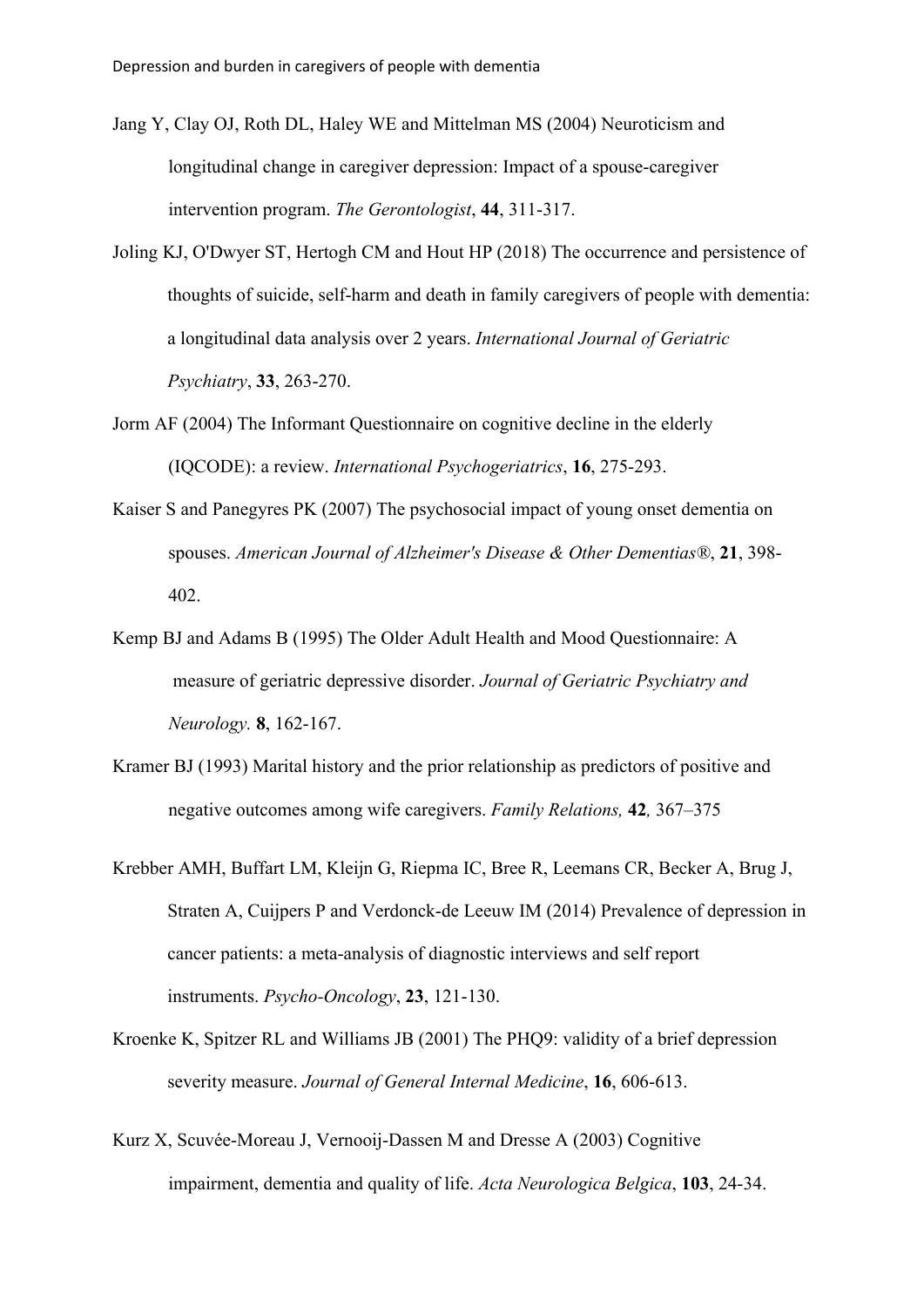- Jang Y, Clay OJ, Roth DL, Haley WE and Mittelman MS (2004) Neuroticism and longitudinal change in caregiver depression: Impact of a spouse-caregiver intervention program. *The Gerontologist*, **44**, 311-317.
- Joling KJ, O'Dwyer ST, Hertogh CM and Hout HP (2018) The occurrence and persistence of thoughts of suicide, self‐harm and death in family caregivers of people with dementia: a longitudinal data analysis over 2 years. *International Journal of Geriatric Psychiatry*, **33**, 263-270.
- Jorm AF (2004) The Informant Questionnaire on cognitive decline in the elderly (IQCODE): a review. *International Psychogeriatrics*, **16**, 275-293.
- Kaiser S and Panegyres PK (2007) The psychosocial impact of young onset dementia on spouses. *American Journal of Alzheimer's Disease & Other Dementias®*, **21**, 398- 402.
- Kemp BJ and Adams B (1995) The Older Adult Health and Mood Questionnaire: A measure of geriatric depressive disorder. *Journal of Geriatric Psychiatry and Neurology.* **8**, 162-167.
- Kramer BJ (1993) Marital history and the prior relationship as predictors of positive and negative outcomes among wife caregivers. *Family Relations,* **42***,* 367–375
- Krebber AMH, Buffart LM, Kleijn G, Riepma IC, Bree R, Leemans CR, Becker A, Brug J, Straten A, Cuijpers P and Verdonck‐de Leeuw IM (2014) Prevalence of depression in cancer patients: a meta‐analysis of diagnostic interviews and self report instruments. *Psycho‐Oncology*, **23**, 121-130.
- Kroenke K, Spitzer RL and Williams JB (2001) The PHQ9: validity of a brief depression severity measure. *Journal of General Internal Medicine*, **16**, 606-613.
- Kurz X, Scuvée-Moreau J, Vernooij-Dassen M and Dresse A (2003) Cognitive impairment, dementia and quality of life. *Acta Neurologica Belgica*, **103**, 24-34.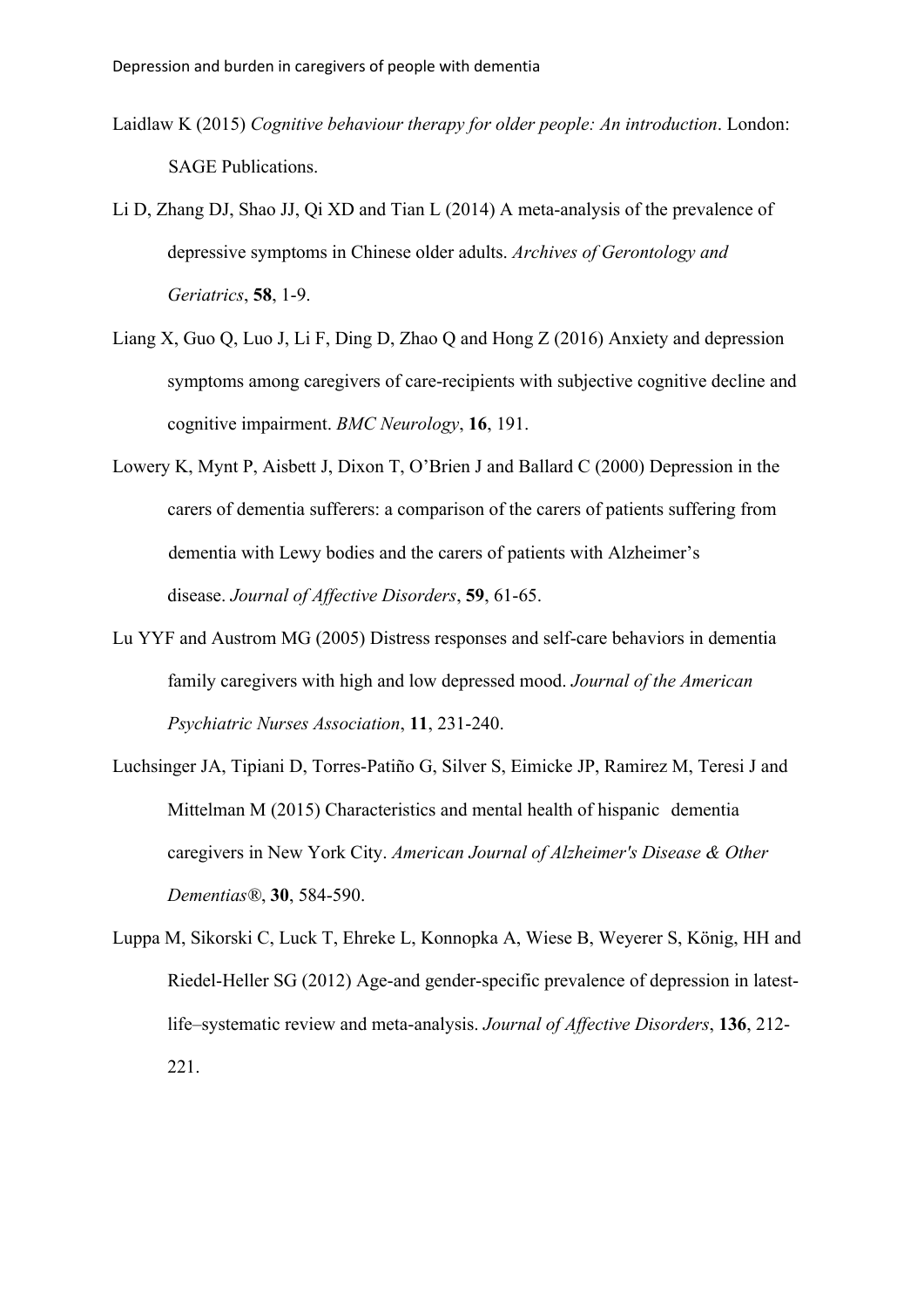- Laidlaw K (2015) *Cognitive behaviour therapy for older people: An introduction*. London: SAGE Publications.
- Li D, Zhang DJ, Shao JJ, Qi XD and Tian L (2014) A meta-analysis of the prevalence of depressive symptoms in Chinese older adults. *Archives of Gerontology and Geriatrics*, **58**, 1-9.
- Liang X, Guo Q, Luo J, Li F, Ding D, Zhao Q and Hong Z (2016) Anxiety and depression symptoms among caregivers of care-recipients with subjective cognitive decline and cognitive impairment. *BMC Neurology*, **16**, 191.
- Lowery K, Mynt P, Aisbett J, Dixon T, O'Brien J and Ballard C (2000) Depression in the carers of dementia sufferers: a comparison of the carers of patients suffering from dementia with Lewy bodies and the carers of patients with Alzheimer's disease. *Journal of Affective Disorders*, **59**, 61-65.
- Lu YYF and Austrom MG (2005) Distress responses and self-care behaviors in dementia family caregivers with high and low depressed mood. *Journal of the American Psychiatric Nurses Association*, **11**, 231-240.
- Luchsinger JA, Tipiani D, Torres-Patiño G, Silver S, Eimicke JP, Ramirez M, Teresi J and Mittelman M (2015) Characteristics and mental health of hispanic dementia caregivers in New York City. *American Journal of Alzheimer's Disease & Other Dementias®*, **30**, 584-590.
- Luppa M, Sikorski C, Luck T, Ehreke L, Konnopka A, Wiese B, Weyerer S, König, HH and Riedel-Heller SG (2012) Age-and gender-specific prevalence of depression in latestlife–systematic review and meta-analysis. *Journal of Affective Disorders*, **136**, 212- 221.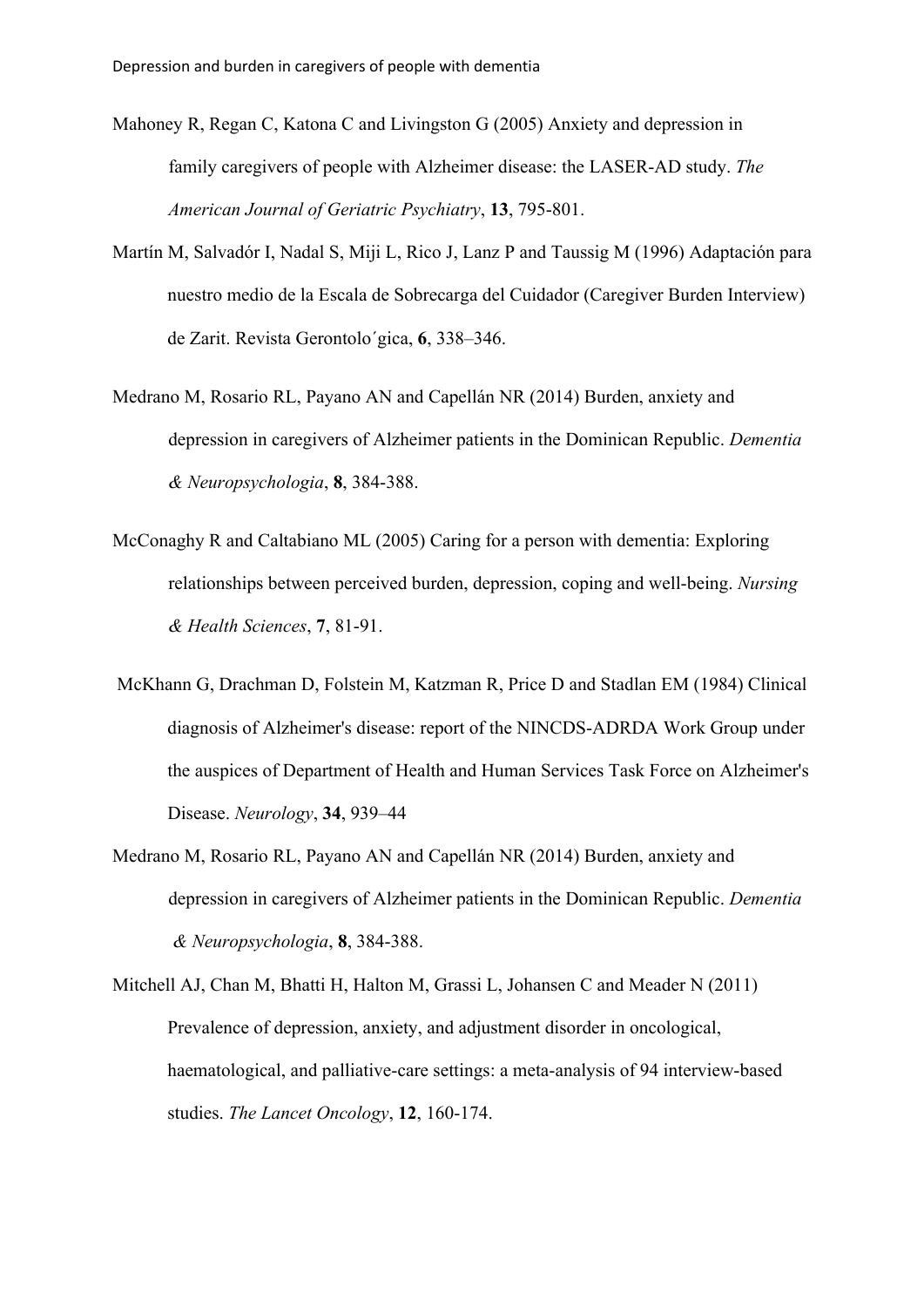- Mahoney R, Regan C, Katona C and Livingston G (2005) Anxiety and depression in family caregivers of people with Alzheimer disease: the LASER-AD study. *The American Journal of Geriatric Psychiatry*, **13**, 795-801.
- Martín M, Salvadór I, Nadal S, Miji L, Rico J, Lanz P and Taussig M (1996) Adaptación para nuestro medio de la Escala de Sobrecarga del Cuidador (Caregiver Burden Interview) de Zarit. Revista Gerontolo´gica, **6**, 338–346.
- Medrano M, Rosario RL, Payano AN and Capellán NR (2014) Burden, anxiety and depression in caregivers of Alzheimer patients in the Dominican Republic. *Dementia & Neuropsychologia*, **8**, 384-388.
- McConaghy R and Caltabiano ML (2005) Caring for a person with dementia: Exploring relationships between perceived burden, depression, coping and well‐being. *Nursing & Health Sciences*, **7**, 81-91.
- McKhann G, Drachman D, Folstein M, Katzman R, Price D and Stadlan EM (1984) Clinical diagnosis of Alzheimer's disease: report of the NINCDS-ADRDA Work Group under the auspices of Department of Health and Human Services Task Force on Alzheimer's Disease. *Neurology*, **34**, 939–44
- Medrano M, Rosario RL, Payano AN and Capellán NR (2014) Burden, anxiety and depression in caregivers of Alzheimer patients in the Dominican Republic. *Dementia & Neuropsychologia*, **8**, 384-388.
- Mitchell AJ, Chan M, Bhatti H, Halton M, Grassi L, Johansen C and Meader N (2011) Prevalence of depression, anxiety, and adjustment disorder in oncological, haematological, and palliative-care settings: a meta-analysis of 94 interview-based studies. *The Lancet Oncology*, **12**, 160-174.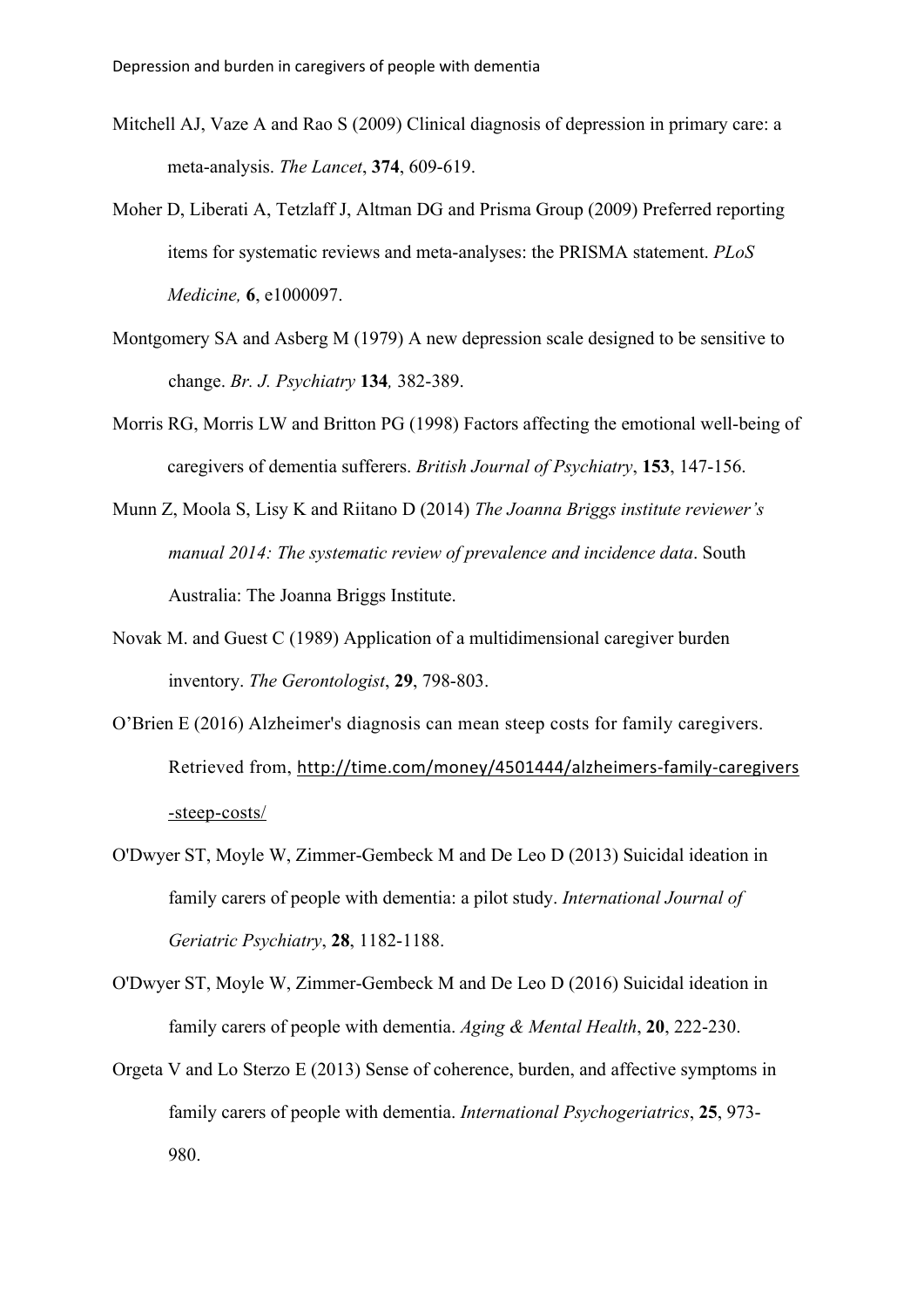- Mitchell AJ, Vaze A and Rao S (2009) Clinical diagnosis of depression in primary care: a meta-analysis. *The Lancet*, **374**, 609-619.
- Moher D, Liberati A, Tetzlaff J, Altman DG and Prisma Group (2009) Preferred reporting items for systematic reviews and meta-analyses: the PRISMA statement. *PLoS Medicine,* **6**, e1000097.
- Montgomery SA and Asberg M (1979) A new depression scale designed to be sensitive to change. *Br. J. Psychiatry* **134***,* 382-389.
- Morris RG, Morris LW and Britton PG (1998) Factors affecting the emotional well-being of caregivers of dementia sufferers. *British Journal of Psychiatry*, **153**, 147-156.
- Munn Z, Moola S, Lisy K and Riitano D (2014) *The Joanna Briggs institute reviewer's manual 2014: The systematic review of prevalence and incidence data*. South Australia: The Joanna Briggs Institute.
- Novak M. and Guest C (1989) Application of a multidimensional caregiver burden inventory. *The Gerontologist*, **29**, 798-803.
- O'Brien E (2016) Alzheimer's diagnosis can mean steep costs for family caregivers. Retrieved from, http://time.com/money/4501444/alzheimers-family-caregivers -steep-costs/
- O'Dwyer ST, Moyle W, Zimmer‐Gembeck M and De Leo D (2013) Suicidal ideation in family carers of people with dementia: a pilot study. *International Journal of Geriatric Psychiatry*, **28**, 1182-1188.
- O'Dwyer ST, Moyle W, Zimmer-Gembeck M and De Leo D (2016) Suicidal ideation in family carers of people with dementia. *Aging & Mental Health*, **20**, 222-230.
- Orgeta V and Lo Sterzo E (2013) Sense of coherence, burden, and affective symptoms in family carers of people with dementia. *International Psychogeriatrics*, **25**, 973- 980.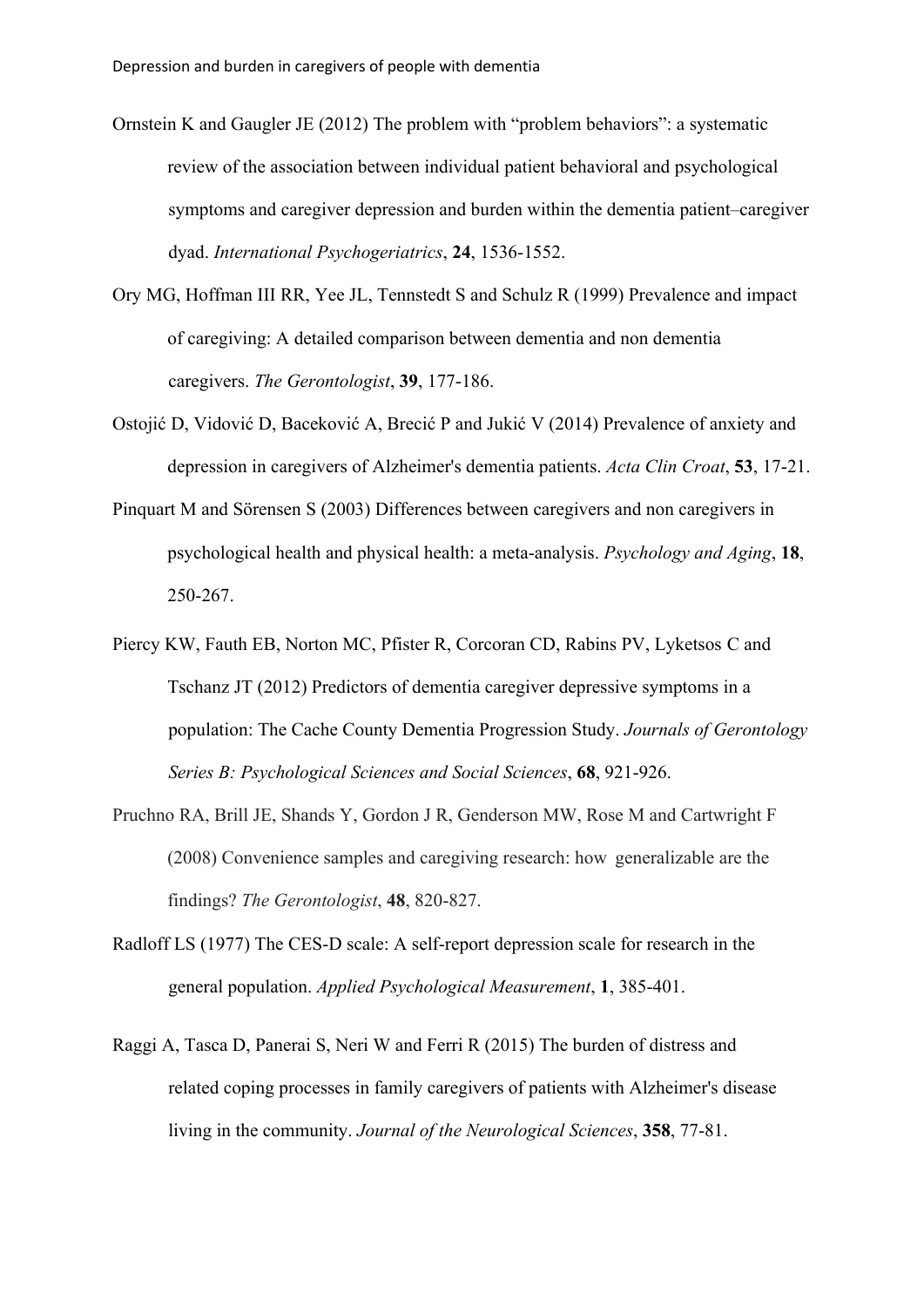- Ornstein K and Gaugler JE (2012) The problem with "problem behaviors": a systematic review of the association between individual patient behavioral and psychological symptoms and caregiver depression and burden within the dementia patient–caregiver dyad. *International Psychogeriatrics*, **24**, 1536-1552.
- Ory MG, Hoffman III RR, Yee JL, Tennstedt S and Schulz R (1999) Prevalence and impact of caregiving: A detailed comparison between dementia and non dementia caregivers. *The Gerontologist*, **39**, 177-186.
- Ostojić D, Vidović D, Baceković A, Brecić P and Jukić V (2014) Prevalence of anxiety and depression in caregivers of Alzheimer's dementia patients. *Acta Clin Croat*, **53**, 17-21.
- Pinquart M and Sörensen S (2003) Differences between caregivers and non caregivers in psychological health and physical health: a meta-analysis. *Psychology and Aging*, **18**, 250-267.
- Piercy KW, Fauth EB, Norton MC, Pfister R, Corcoran CD, Rabins PV, Lyketsos C and Tschanz JT (2012) Predictors of dementia caregiver depressive symptoms in a population: The Cache County Dementia Progression Study. *Journals of Gerontology Series B: Psychological Sciences and Social Sciences*, **68**, 921-926.
- Pruchno RA, Brill JE, Shands Y, Gordon J R, Genderson MW, Rose M and Cartwright F (2008) Convenience samples and caregiving research: how generalizable are the findings? *The Gerontologist*, **48**, 820-827.
- Radloff LS (1977) The CES-D scale: A self-report depression scale for research in the general population. *Applied Psychological Measurement*, **1**, 385-401.
- Raggi A, Tasca D, Panerai S, Neri W and Ferri R (2015) The burden of distress and related coping processes in family caregivers of patients with Alzheimer's disease living in the community. *Journal of the Neurological Sciences*, **358**, 77-81.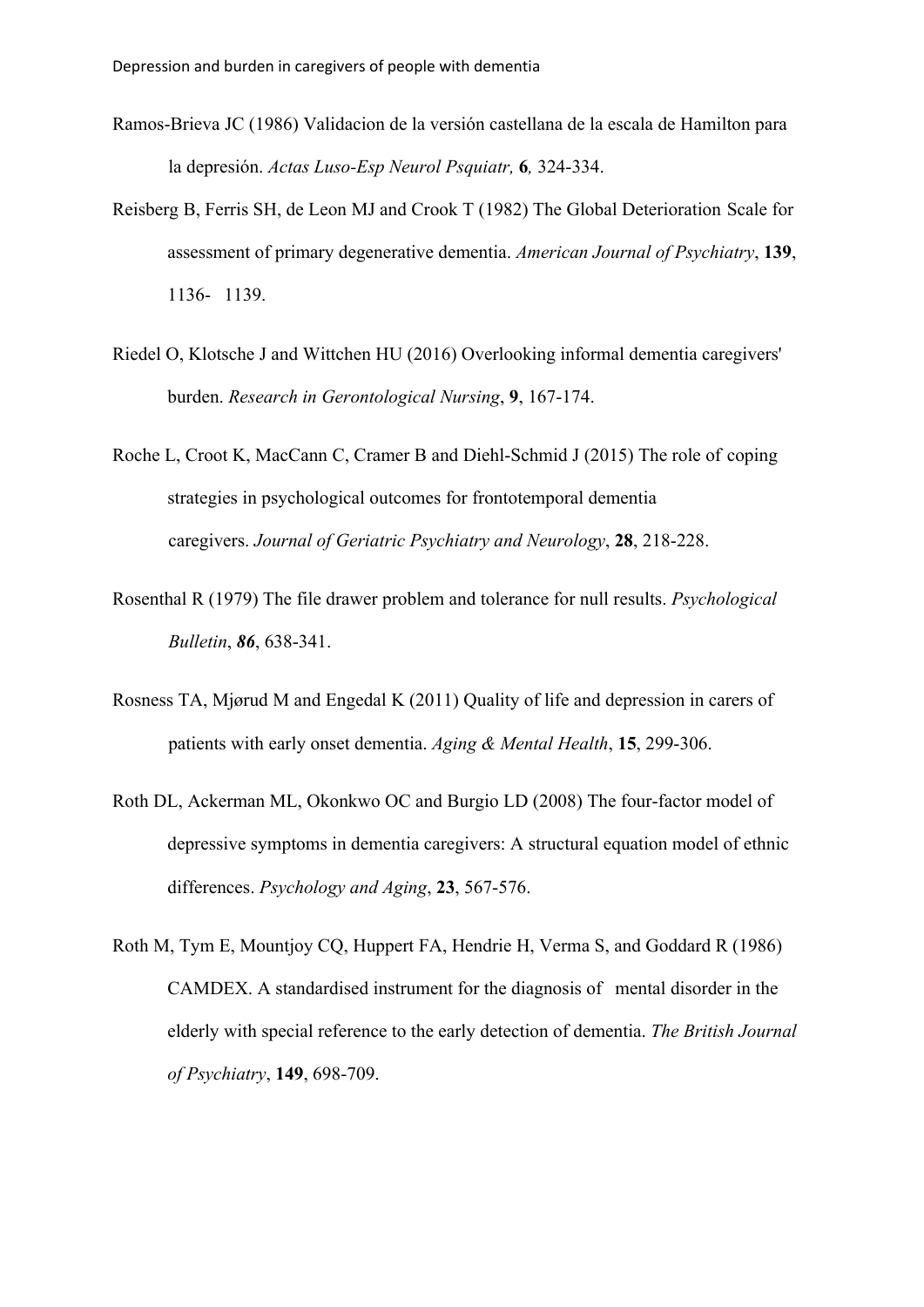- Ramos-Brieva JC (1986) Validacion de la versión castellana de la escala de Hamilton para la depresión. *Actas Luso-Esp Neurol Psquiatr,* **6***,* 324-334.
- Reisberg B, Ferris SH, de Leon MJ and Crook T (1982) The Global Deterioration Scale for assessment of primary degenerative dementia. *American Journal of Psychiatry*, **139**, 1136- 1139.
- Riedel O, Klotsche J and Wittchen HU (2016) Overlooking informal dementia caregivers' burden. *Research in Gerontological Nursing*, **9**, 167-174.
- Roche L, Croot K, MacCann C, Cramer B and Diehl-Schmid J (2015) The role of coping strategies in psychological outcomes for frontotemporal dementia caregivers. *Journal of Geriatric Psychiatry and Neurology*, **28**, 218-228.
- Rosenthal R (1979) The file drawer problem and tolerance for null results. *Psychological Bulletin*, *86*, 638-341.
- Rosness TA, Mjørud M and Engedal K (2011) Quality of life and depression in carers of patients with early onset dementia. *Aging & Mental Health*, **15**, 299-306.
- Roth DL, Ackerman ML, Okonkwo OC and Burgio LD (2008) The four-factor model of depressive symptoms in dementia caregivers: A structural equation model of ethnic differences. *Psychology and Aging*, **23**, 567-576.
- Roth M, Tym E, Mountjoy CQ, Huppert FA, Hendrie H, Verma S, and Goddard R (1986) CAMDEX. A standardised instrument for the diagnosis of mental disorder in the elderly with special reference to the early detection of dementia. *The British Journal of Psychiatry*, **149**, 698-709.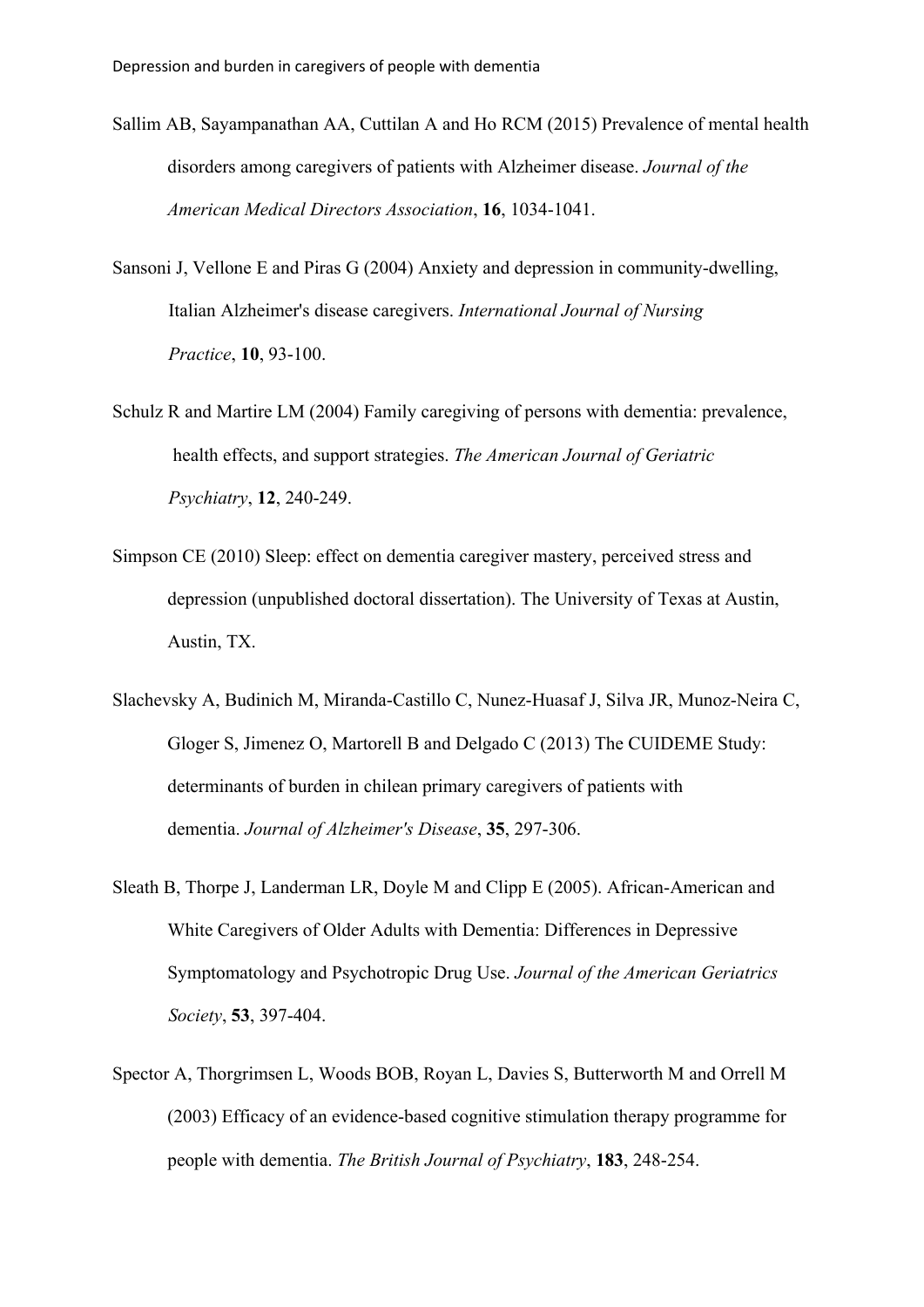- Sallim AB, Sayampanathan AA, Cuttilan A and Ho RCM (2015) Prevalence of mental health disorders among caregivers of patients with Alzheimer disease. *Journal of the American Medical Directors Association*, **16**, 1034-1041.
- Sansoni J, Vellone E and Piras G (2004) Anxiety and depression in community-dwelling, Italian Alzheimer's disease caregivers. *International Journal of Nursing Practice*, **10**, 93-100.
- Schulz R and Martire LM (2004) Family caregiving of persons with dementia: prevalence, health effects, and support strategies. *The American Journal of Geriatric Psychiatry*, **12**, 240-249.
- Simpson CE (2010) Sleep: effect on dementia caregiver mastery, perceived stress and depression (unpublished doctoral dissertation). The University of Texas at Austin, Austin, TX.
- Slachevsky A, Budinich M, Miranda-Castillo C, Nunez-Huasaf J, Silva JR, Munoz-Neira C, Gloger S, Jimenez O, Martorell B and Delgado C (2013) The CUIDEME Study: determinants of burden in chilean primary caregivers of patients with dementia. *Journal of Alzheimer's Disease*, **35**, 297-306.
- Sleath B, Thorpe J, Landerman LR, Doyle M and Clipp E (2005). African-American and White Caregivers of Older Adults with Dementia: Differences in Depressive Symptomatology and Psychotropic Drug Use. *Journal of the American Geriatrics Society*, **53**, 397-404.
- Spector A, Thorgrimsen L, Woods BOB, Royan L, Davies S, Butterworth M and Orrell M (2003) Efficacy of an evidence-based cognitive stimulation therapy programme for people with dementia. *The British Journal of Psychiatry*, **183**, 248-254.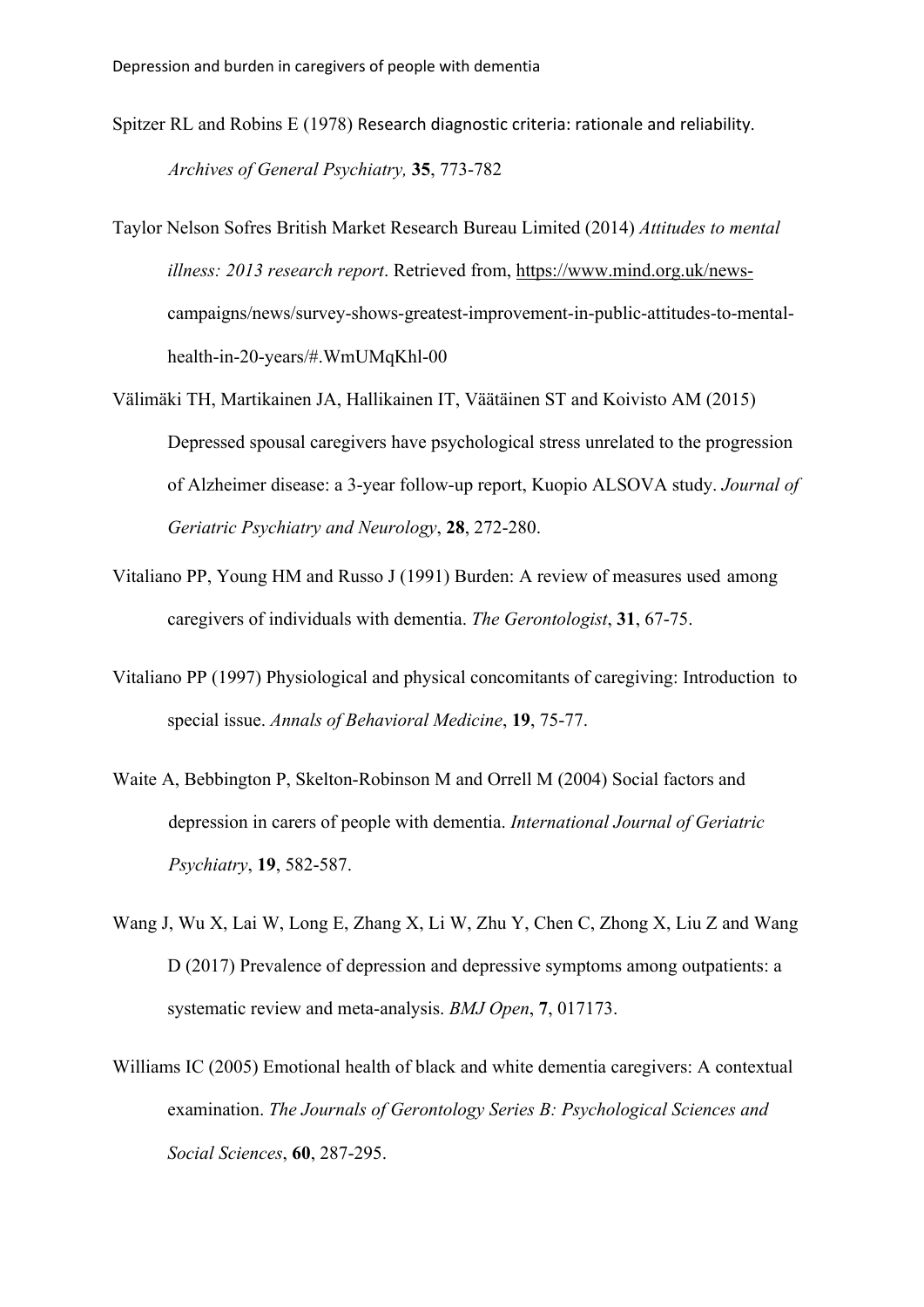- Spitzer RL and Robins E (1978) Research diagnostic criteria: rationale and reliability. *Archives of General Psychiatry,* **35**, 773-782
- Taylor Nelson Sofres British Market Research Bureau Limited (2014) *Attitudes to mental illness: 2013 research report*. Retrieved from, https://www.mind.org.uk/newscampaigns/news/survey-shows-greatest-improvement-in-public-attitudes-to-mentalhealth-in-20-years/#.WmUMqKhl-00
- Välimäki TH, Martikainen JA, Hallikainen IT, Väätäinen ST and Koivisto AM (2015) Depressed spousal caregivers have psychological stress unrelated to the progression of Alzheimer disease: a 3-year follow-up report, Kuopio ALSOVA study. *Journal of Geriatric Psychiatry and Neurology*, **28**, 272-280.
- Vitaliano PP, Young HM and Russo J (1991) Burden: A review of measures used among caregivers of individuals with dementia. *The Gerontologist*, **31**, 67-75.
- Vitaliano PP (1997) Physiological and physical concomitants of caregiving: Introduction to special issue. *Annals of Behavioral Medicine*, **19**, 75-77.
- Waite A, Bebbington P, Skelton‐Robinson M and Orrell M (2004) Social factors and depression in carers of people with dementia. *International Journal of Geriatric Psychiatry*, **19**, 582-587.
- Wang J, Wu X, Lai W, Long E, Zhang X, Li W, Zhu Y, Chen C, Zhong X, Liu Z and Wang D (2017) Prevalence of depression and depressive symptoms among outpatients: a systematic review and meta-analysis. *BMJ Open*, **7**, 017173.
- Williams IC (2005) Emotional health of black and white dementia caregivers: A contextual examination. *The Journals of Gerontology Series B: Psychological Sciences and Social Sciences*, **60**, 287-295.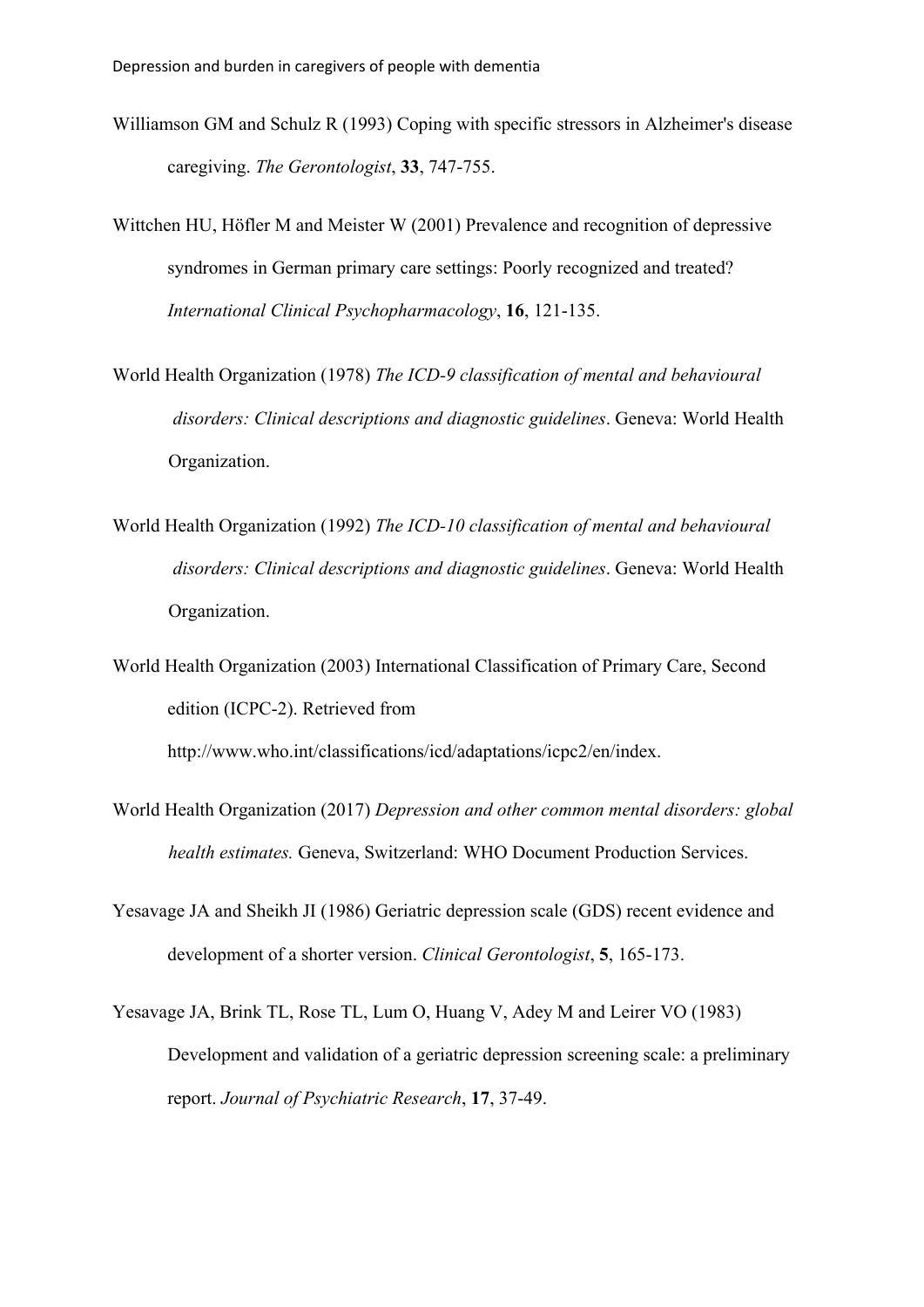- Williamson GM and Schulz R (1993) Coping with specific stressors in Alzheimer's disease caregiving. *The Gerontologist*, **33**, 747-755.
- Wittchen HU, Höfler M and Meister W (2001) Prevalence and recognition of depressive syndromes in German primary care settings: Poorly recognized and treated? *International Clinical Psychopharmacology*, **16**, 121-135.
- World Health Organization (1978) *The ICD-9 classification of mental and behavioural disorders: Clinical descriptions and diagnostic guidelines*. Geneva: World Health Organization.
- World Health Organization (1992) *The ICD-10 classification of mental and behavioural disorders: Clinical descriptions and diagnostic guidelines*. Geneva: World Health Organization.
- World Health Organization (2003) International Classification of Primary Care, Second edition (ICPC-2). Retrieved from

http://www.who.int/classifications/icd/adaptations/icpc2/en/index.

- World Health Organization (2017) *Depression and other common mental disorders: global health estimates.* Geneva, Switzerland: WHO Document Production Services.
- Yesavage JA and Sheikh JI (1986) Geriatric depression scale (GDS) recent evidence and development of a shorter version. *Clinical Gerontologist*, **5**, 165-173.
- Yesavage JA, Brink TL, Rose TL, Lum O, Huang V, Adey M and Leirer VO (1983) Development and validation of a geriatric depression screening scale: a preliminary report. *Journal of Psychiatric Research*, **17**, 37-49.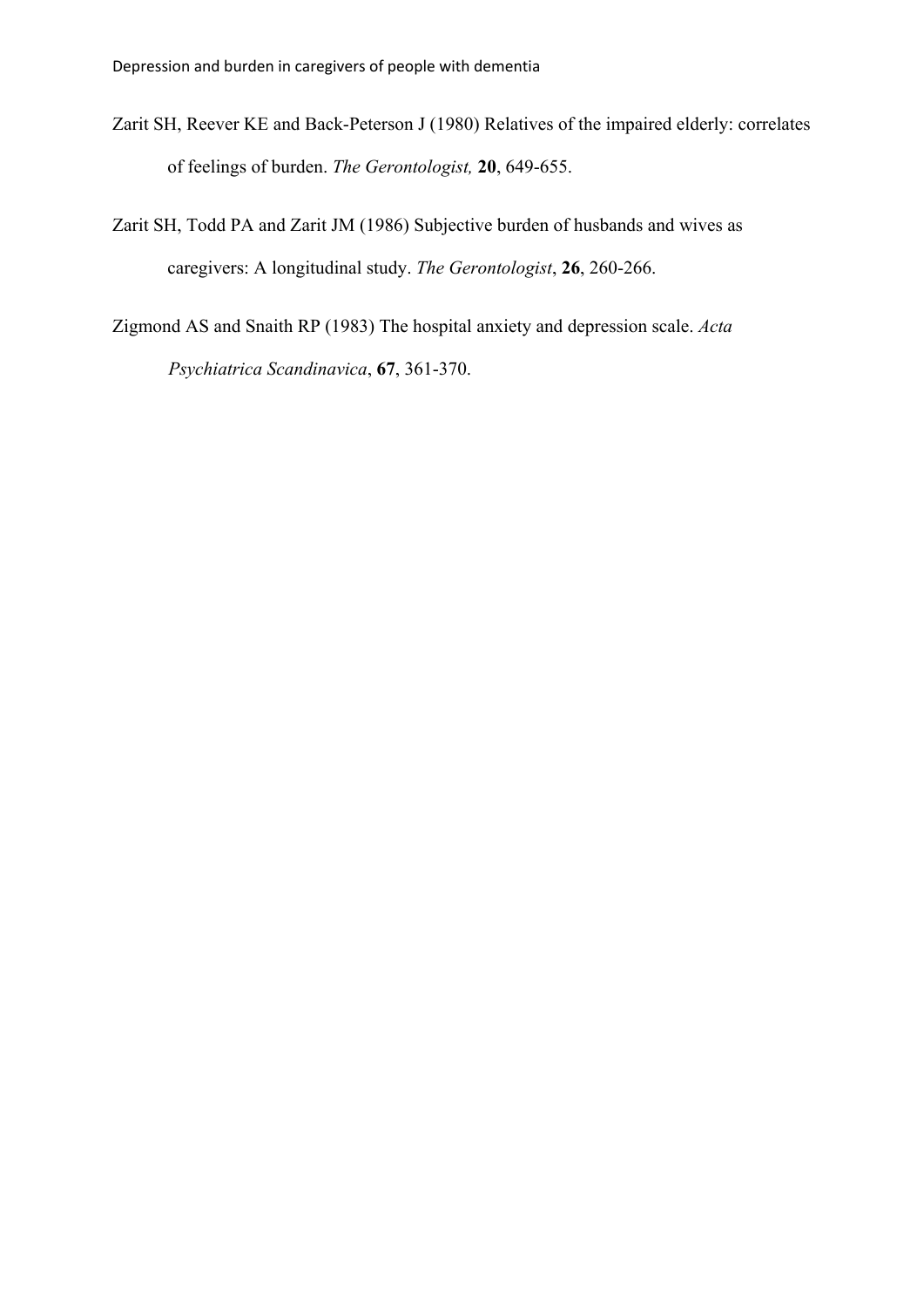- Zarit SH, Reever KE and Back-Peterson J (1980) Relatives of the impaired elderly: correlates of feelings of burden. *The Gerontologist,* **20**, 649-655.
- Zarit SH, Todd PA and Zarit JM (1986) Subjective burden of husbands and wives as caregivers: A longitudinal study. *The Gerontologist*, **26**, 260-266.
- Zigmond AS and Snaith RP (1983) The hospital anxiety and depression scale. *Acta Psychiatrica Scandinavica*, **67**, 361-370.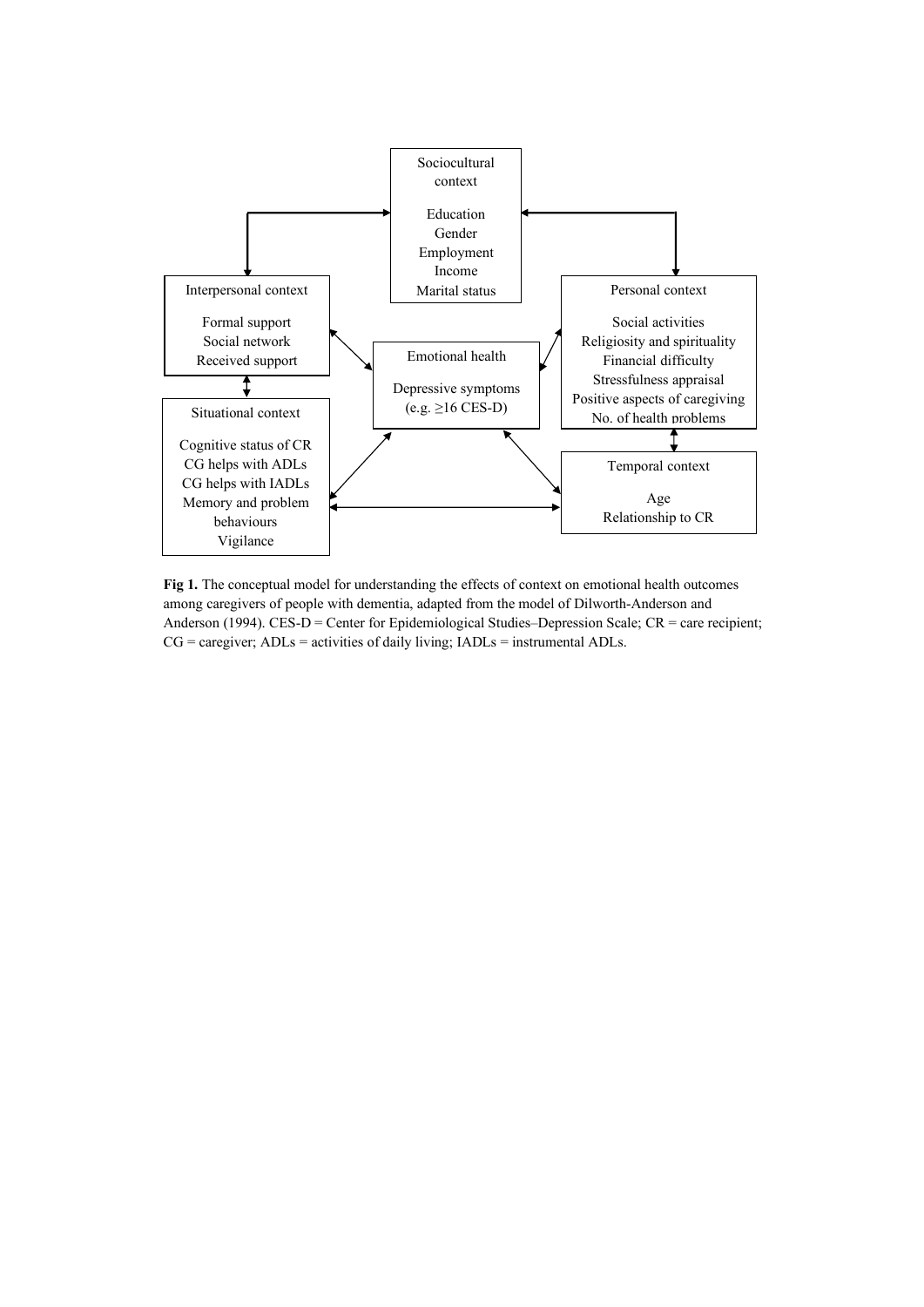

**Fig 1.** The conceptual model for understanding the effects of context on emotional health outcomes among caregivers of people with dementia, adapted from the model of Dilworth-Anderson and Anderson (1994). CES-D = Center for Epidemiological Studies–Depression Scale; CR = care recipient;  $CG = \text{cargiver}$ ;  $ADLs = \text{activities of daily living}$ ;  $IADLs = \text{instrumental } ADLs$ .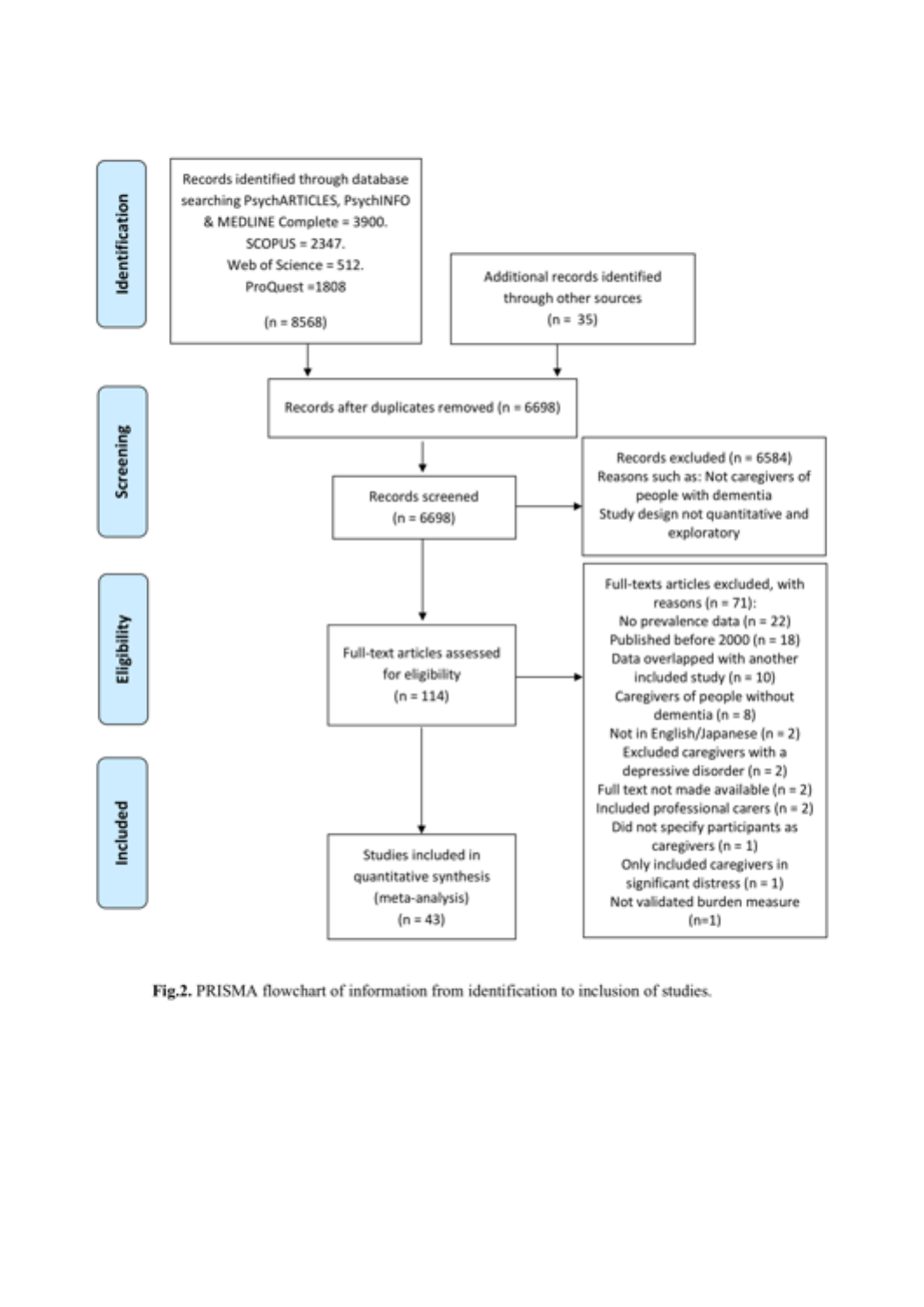

Fig.2. PRISMA flowchart of information from identification to inclusion of studies.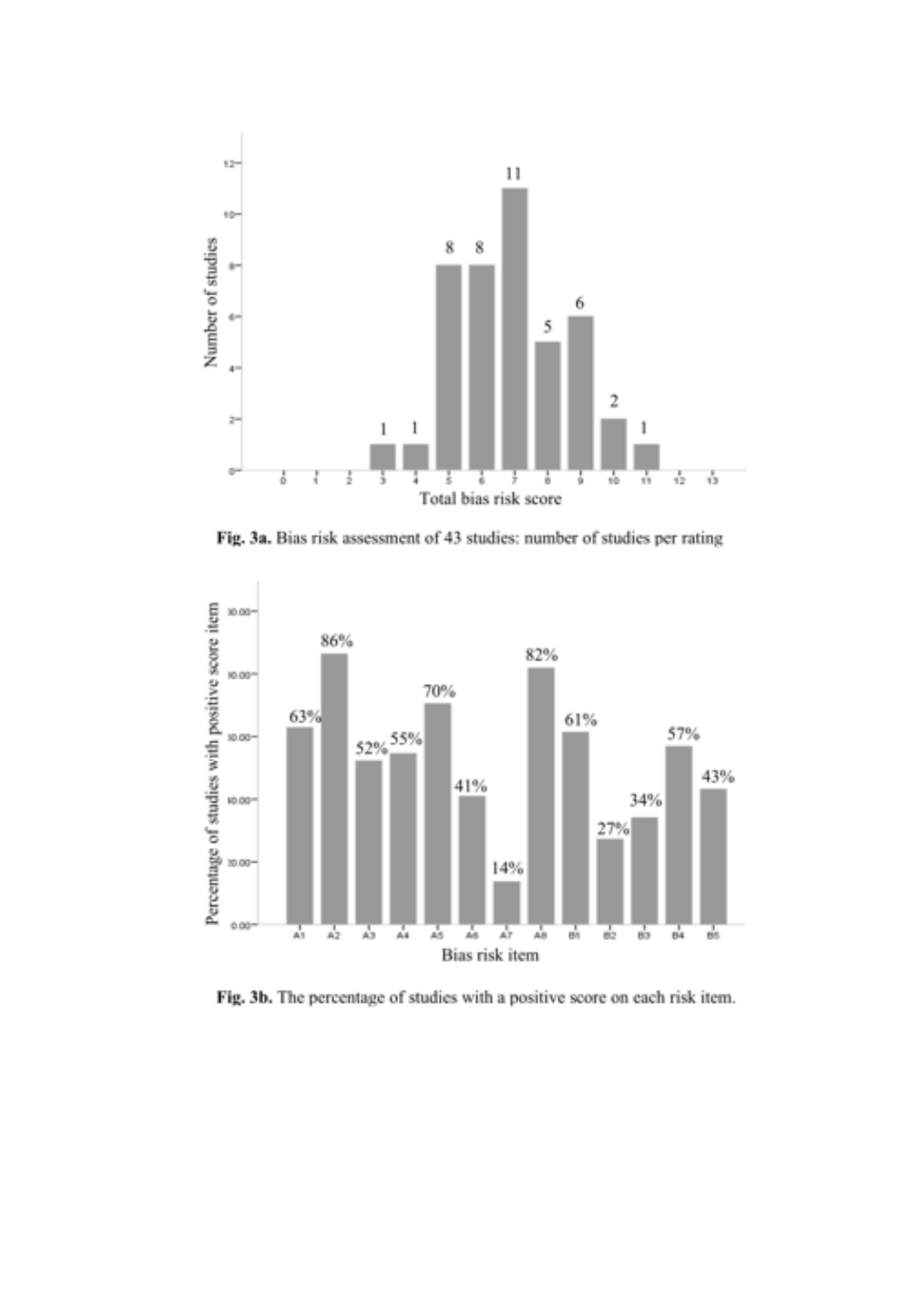

Fig. 3a. Bias risk assessment of 43 studies: number of studies per rating



Fig. 3b. The percentage of studies with a positive score on each risk item.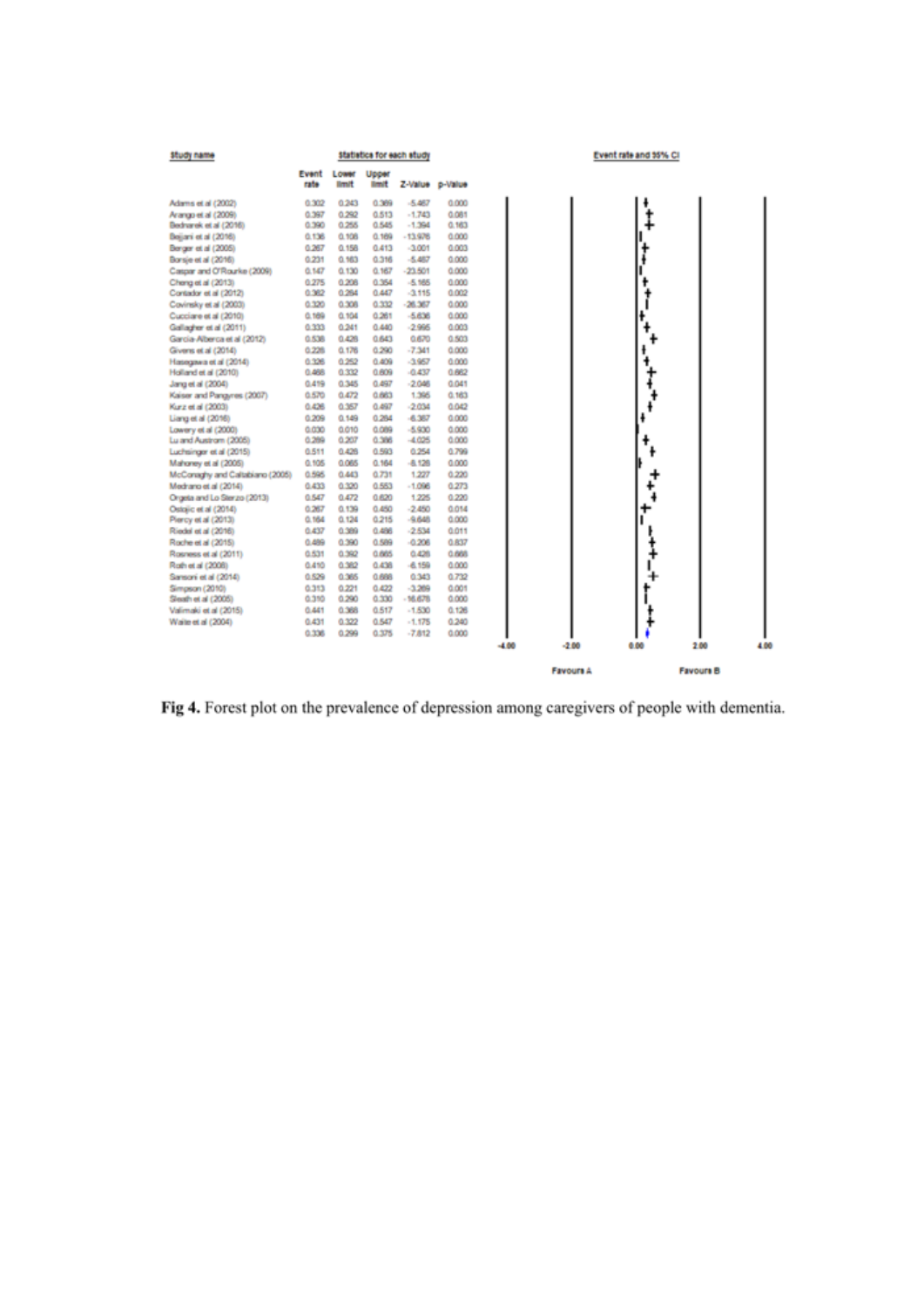

Fig 4. Forest plot on the prevalence of depression among caregivers of people with dementia.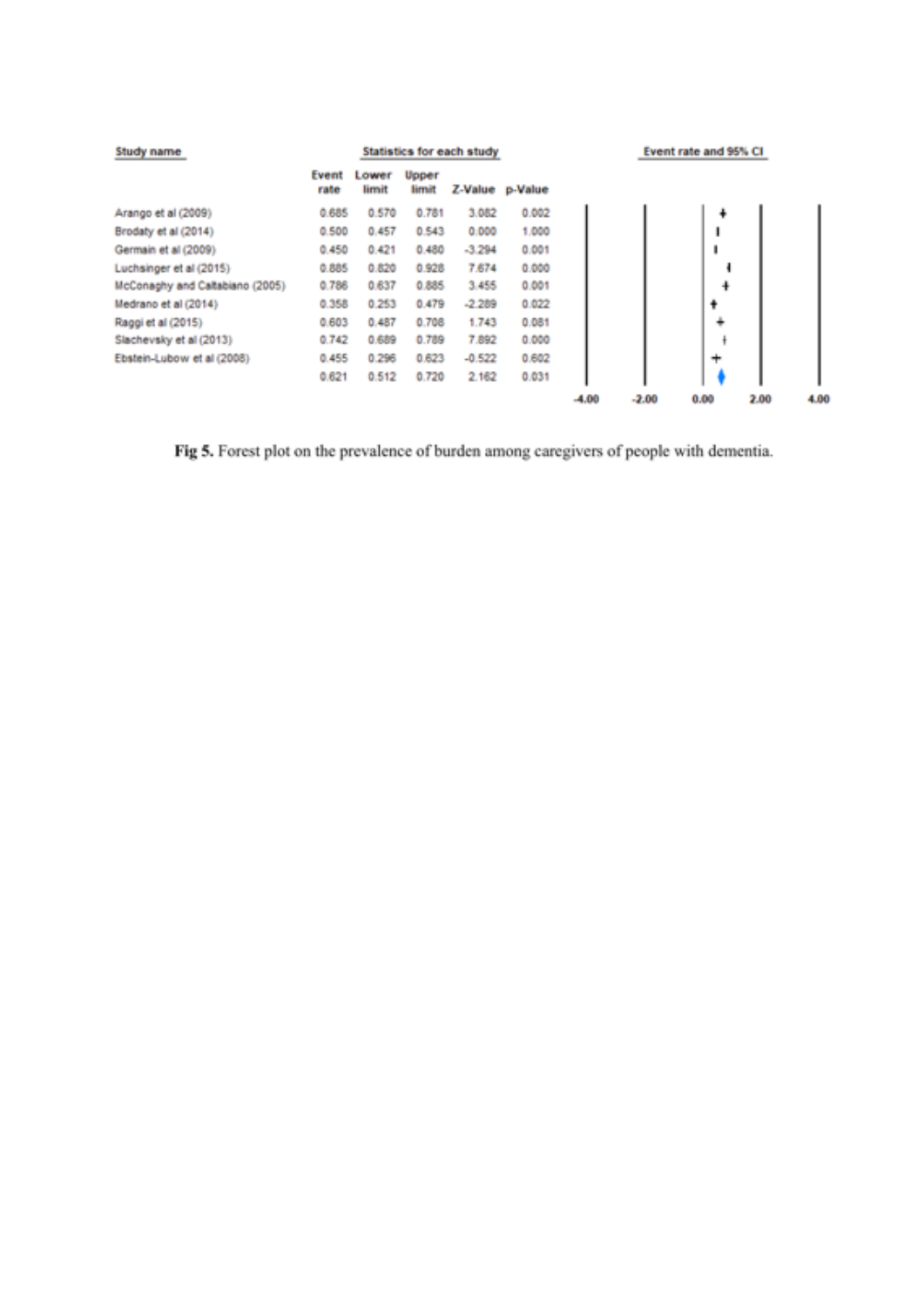| Study name                      |               | <b>Statistics for each study</b> |                |          |                 |         | Event rate and 95% CI |      |      |      |
|---------------------------------|---------------|----------------------------------|----------------|----------|-----------------|---------|-----------------------|------|------|------|
|                                 | Event<br>rate | Lower<br>limit                   | Upper<br>limit |          | Z-Value p-Value |         |                       |      |      |      |
| Arango et al (2009)             | 0.685         | 0.570                            | 0.781          | 3.082    | 0.002           |         |                       | ۰    |      |      |
| Brodaty et al (2014)            | 0.500         | 0.457                            | 0.543          | 0.000    | 1.000           |         |                       | 1    |      |      |
| Germain et al (2009)            | 0.450         | 0.421                            | 0.480          | $-3.294$ | 0.001           |         |                       | I    |      |      |
| Luchsinger et al (2015)         | 0.885         | 0.820                            | 0.928          | 7,674    | 0.000           |         |                       |      |      |      |
| McConaghy and Caltabiano (2005) | 0.786         | 0.637                            | 0.885          | 3.455    | 0.001           |         |                       | 4    |      |      |
| Medrano et al (2014)            | 0.358         | 0.253                            | 0.479          | $-2.289$ | 0.022           |         |                       | ٠    |      |      |
| Raggi et al (2015)              | 0.603         | 0.487                            | 0.708          | 1.743    | 0.081           |         |                       | ÷    |      |      |
| Slachevsky et al (2013)         | 0.742         | 0.689                            | 0.789          | 7,892    | 0.000           |         |                       |      |      |      |
| Ebstein-Lubow et al (2008)      | 0.455         | 0.296                            | 0.623          | $-0.522$ | 0.602           |         |                       | ÷    |      |      |
|                                 | 0.621         | 0.512                            | 0.720          | 2.162    | 0.031           |         |                       |      |      |      |
|                                 |               |                                  |                |          |                 | $-4.00$ | $-2.00$               | 0.00 | 2.00 | 4.00 |

Fig 5. Forest plot on the prevalence of burden among caregivers of people with dementia.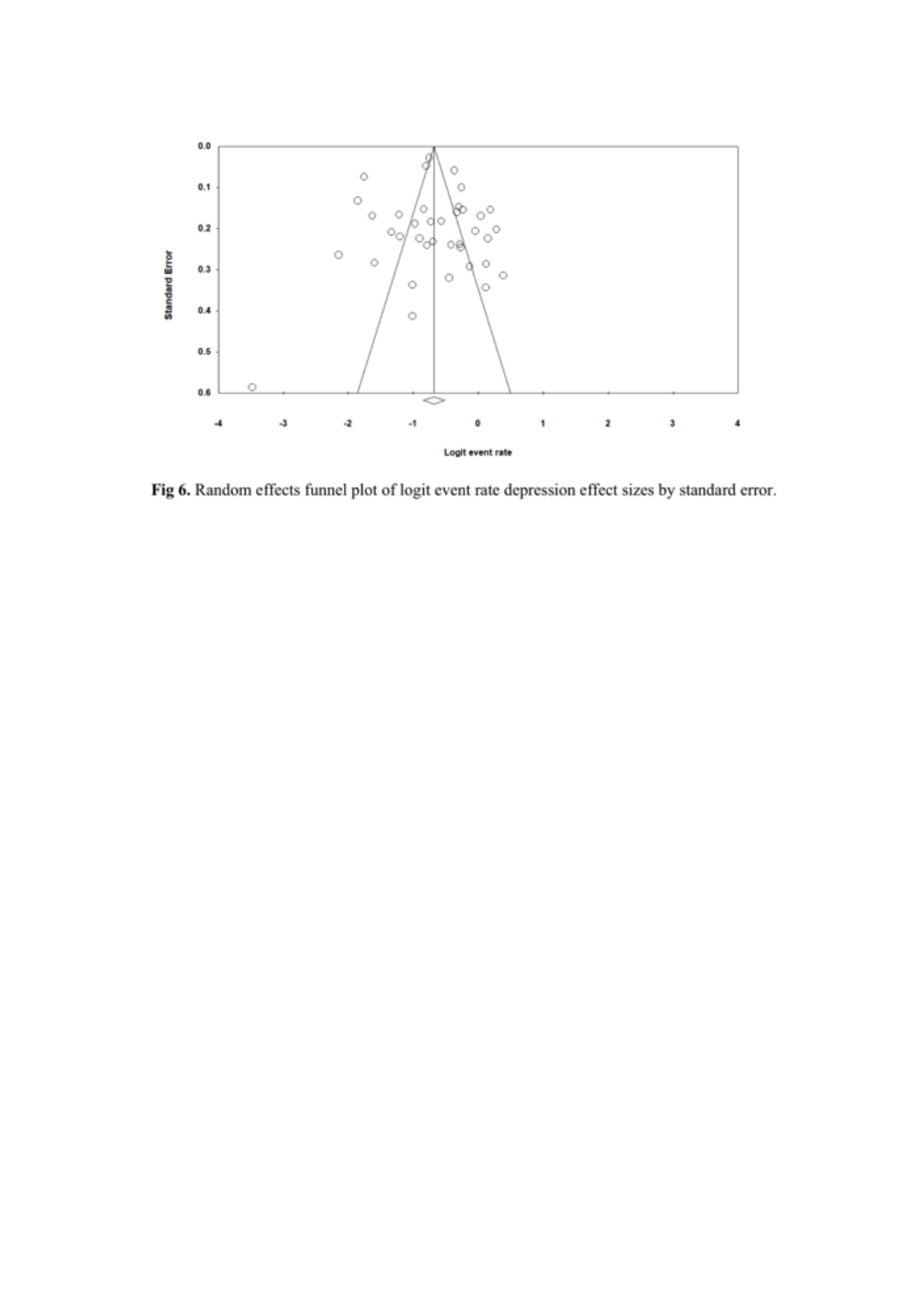

Fig 6. Random effects funnel plot of logit event rate depression effect sizes by standard error.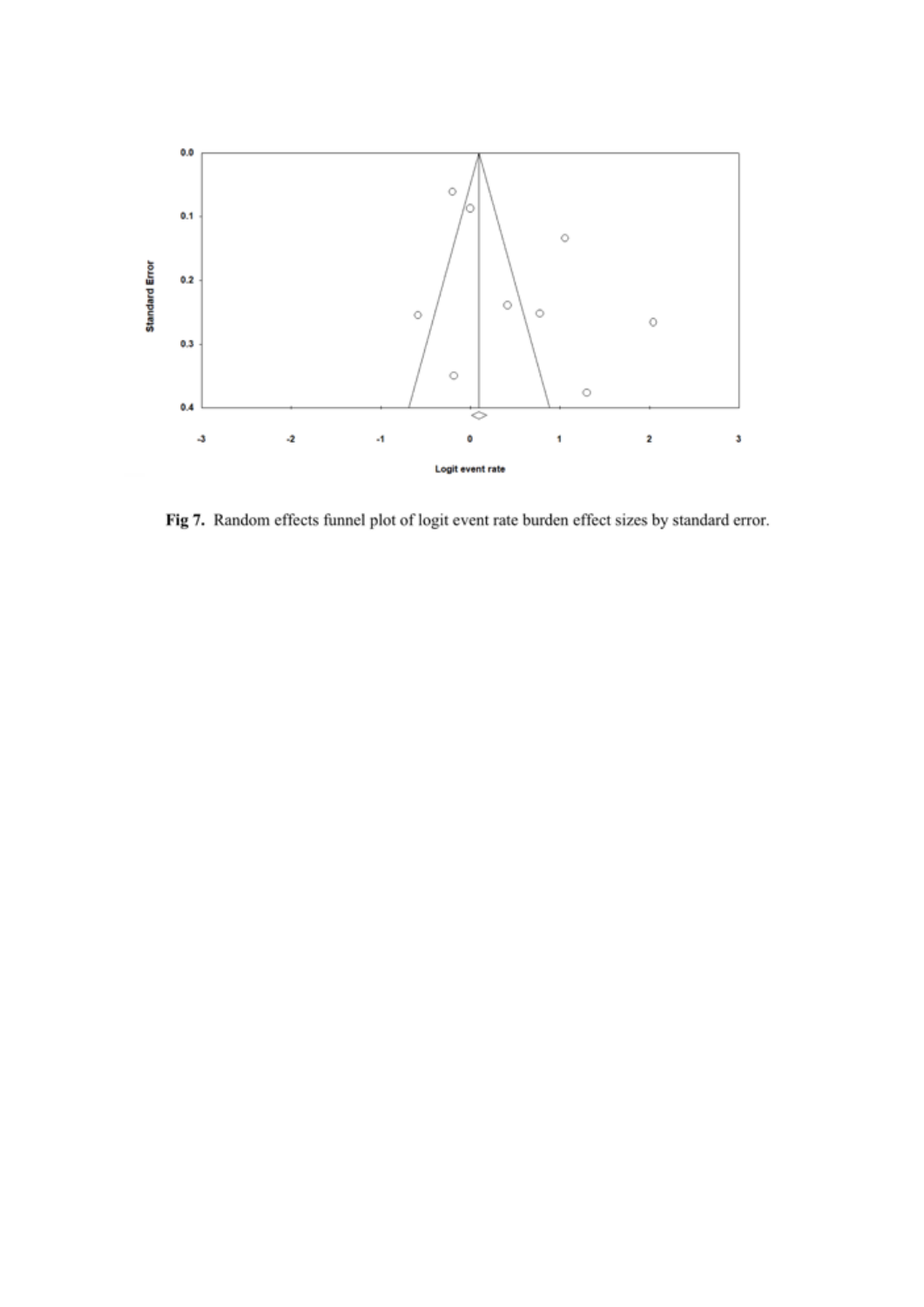

Fig 7. Random effects funnel plot of logit event rate burden effect sizes by standard error.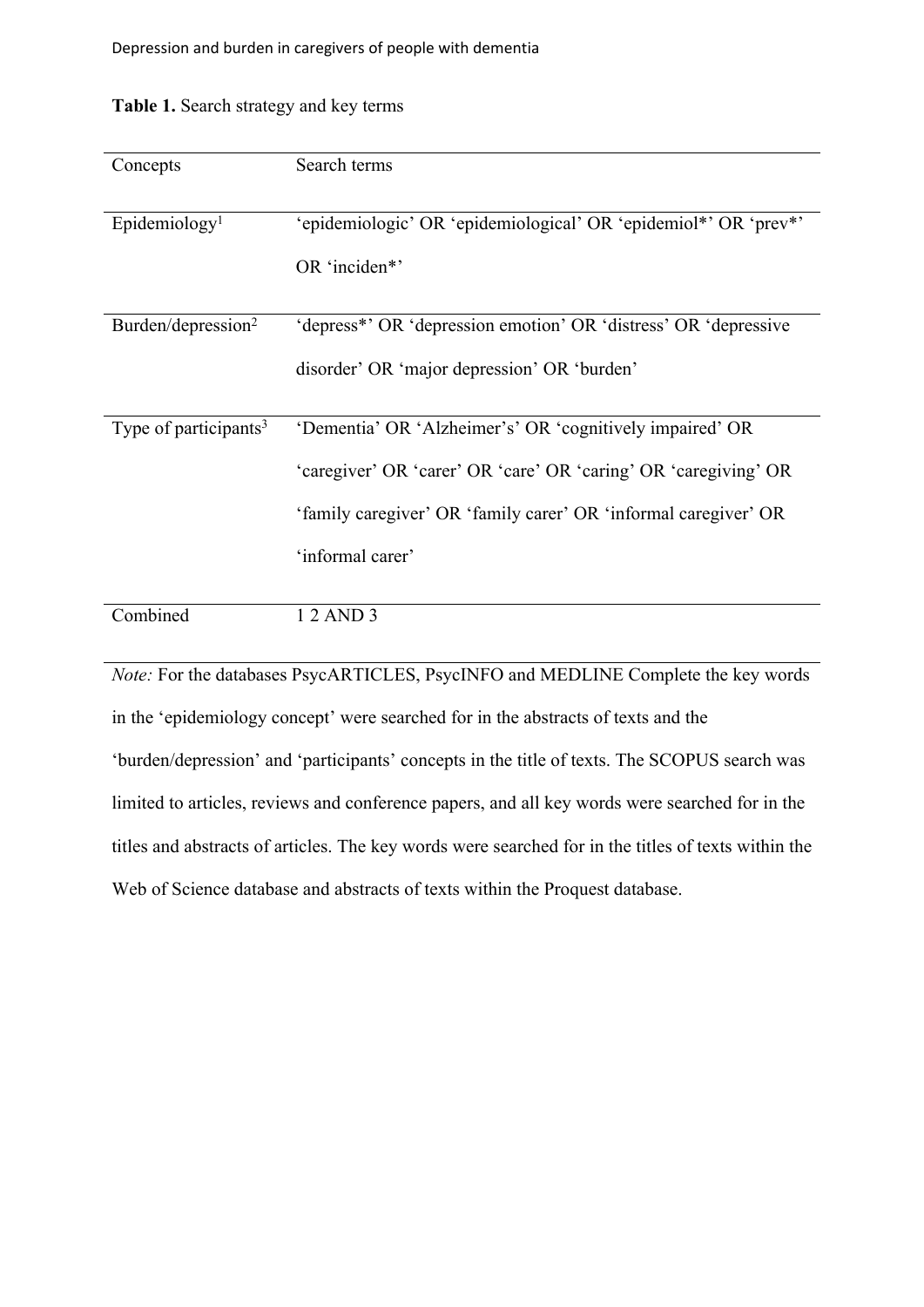| Concepts                          | Search terms                                                                 |
|-----------------------------------|------------------------------------------------------------------------------|
| Epidemiology <sup>1</sup>         | 'epidemiologic' OR 'epidemiological' OR 'epidemiol*' OR 'prev*'              |
|                                   | OR 'inciden*'                                                                |
| Burden/depression <sup>2</sup>    | 'depress <sup>*</sup> ' OR 'depression emotion' OR 'distress' OR 'depressive |
|                                   | disorder' OR 'major depression' OR 'burden'                                  |
| Type of participants <sup>3</sup> | 'Dementia' OR 'Alzheimer's' OR 'cognitively impaired' OR                     |
|                                   | 'caregiver' OR 'carer' OR 'care' OR 'caring' OR 'caregiving' OR              |
|                                   | 'family caregiver' OR 'family carer' OR 'informal caregiver' OR              |
|                                   | 'informal carer'                                                             |
| Combined                          | 1 2 AND 3                                                                    |

## **Table 1.** Search strategy and key terms

*Note:* For the databases PsycARTICLES, PsycINFO and MEDLINE Complete the key words in the 'epidemiology concept' were searched for in the abstracts of texts and the 'burden/depression' and 'participants' concepts in the title of texts. The SCOPUS search was limited to articles, reviews and conference papers, and all key words were searched for in the titles and abstracts of articles. The key words were searched for in the titles of texts within the Web of Science database and abstracts of texts within the Proquest database.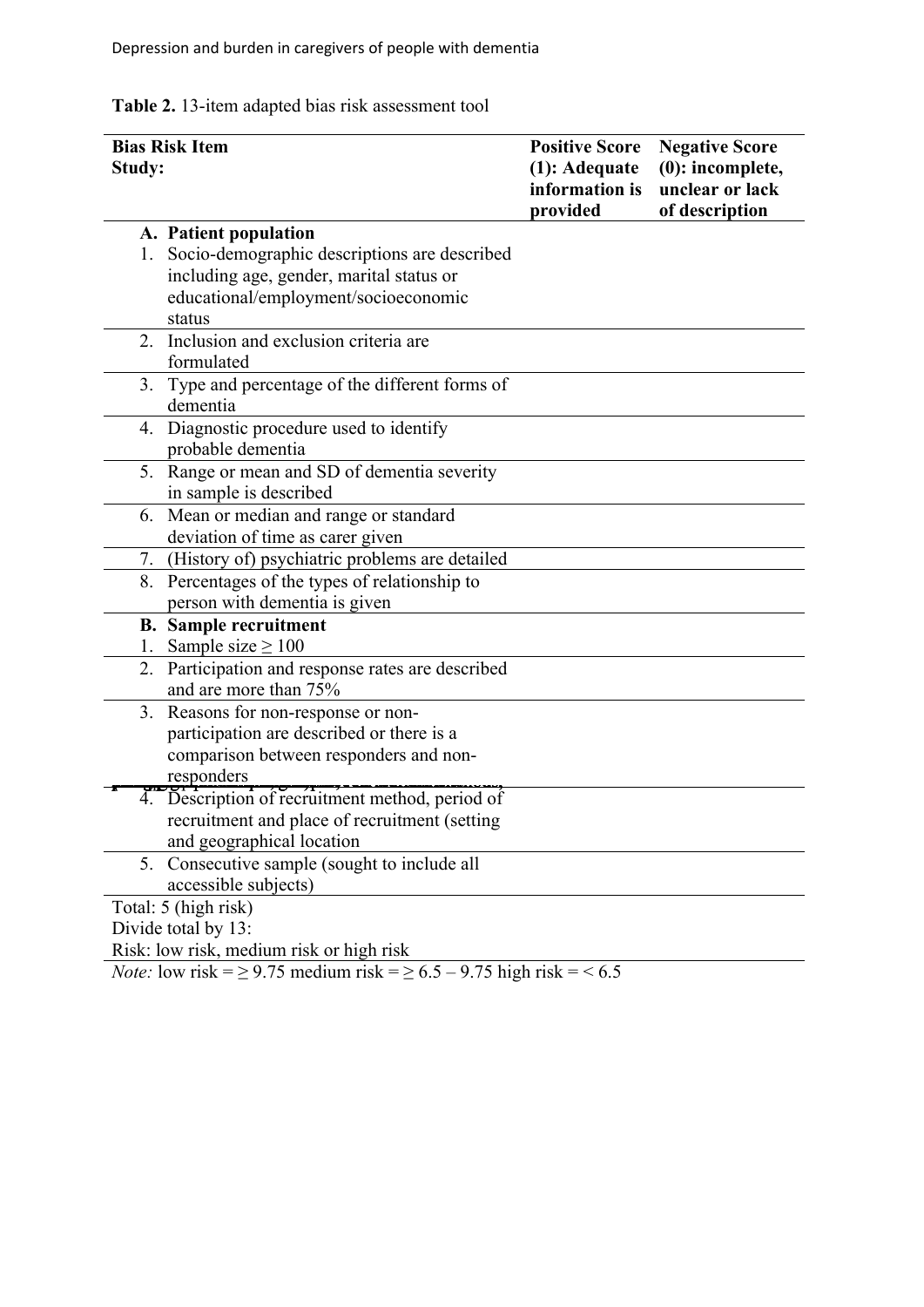**Table 2.** 13-item adapted bias risk assessment tool

| <b>Bias Risk Item</b>                                                               | <b>Positive Score</b>           | <b>Negative Score</b>                  |
|-------------------------------------------------------------------------------------|---------------------------------|----------------------------------------|
| <b>Study:</b>                                                                       | (1): Adequate<br>information is | $(0)$ : incomplete,<br>unclear or lack |
|                                                                                     | provided                        | of description                         |
| A. Patient population                                                               |                                 |                                        |
| Socio-demographic descriptions are described<br>1.                                  |                                 |                                        |
| including age, gender, marital status or                                            |                                 |                                        |
| educational/employment/socioeconomic                                                |                                 |                                        |
| status                                                                              |                                 |                                        |
| Inclusion and exclusion criteria are<br>2 <sub>1</sub>                              |                                 |                                        |
| formulated                                                                          |                                 |                                        |
| Type and percentage of the different forms of<br>3.                                 |                                 |                                        |
| dementia                                                                            |                                 |                                        |
| 4. Diagnostic procedure used to identify                                            |                                 |                                        |
| probable dementia                                                                   |                                 |                                        |
| 5. Range or mean and SD of dementia severity                                        |                                 |                                        |
| in sample is described                                                              |                                 |                                        |
| Mean or median and range or standard<br>6.                                          |                                 |                                        |
| deviation of time as carer given                                                    |                                 |                                        |
| (History of) psychiatric problems are detailed<br>7.                                |                                 |                                        |
| Percentages of the types of relationship to<br>8.                                   |                                 |                                        |
| person with dementia is given                                                       |                                 |                                        |
| <b>B.</b> Sample recruitment                                                        |                                 |                                        |
| Sample size $\geq 100$<br>1.                                                        |                                 |                                        |
| Participation and response rates are described<br>2.                                |                                 |                                        |
| and are more than 75%                                                               |                                 |                                        |
| Reasons for non-response or non-<br>3.                                              |                                 |                                        |
| participation are described or there is a                                           |                                 |                                        |
| comparison between responders and non-                                              |                                 |                                        |
| responders                                                                          |                                 |                                        |
| 4. Description of recruitment method, period of                                     |                                 |                                        |
| recruitment and place of recruitment (setting                                       |                                 |                                        |
| and geographical location                                                           |                                 |                                        |
| Consecutive sample (sought to include all<br>5.                                     |                                 |                                        |
| accessible subjects)                                                                |                                 |                                        |
| Total: 5 (high risk)                                                                |                                 |                                        |
| Divide total by 13:                                                                 |                                 |                                        |
| Risk: low risk, medium risk or high risk                                            |                                 |                                        |
| <i>Note:</i> low risk = $\ge$ 9.75 medium risk = $\ge$ 6.5 – 9.75 high risk = < 6.5 |                                 |                                        |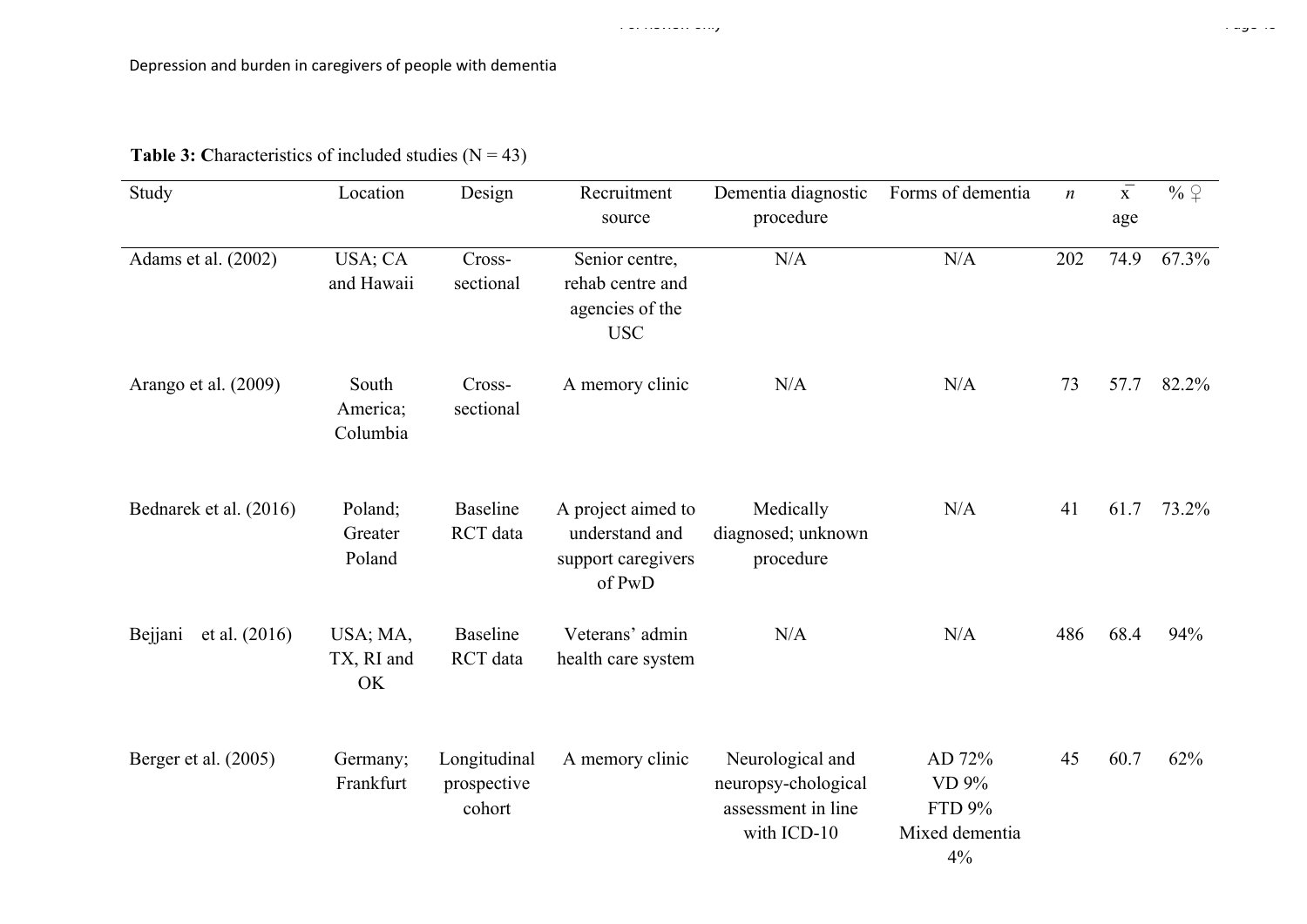| Study                      | Location                      | Design                                | Recruitment<br>source                                                | Dementia diagnostic<br>procedure                                             | Forms of dementia                                 | $\boldsymbol{n}$ | $\overline{\overline{x}}$<br>age | % $\varphi$ |
|----------------------------|-------------------------------|---------------------------------------|----------------------------------------------------------------------|------------------------------------------------------------------------------|---------------------------------------------------|------------------|----------------------------------|-------------|
| Adams et al. (2002)        | USA; CA<br>and Hawaii         | Cross-<br>sectional                   | Senior centre,<br>rehab centre and<br>agencies of the<br><b>USC</b>  | N/A                                                                          | N/A                                               | 202              | 74.9                             | 67.3%       |
| Arango et al. (2009)       | South<br>America;<br>Columbia | Cross-<br>sectional                   | A memory clinic                                                      | N/A                                                                          | N/A                                               | 73               | 57.7                             | 82.2%       |
| Bednarek et al. (2016)     | Poland;<br>Greater<br>Poland  | Baseline<br>RCT data                  | A project aimed to<br>understand and<br>support caregivers<br>of PwD | Medically<br>diagnosed; unknown<br>procedure                                 | N/A                                               | 41               | 61.7                             | 73.2%       |
| et al. $(2016)$<br>Bejjani | USA; MA,<br>TX, RI and<br>OK  | <b>Baseline</b><br>RCT data           | Veterans' admin<br>health care system                                | N/A                                                                          | N/A                                               | 486              | 68.4                             | 94%         |
| Berger et al. (2005)       | Germany;<br>Frankfurt         | Longitudinal<br>prospective<br>cohort | A memory clinic                                                      | Neurological and<br>neuropsy-chological<br>assessment in line<br>with ICD-10 | AD 72%<br>VD 9%<br>FTD 9%<br>Mixed dementia<br>4% | 45               | 60.7                             | 62%         |

## **Table 3:** Characteristics of included studies  $(N = 43)$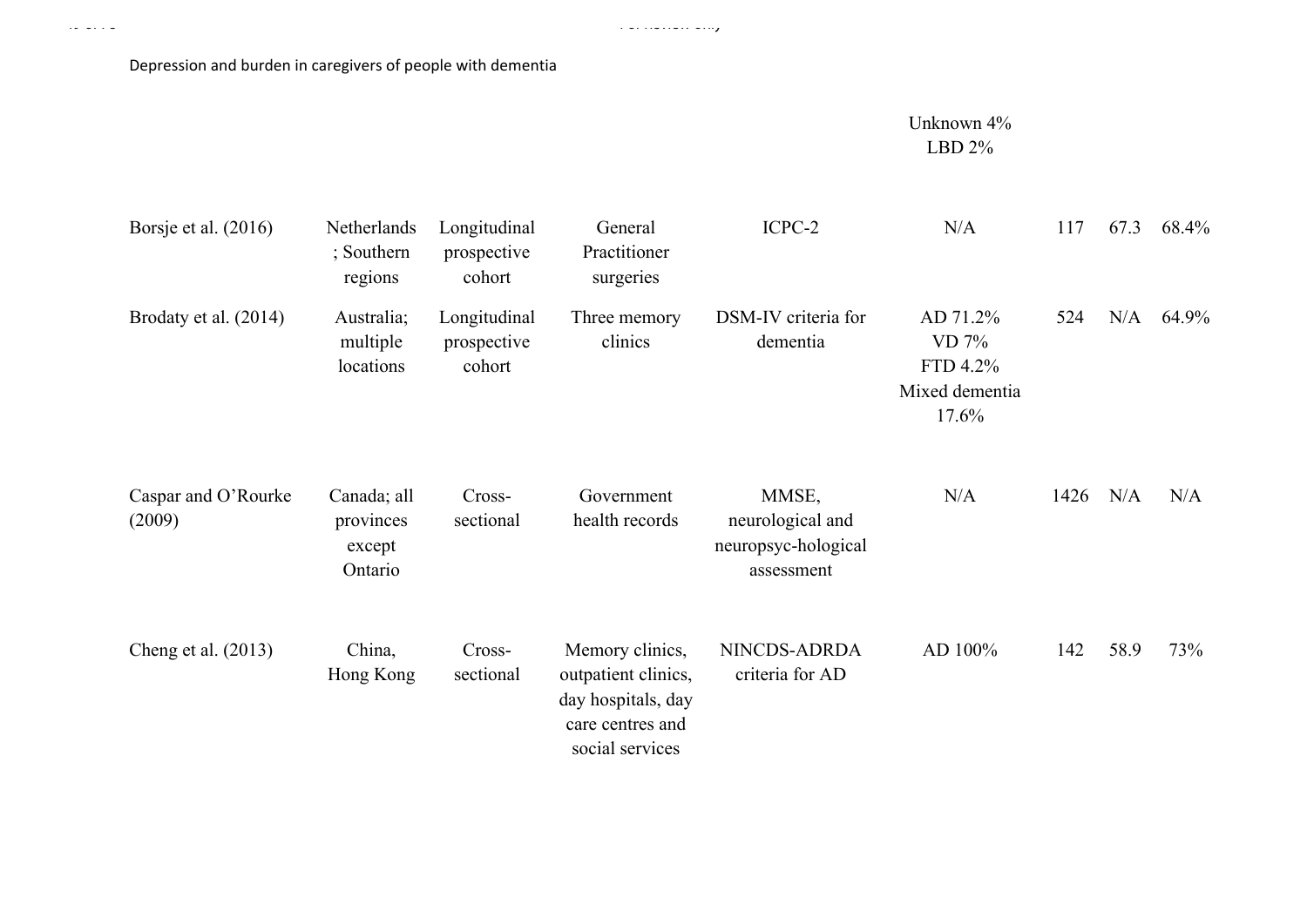Page 49 of 78 For Review only

Unknown 4% LBD 2%

| Borsje et al. $(2016)$        | Netherlands<br>; Southern<br>regions          | Longitudinal<br>prospective<br>cohort | General<br>Practitioner<br>surgeries                                                                | ICPC-2                                                         | N/A                                                        | 117  | 67.3 | 68.4% |
|-------------------------------|-----------------------------------------------|---------------------------------------|-----------------------------------------------------------------------------------------------------|----------------------------------------------------------------|------------------------------------------------------------|------|------|-------|
| Brodaty et al. (2014)         | Australia;<br>multiple<br>locations           | Longitudinal<br>prospective<br>cohort | Three memory<br>clinics                                                                             | DSM-IV criteria for<br>dementia                                | AD 71.2%<br>$VD$ 7%<br>FTD 4.2%<br>Mixed dementia<br>17.6% | 524  | N/A  | 64.9% |
| Caspar and O'Rourke<br>(2009) | Canada; all<br>provinces<br>except<br>Ontario | Cross-<br>sectional                   | Government<br>health records                                                                        | MMSE,<br>neurological and<br>neuropsyc-hological<br>assessment | N/A                                                        | 1426 | N/A  | N/A   |
| Cheng et al. $(2013)$         | China,<br>Hong Kong                           | Cross-<br>sectional                   | Memory clinics,<br>outpatient clinics,<br>day hospitals, day<br>care centres and<br>social services | NINCDS-ADRDA<br>criteria for AD                                | AD 100%                                                    | 142  | 58.9 | 73%   |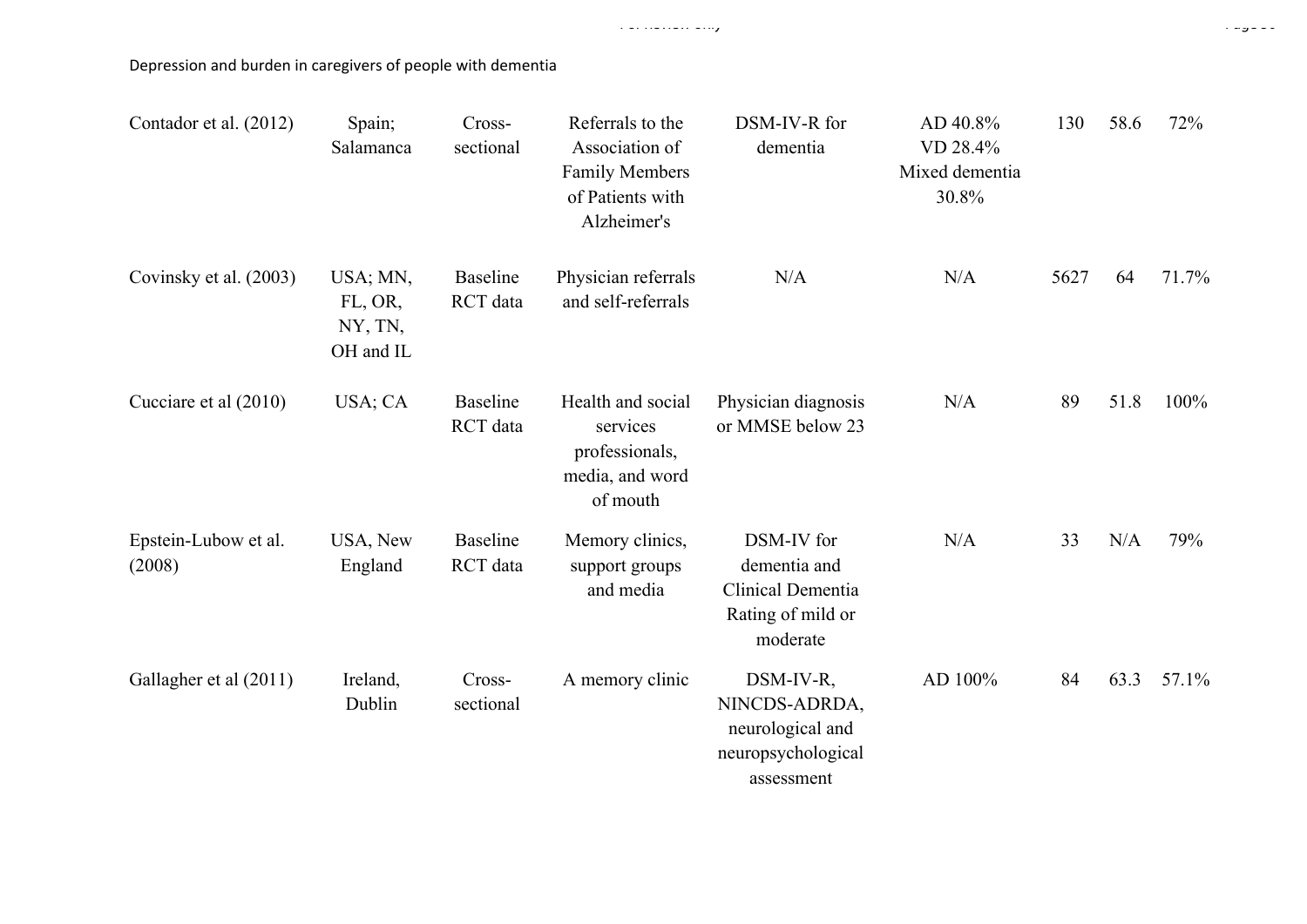| Contador et al. (2012)         | Spain;<br>Salamanca                         | Cross-<br>sectional         | Referrals to the<br>Association of<br><b>Family Members</b><br>of Patients with<br>Alzheimer's | DSM-IV-R for<br>dementia                                                           | AD 40.8%<br>VD 28.4%<br>Mixed dementia<br>30.8% | 130  | 58.6 | 72%   |
|--------------------------------|---------------------------------------------|-----------------------------|------------------------------------------------------------------------------------------------|------------------------------------------------------------------------------------|-------------------------------------------------|------|------|-------|
| Covinsky et al. (2003)         | USA; MN,<br>FL, OR,<br>NY, TN,<br>OH and IL | <b>Baseline</b><br>RCT data | Physician referrals<br>and self-referrals                                                      | N/A                                                                                | N/A                                             | 5627 | 64   | 71.7% |
| Cucciare et al (2010)          | USA; CA                                     | <b>Baseline</b><br>RCT data | Health and social<br>services<br>professionals,<br>media, and word<br>of mouth                 | Physician diagnosis<br>or MMSE below 23                                            | N/A                                             | 89   | 51.8 | 100%  |
| Epstein-Lubow et al.<br>(2008) | USA, New<br>England                         | <b>Baseline</b><br>RCT data | Memory clinics,<br>support groups<br>and media                                                 | DSM-IV for<br>dementia and<br>Clinical Dementia<br>Rating of mild or<br>moderate   | N/A                                             | 33   | N/A  | 79%   |
| Gallagher et al (2011)         | Ireland,<br>Dublin                          | Cross-<br>sectional         | A memory clinic                                                                                | DSM-IV-R,<br>NINCDS-ADRDA,<br>neurological and<br>neuropsychological<br>assessment | AD 100%                                         | 84   | 63.3 | 57.1% |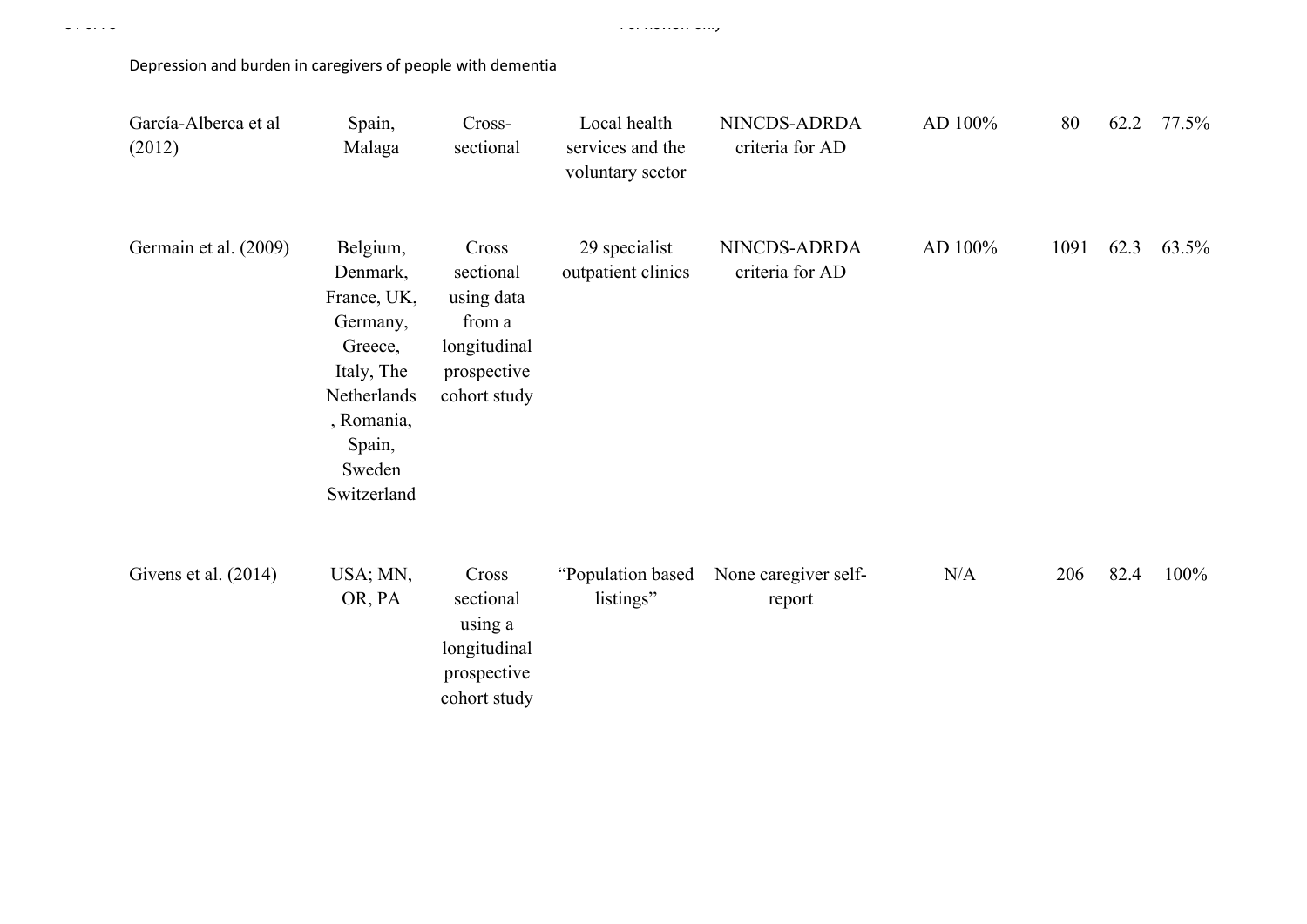| García-Alberca et al<br>(2012) | Spain,<br>Malaga                                                                                                                         | Cross-<br>sectional                                                                       | Local health<br>services and the<br>voluntary sector | NINCDS-ADRDA<br>criteria for AD | AD 100% | 80   | 62.2 | 77.5% |
|--------------------------------|------------------------------------------------------------------------------------------------------------------------------------------|-------------------------------------------------------------------------------------------|------------------------------------------------------|---------------------------------|---------|------|------|-------|
| Germain et al. (2009)          | Belgium,<br>Denmark,<br>France, UK,<br>Germany,<br>Greece,<br>Italy, The<br>Netherlands<br>, Romania,<br>Spain,<br>Sweden<br>Switzerland | Cross<br>sectional<br>using data<br>from a<br>longitudinal<br>prospective<br>cohort study | 29 specialist<br>outpatient clinics                  | NINCDS-ADRDA<br>criteria for AD | AD 100% | 1091 | 62.3 | 63.5% |
| Givens et al. (2014)           | USA; MN,<br>OR, PA                                                                                                                       | Cross<br>sectional<br>using a<br>longitudinal<br>prospective<br>cohort study              | "Population based<br>listings"                       | None caregiver self-<br>report  | N/A     | 206  | 82.4 | 100%  |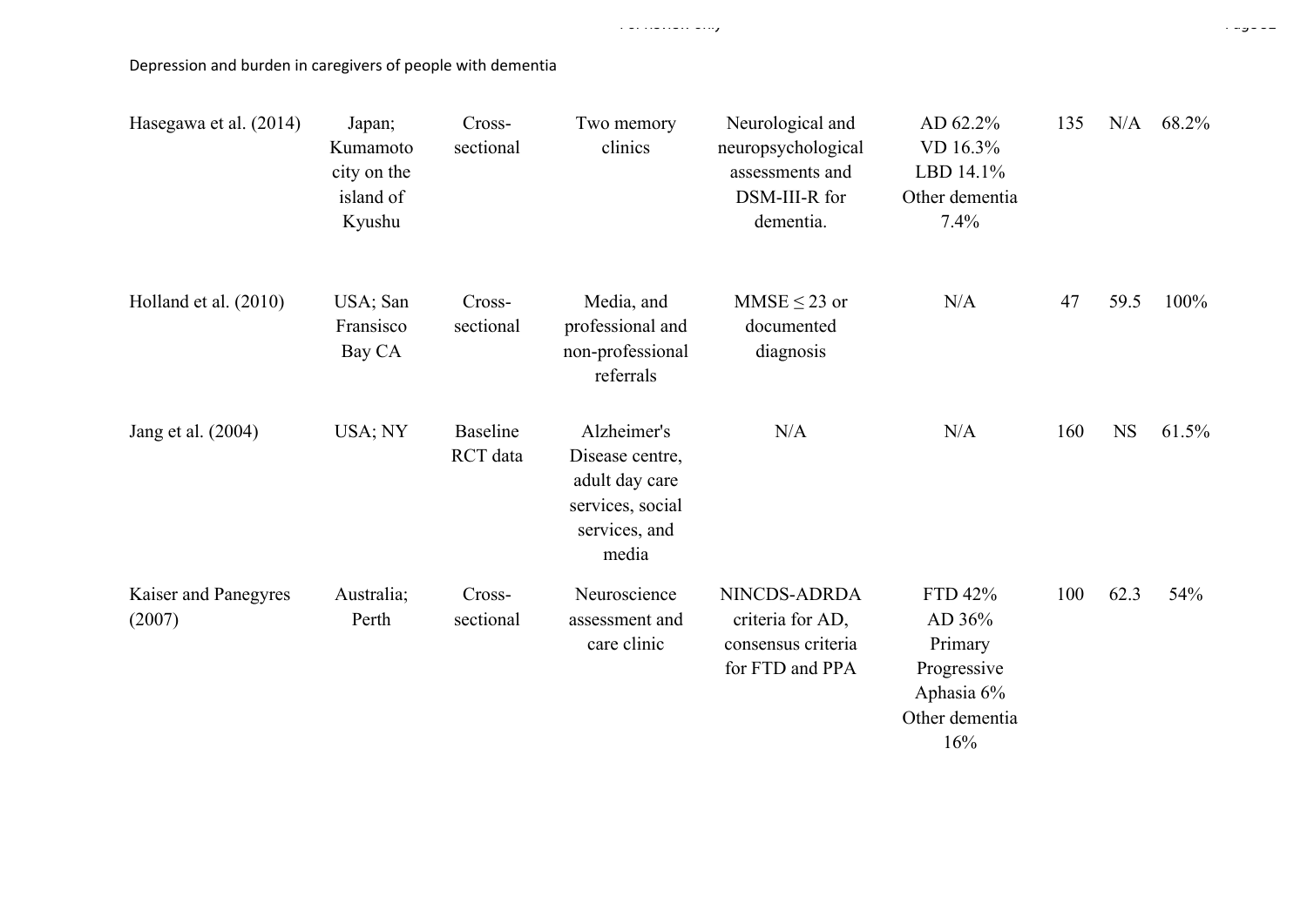| Hasegawa et al. (2014)         | Japan;<br>Kumamoto<br>city on the<br>island of<br>Kyushu | Cross-<br>sectional         | Two memory<br>clinics                                                                          | Neurological and<br>neuropsychological<br>assessments and<br>DSM-III-R for<br>dementia. | AD 62.2%<br>VD 16.3%<br>LBD 14.1%<br>Other dementia<br>7.4%                        | 135 | N/A       | 68.2% |
|--------------------------------|----------------------------------------------------------|-----------------------------|------------------------------------------------------------------------------------------------|-----------------------------------------------------------------------------------------|------------------------------------------------------------------------------------|-----|-----------|-------|
| Holland et al. (2010)          | USA; San<br>Fransisco<br>Bay CA                          | Cross-<br>sectional         | Media, and<br>professional and<br>non-professional<br>referrals                                | MMSE $\leq$ 23 or<br>documented<br>diagnosis                                            | N/A                                                                                | 47  | 59.5      | 100%  |
| Jang et al. (2004)             | USA; NY                                                  | <b>Baseline</b><br>RCT data | Alzheimer's<br>Disease centre,<br>adult day care<br>services, social<br>services, and<br>media | N/A                                                                                     | N/A                                                                                | 160 | <b>NS</b> | 61.5% |
| Kaiser and Panegyres<br>(2007) | Australia;<br>Perth                                      | Cross-<br>sectional         | Neuroscience<br>assessment and<br>care clinic                                                  | NINCDS-ADRDA<br>criteria for AD,<br>consensus criteria<br>for FTD and PPA               | FTD 42%<br>AD 36%<br>Primary<br>Progressive<br>Aphasia 6%<br>Other dementia<br>16% | 100 | 62.3      | 54%   |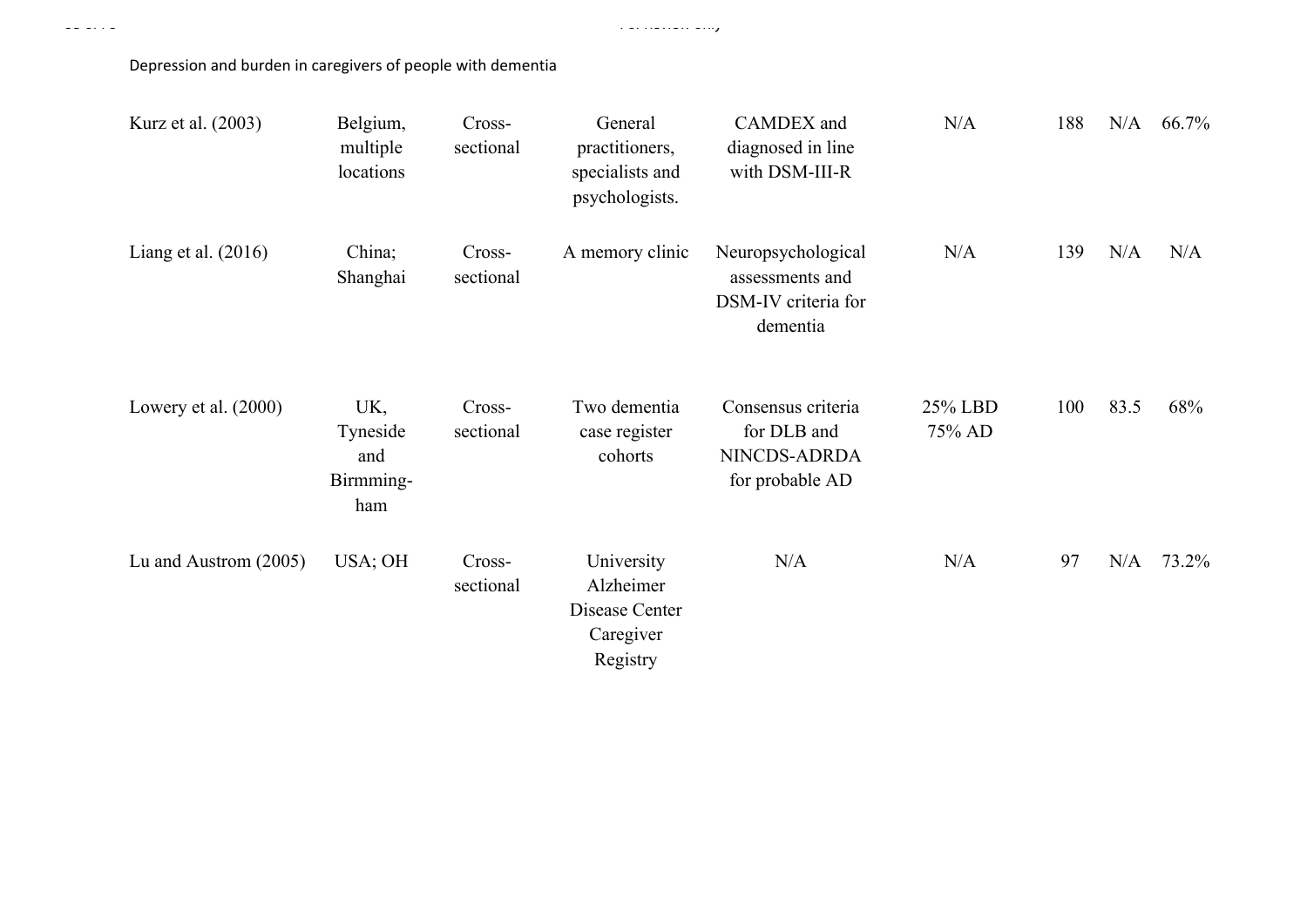| Kurz et al. (2003)      | Belgium,<br>multiple<br>locations          | Cross-<br>sectional | General<br>practitioners,<br>specialists and<br>psychologists.     | CAMDEX and<br>diagnosed in line<br>with DSM-III-R                        | N/A               | 188 | N/A  | 66.7% |
|-------------------------|--------------------------------------------|---------------------|--------------------------------------------------------------------|--------------------------------------------------------------------------|-------------------|-----|------|-------|
| Liang et al. $(2016)$   | China;<br>Shanghai                         | Cross-<br>sectional | A memory clinic                                                    | Neuropsychological<br>assessments and<br>DSM-IV criteria for<br>dementia | N/A               | 139 | N/A  | N/A   |
| Lowery et al. $(2000)$  | UK,<br>Tyneside<br>and<br>Birmming-<br>ham | Cross-<br>sectional | Two dementia<br>case register<br>cohorts                           | Consensus criteria<br>for DLB and<br>NINCDS-ADRDA<br>for probable AD     | 25% LBD<br>75% AD | 100 | 83.5 | 68%   |
| Lu and Austrom $(2005)$ | USA; OH                                    | Cross-<br>sectional | University<br>Alzheimer<br>Disease Center<br>Caregiver<br>Registry | N/A                                                                      | N/A               | 97  | N/A  | 73.2% |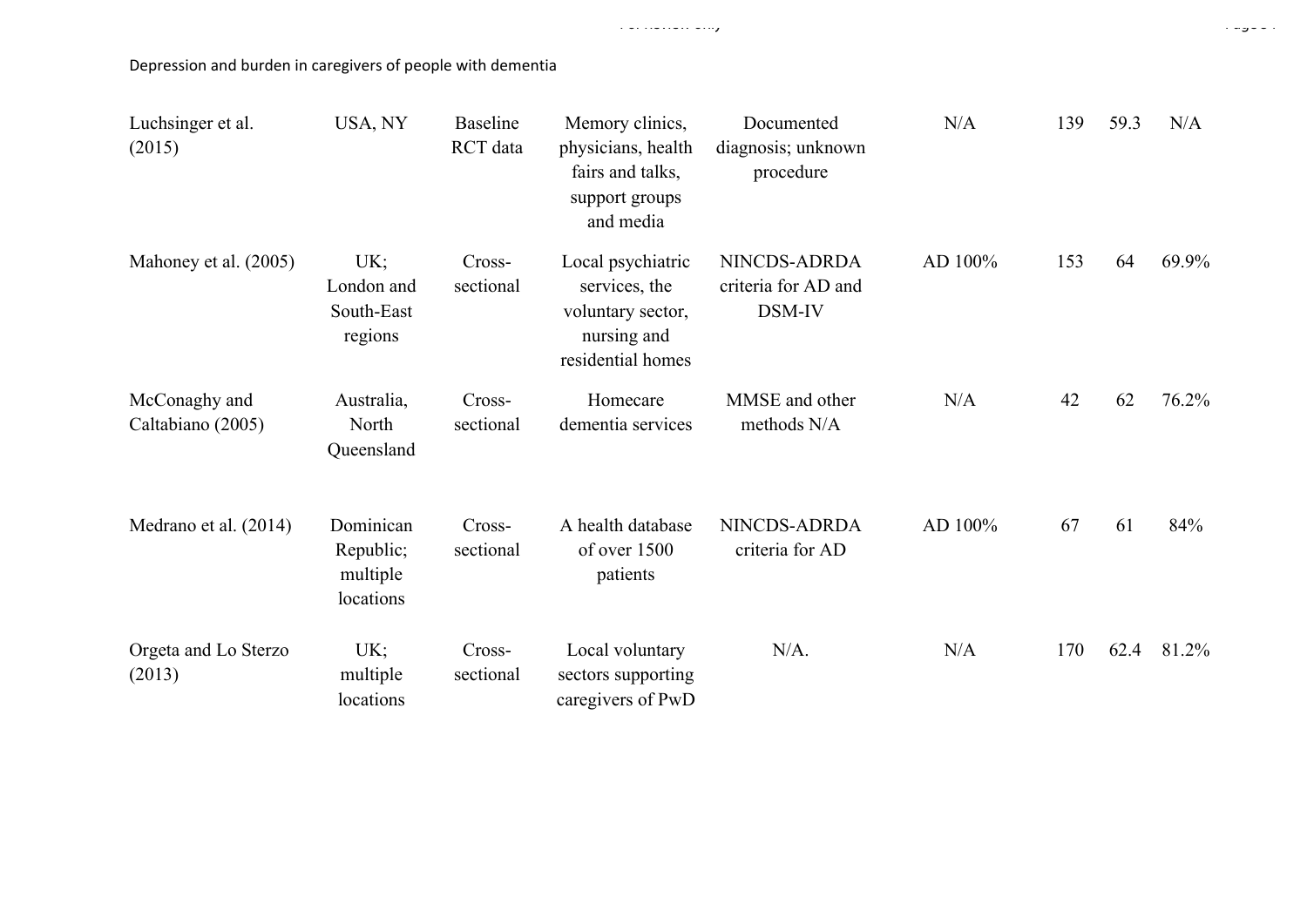| Luchsinger et al.<br>(2015)        | USA, NY                                         | <b>Baseline</b><br>RCT data | Memory clinics,<br>physicians, health<br>fairs and talks,<br>support groups<br>and media    | Documented<br>diagnosis; unknown<br>procedure | N/A     | 139 | 59.3 | N/A   |
|------------------------------------|-------------------------------------------------|-----------------------------|---------------------------------------------------------------------------------------------|-----------------------------------------------|---------|-----|------|-------|
| Mahoney et al. (2005)              | UK;<br>London and<br>South-East<br>regions      | Cross-<br>sectional         | Local psychiatric<br>services, the<br>voluntary sector,<br>nursing and<br>residential homes | NINCDS-ADRDA<br>criteria for AD and<br>DSM-IV | AD 100% | 153 | 64   | 69.9% |
| McConaghy and<br>Caltabiano (2005) | Australia,<br>North<br>Queensland               | Cross-<br>sectional         | Homecare<br>dementia services                                                               | MMSE and other<br>methods N/A                 | N/A     | 42  | 62   | 76.2% |
| Medrano et al. (2014)              | Dominican<br>Republic;<br>multiple<br>locations | Cross-<br>sectional         | A health database<br>of over 1500<br>patients                                               | NINCDS-ADRDA<br>criteria for AD               | AD 100% | 67  | 61   | 84%   |
| Orgeta and Lo Sterzo<br>(2013)     | UK;<br>multiple<br>locations                    | Cross-<br>sectional         | Local voluntary<br>sectors supporting<br>caregivers of PwD                                  | $N/A$ .                                       | N/A     | 170 | 62.4 | 81.2% |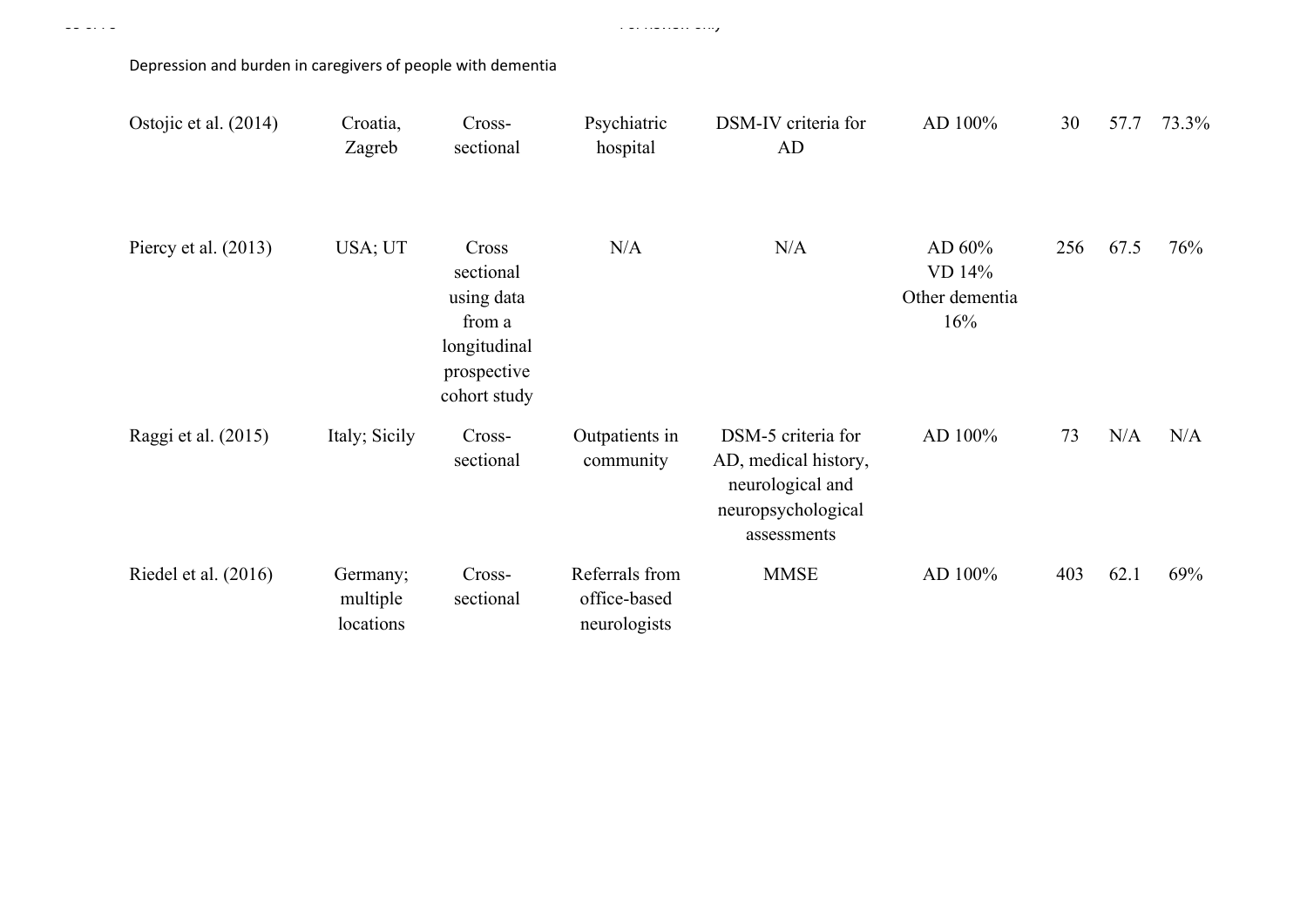| Ostojic et al. (2014)  | Croatia,<br>Zagreb                | Cross-<br>sectional                                                                       | Psychiatric<br>hospital                        | DSM-IV criteria for<br>AD                                                                           | AD 100%                                   | 30  | 57.7 | 73.3% |
|------------------------|-----------------------------------|-------------------------------------------------------------------------------------------|------------------------------------------------|-----------------------------------------------------------------------------------------------------|-------------------------------------------|-----|------|-------|
| Piercy et al. $(2013)$ | USA; UT                           | Cross<br>sectional<br>using data<br>from a<br>longitudinal<br>prospective<br>cohort study | N/A                                            | N/A                                                                                                 | AD 60%<br>VD 14%<br>Other dementia<br>16% | 256 | 67.5 | 76%   |
| Raggi et al. (2015)    | Italy; Sicily                     | Cross-<br>sectional                                                                       | Outpatients in<br>community                    | DSM-5 criteria for<br>AD, medical history,<br>neurological and<br>neuropsychological<br>assessments | AD 100%                                   | 73  | N/A  | N/A   |
| Riedel et al. (2016)   | Germany;<br>multiple<br>locations | Cross-<br>sectional                                                                       | Referrals from<br>office-based<br>neurologists | <b>MMSE</b>                                                                                         | AD 100%                                   | 403 | 62.1 | 69%   |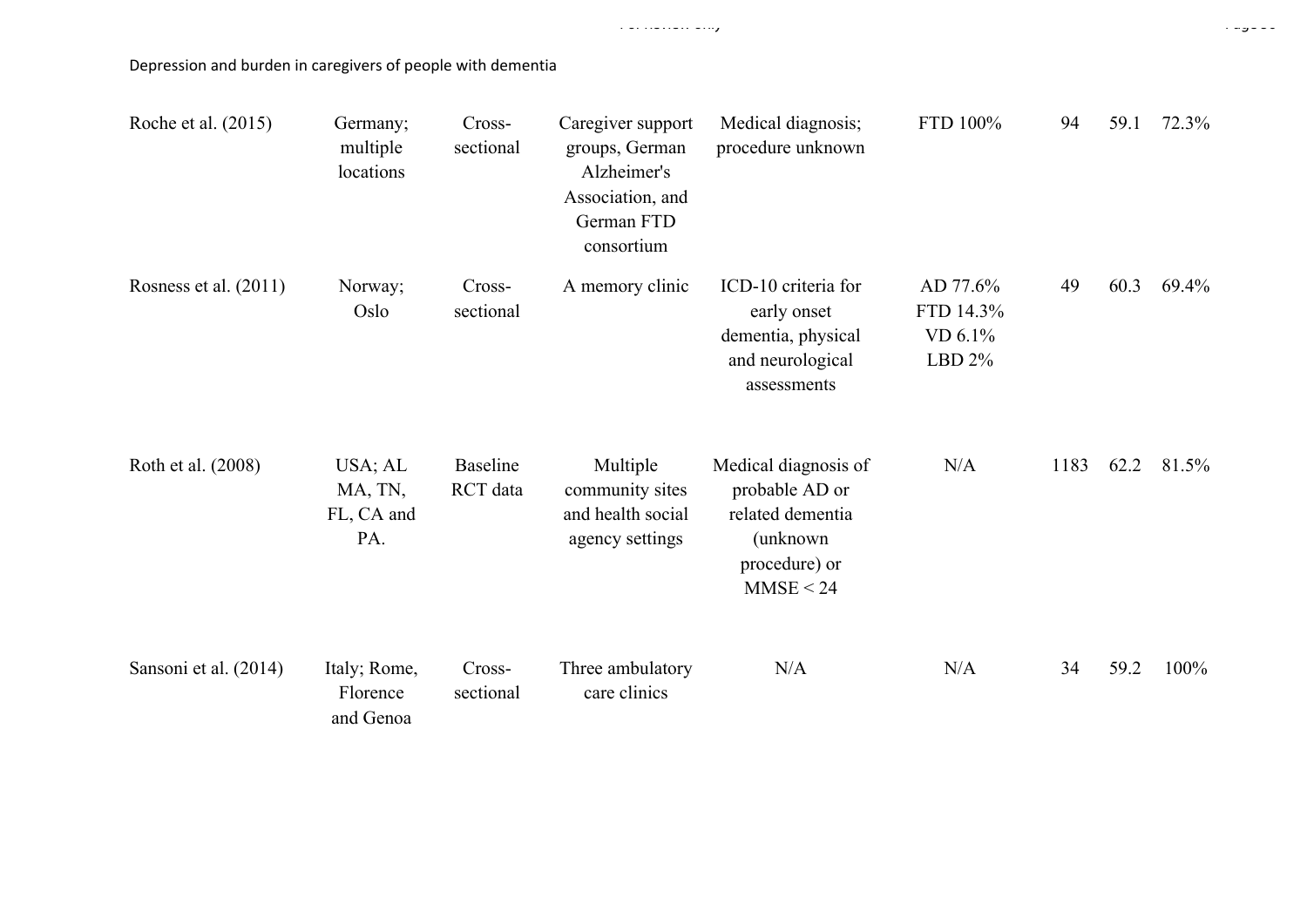| Roche et al. (2015)   | Germany;<br>multiple<br>locations       | Cross-<br>sectional         | Caregiver support<br>groups, German<br>Alzheimer's<br>Association, and<br>German FTD<br>consortium | Medical diagnosis;<br>procedure unknown                                                              | FTD 100%                                      | 94   | 59.1 | 72.3% |
|-----------------------|-----------------------------------------|-----------------------------|----------------------------------------------------------------------------------------------------|------------------------------------------------------------------------------------------------------|-----------------------------------------------|------|------|-------|
| Rosness et al. (2011) | Norway;<br>Oslo                         | Cross-<br>sectional         | A memory clinic                                                                                    | ICD-10 criteria for<br>early onset<br>dementia, physical<br>and neurological<br>assessments          | AD 77.6%<br>FTD 14.3%<br>VD 6.1%<br>LBD $2\%$ | 49   | 60.3 | 69.4% |
| Roth et al. (2008)    | USA; AL<br>MA, TN,<br>FL, CA and<br>PA. | <b>Baseline</b><br>RCT data | Multiple<br>community sites<br>and health social<br>agency settings                                | Medical diagnosis of<br>probable AD or<br>related dementia<br>(unknown<br>procedure) or<br>MMSE < 24 | N/A                                           | 1183 | 62.2 | 81.5% |
| Sansoni et al. (2014) | Italy; Rome,<br>Florence<br>and Genoa   | Cross-<br>sectional         | Three ambulatory<br>care clinics                                                                   | N/A                                                                                                  | N/A                                           | 34   | 59.2 | 100%  |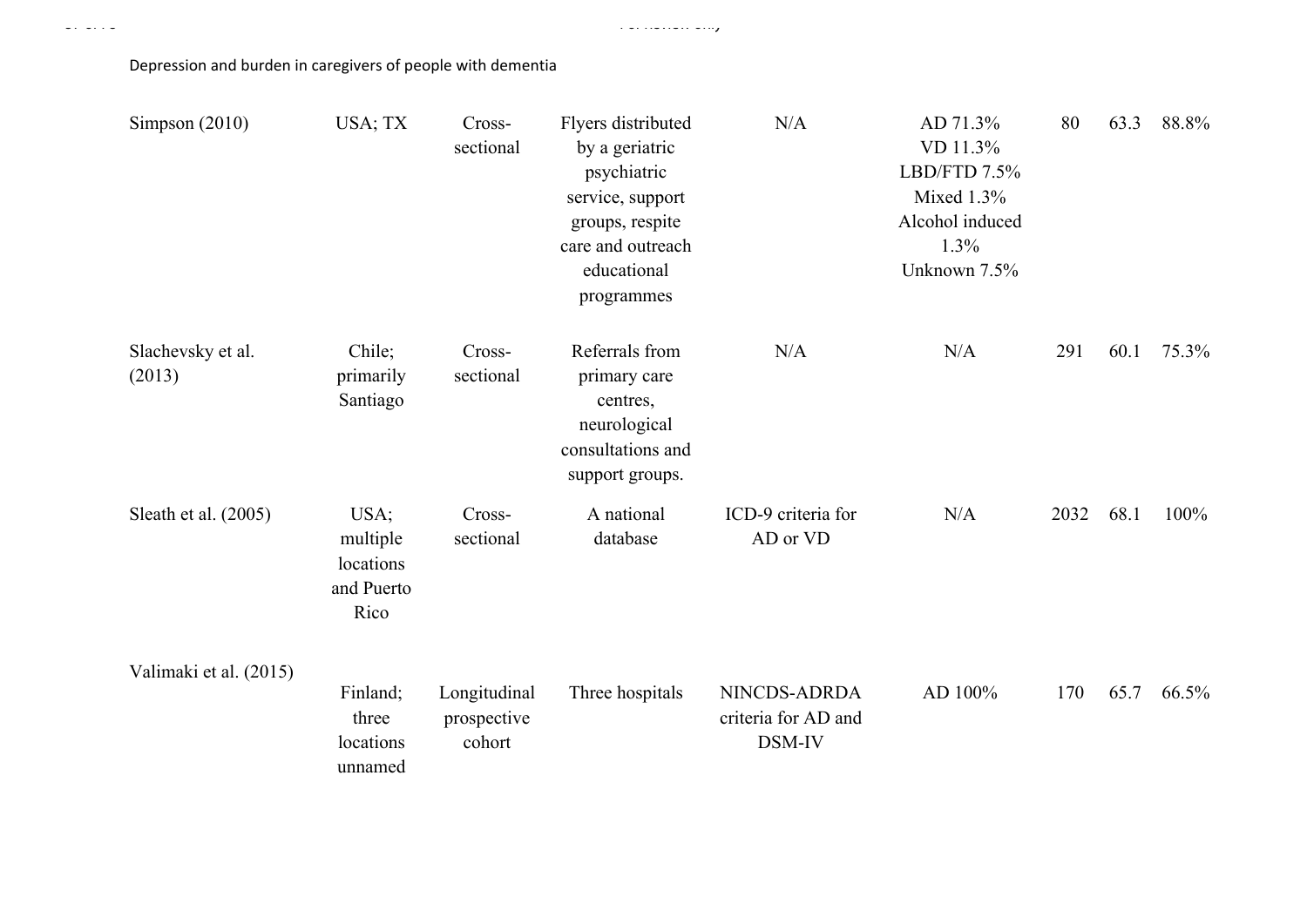| Simpson $(2010)$            | USA; TX                                             | Cross-<br>sectional                   | Flyers distributed<br>by a geriatric<br>psychiatric<br>service, support<br>groups, respite<br>care and outreach<br>educational<br>programmes | N/A                                           | AD 71.3%<br>VD 11.3%<br>LBD/FTD 7.5%<br>Mixed 1.3%<br>Alcohol induced<br>1.3%<br>Unknown 7.5% | 80   | 63.3 | 88.8% |
|-----------------------------|-----------------------------------------------------|---------------------------------------|----------------------------------------------------------------------------------------------------------------------------------------------|-----------------------------------------------|-----------------------------------------------------------------------------------------------|------|------|-------|
| Slachevsky et al.<br>(2013) | Chile;<br>primarily<br>Santiago                     | Cross-<br>sectional                   | Referrals from<br>primary care<br>centres,<br>neurological<br>consultations and<br>support groups.                                           | N/A                                           | N/A                                                                                           | 291  | 60.1 | 75.3% |
| Sleath et al. (2005)        | USA;<br>multiple<br>locations<br>and Puerto<br>Rico | Cross-<br>sectional                   | A national<br>database                                                                                                                       | ICD-9 criteria for<br>AD or VD                | N/A                                                                                           | 2032 | 68.1 | 100%  |
| Valimaki et al. (2015)      | Finland;<br>three<br>locations<br>unnamed           | Longitudinal<br>prospective<br>cohort | Three hospitals                                                                                                                              | NINCDS-ADRDA<br>criteria for AD and<br>DSM-IV | AD 100%                                                                                       | 170  | 65.7 | 66.5% |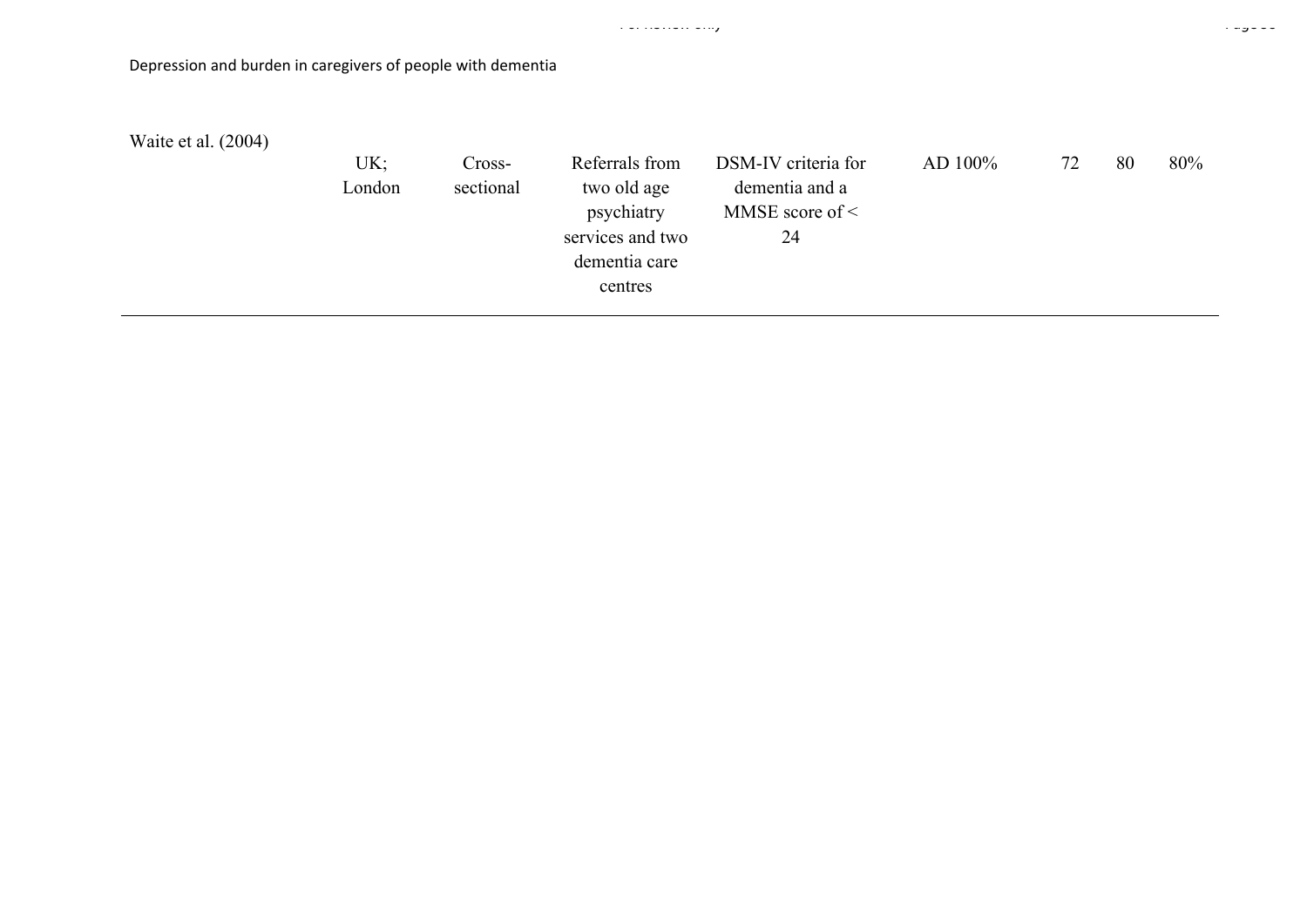| Depression and burden in caregivers of people with dementia |               |                     |                                                                                             |                                                                     |            |    |    |     |
|-------------------------------------------------------------|---------------|---------------------|---------------------------------------------------------------------------------------------|---------------------------------------------------------------------|------------|----|----|-----|
| Waite et al. (2004)                                         | UK;<br>London | Cross-<br>sectional | Referrals from<br>two old age<br>psychiatry<br>services and two<br>dementia care<br>centres | DSM-IV criteria for<br>dementia and a<br>MMSE score of $\leq$<br>24 | AD $100\%$ | 72 | 80 | 80% |

For Review only Page 58 of 78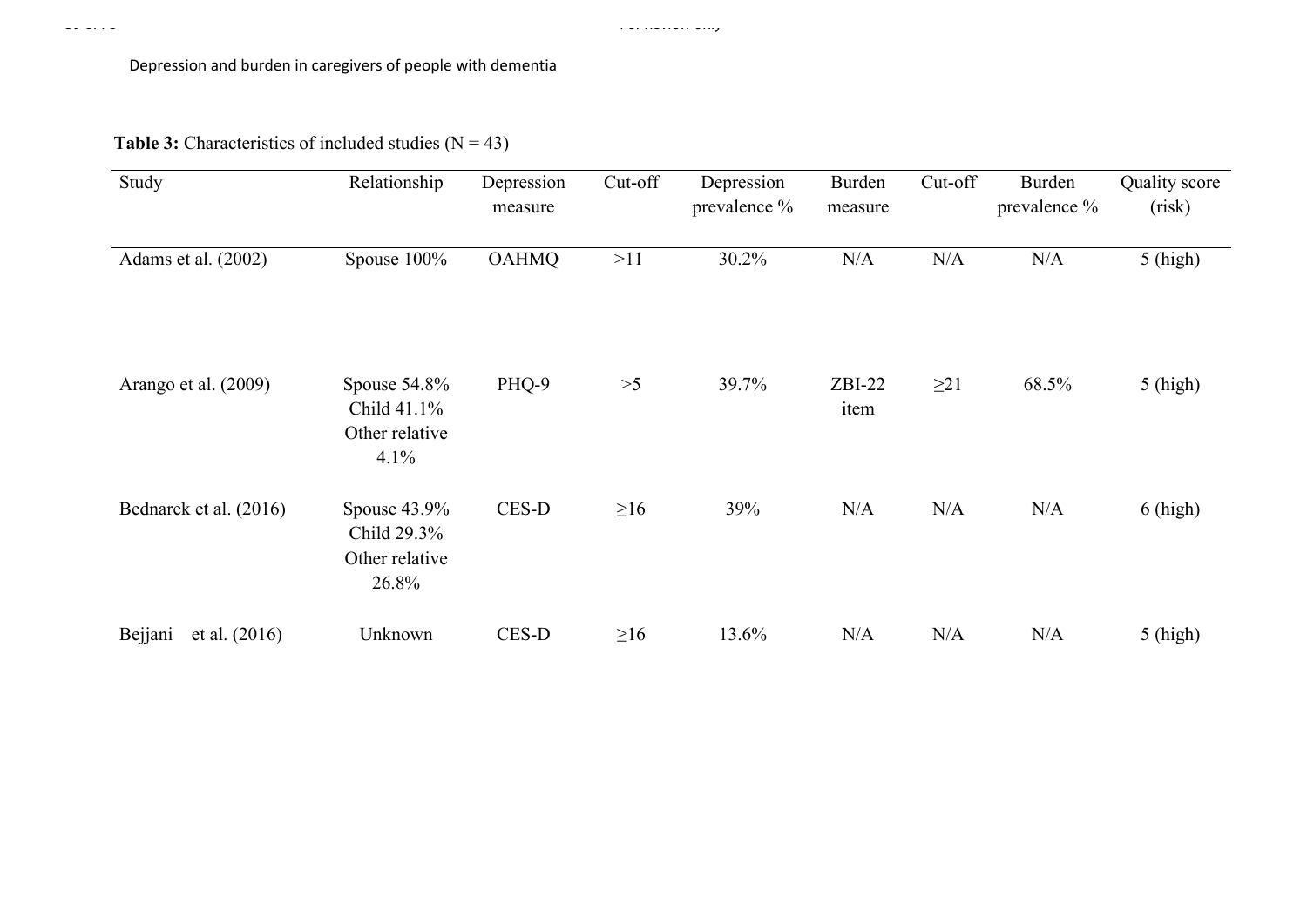Page 59 of 78 For Review only

**Table 3:** Characteristics of included studies  $(N = 43)$ 

| Study                      | Relationship                                           | Depression<br>measure | Cut-off   | Depression<br>prevalence % | Burden<br>measure | Cut-off   | Burden<br>prevalence % | Quality score<br>(risk) |
|----------------------------|--------------------------------------------------------|-----------------------|-----------|----------------------------|-------------------|-----------|------------------------|-------------------------|
| Adams et al. (2002)        | Spouse 100%                                            | <b>OAHMQ</b>          | >11       | 30.2%                      | N/A               | N/A       | N/A                    | $5$ (high)              |
| Arango et al. (2009)       | Spouse 54.8%<br>Child 41.1%<br>Other relative<br>4.1%  | PHQ-9                 | $>5$      | 39.7%                      | $ZBI-22$<br>item  | $\geq$ 21 | 68.5%                  | $5$ (high)              |
| Bednarek et al. (2016)     | Spouse 43.9%<br>Child 29.3%<br>Other relative<br>26.8% | CES-D                 | $\geq 16$ | 39%                        | N/A               | N/A       | N/A                    | $6$ (high)              |
| Bejjani<br>et al. $(2016)$ | Unknown                                                | CES-D                 | $\geq 16$ | 13.6%                      | N/A               | N/A       | N/A                    | $5$ (high)              |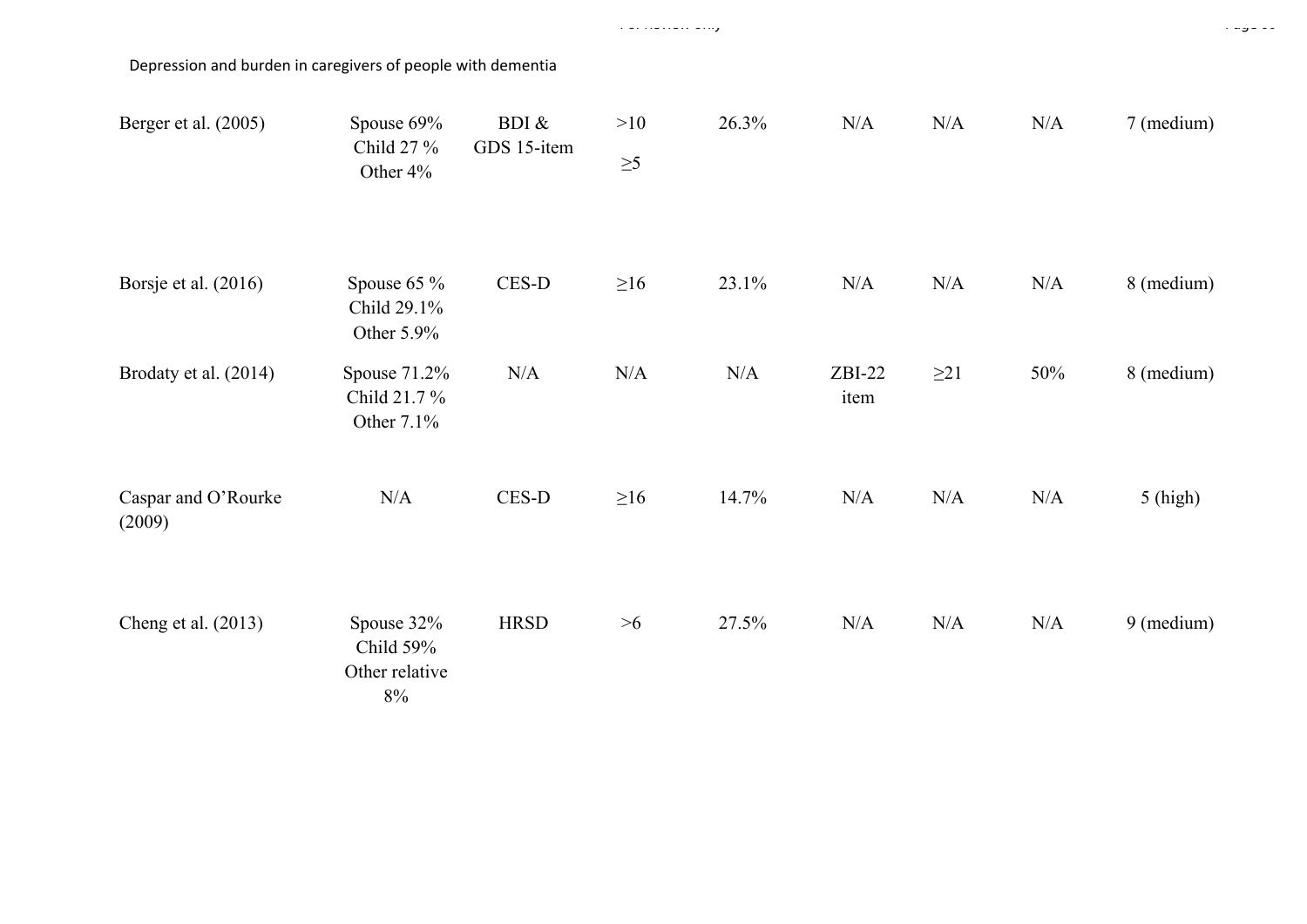| Berger et al. (2005)          | Spouse 69%<br>Child 27 %<br>Other 4%               | BDI $\&$<br>GDS 15-item | >10<br>$\geq 5$ | 26.3% | N/A              | N/A       | N/A | 7 (medium)           |
|-------------------------------|----------------------------------------------------|-------------------------|-----------------|-------|------------------|-----------|-----|----------------------|
| Borsje et al. (2016)          | Spouse $65\%$<br>Child 29.1%<br>Other 5.9%         | $CES-D$                 | $\geq 16$       | 23.1% | $\rm N/A$        | N/A       | N/A | 8 (medium)           |
| Brodaty et al. (2014)         | Spouse 71.2%<br>Child 21.7 %<br>Other 7.1%         | N/A                     | N/A             | N/A   | $ZBI-22$<br>item | $\geq$ 21 | 50% | 8 (medium)           |
| Caspar and O'Rourke<br>(2009) | N/A                                                | CES-D                   | $\geq 16$       | 14.7% | N/A              | N/A       | N/A | $5$ (high)           |
| Cheng et al. (2013)           | Spouse 32%<br>Child 59%<br>Other relative<br>$8\%$ | <b>HRSD</b>             | >6              | 27.5% | N/A              | N/A       | N/A | $9 \text{ (medium)}$ |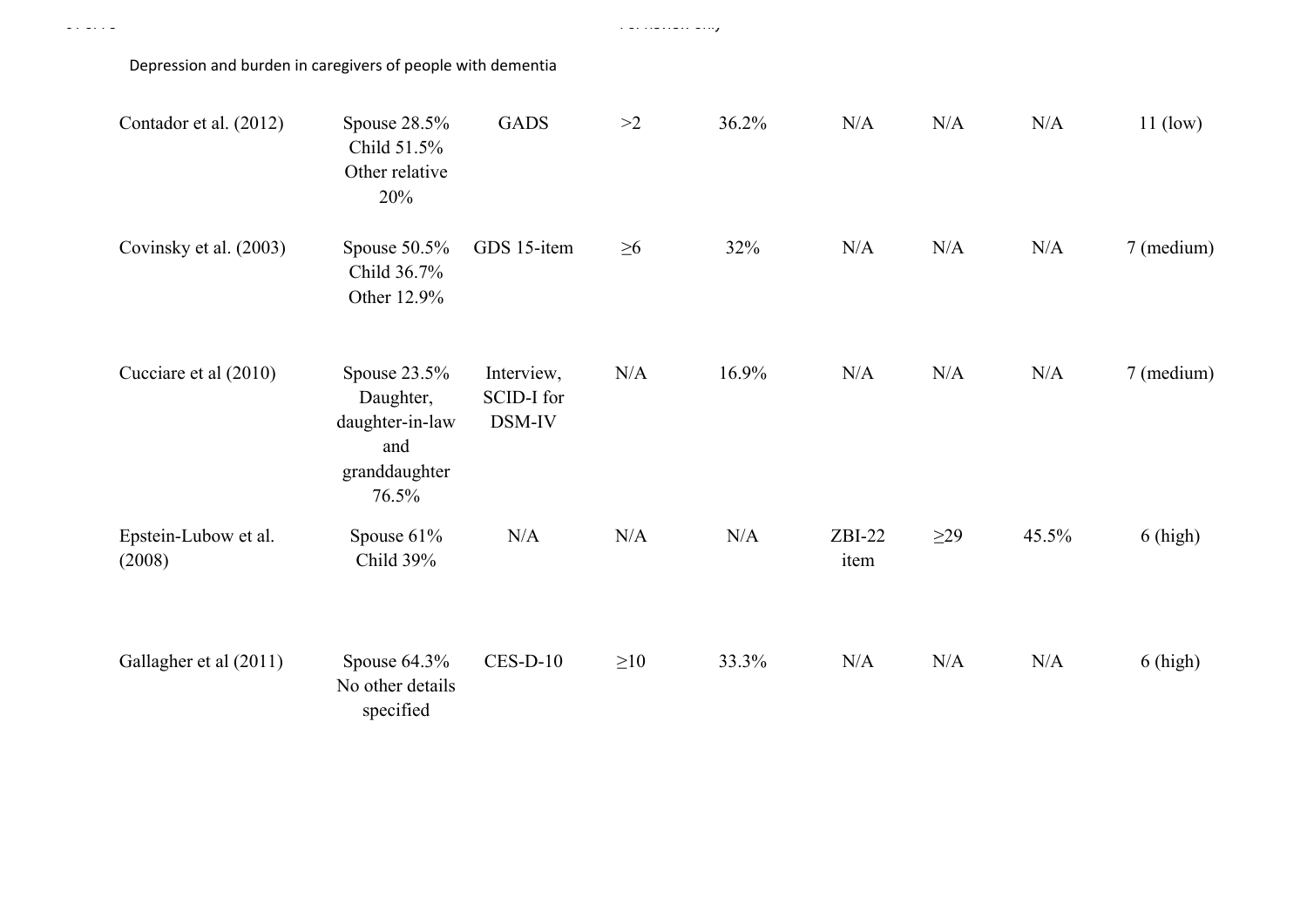| Contador et al. (2012)         | Spouse 28.5%<br>Child 51.5%<br>Other relative<br>20%                            | <b>GADS</b>                        | >2        | 36.2% | N/A              | N/A       | N/A   | $11$ (low) |
|--------------------------------|---------------------------------------------------------------------------------|------------------------------------|-----------|-------|------------------|-----------|-------|------------|
| Covinsky et al. (2003)         | Spouse $50.5\%$<br>Child 36.7%<br>Other 12.9%                                   | GDS 15-item                        | $\geq 6$  | 32%   | N/A              | N/A       | N/A   | 7 (medium) |
| Cucciare et al (2010)          | Spouse $23.5%$<br>Daughter,<br>daughter-in-law<br>and<br>granddaughter<br>76.5% | Interview,<br>SCID-I for<br>DSM-IV | N/A       | 16.9% | N/A              | N/A       | N/A   | 7 (medium) |
| Epstein-Lubow et al.<br>(2008) | Spouse 61%<br>Child 39%                                                         | N/A                                | N/A       | N/A   | $ZBI-22$<br>item | $\geq$ 29 | 45.5% | $6$ (high) |
| Gallagher et al (2011)         | Spouse 64.3%<br>No other details<br>specified                                   | $CES-D-10$                         | $\geq 10$ | 33.3% | N/A              | N/A       | N/A   | $6$ (high) |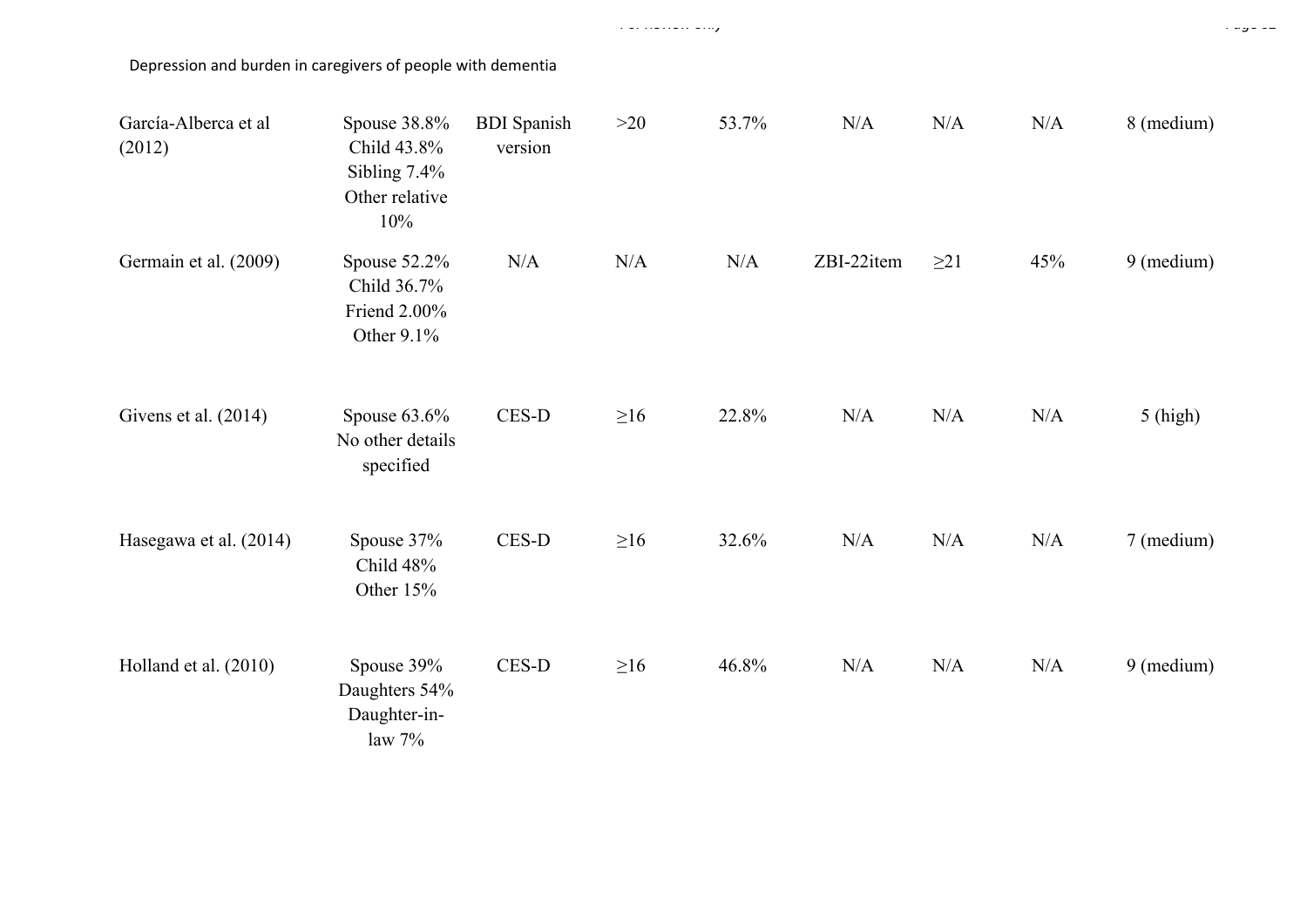| García-Alberca et al<br>(2012) | Spouse 38.8%<br>Child 43.8%<br>Sibling $7.4\%$<br>Other relative<br>10% | <b>BDI</b> Spanish<br>version | >20       | 53.7% | N/A        | N/A       | N/A | 8 (medium) |
|--------------------------------|-------------------------------------------------------------------------|-------------------------------|-----------|-------|------------|-----------|-----|------------|
| Germain et al. (2009)          | Spouse $52.2\%$<br>Child 36.7%<br>Friend 2.00%<br>Other 9.1%            | N/A                           | N/A       | N/A   | ZBI-22item | $\geq$ 21 | 45% | 9 (medium) |
| Givens et al. (2014)           | Spouse $63.6\%$<br>No other details<br>specified                        | $CES-D$                       | $\geq 16$ | 22.8% | N/A        | N/A       | N/A | $5$ (high) |
| Hasegawa et al. (2014)         | Spouse 37%<br>Child 48%<br>Other 15%                                    | $CES-D$                       | $\geq 16$ | 32.6% | N/A        | N/A       | N/A | 7 (medium) |
| Holland et al. (2010)          | Spouse 39%<br>Daughters 54%<br>Daughter-in-<br>law $7%$                 | $CES-D$                       | $\geq 16$ | 46.8% | N/A        | N/A       | N/A | 9 (medium) |

For Review only Page 62 of 78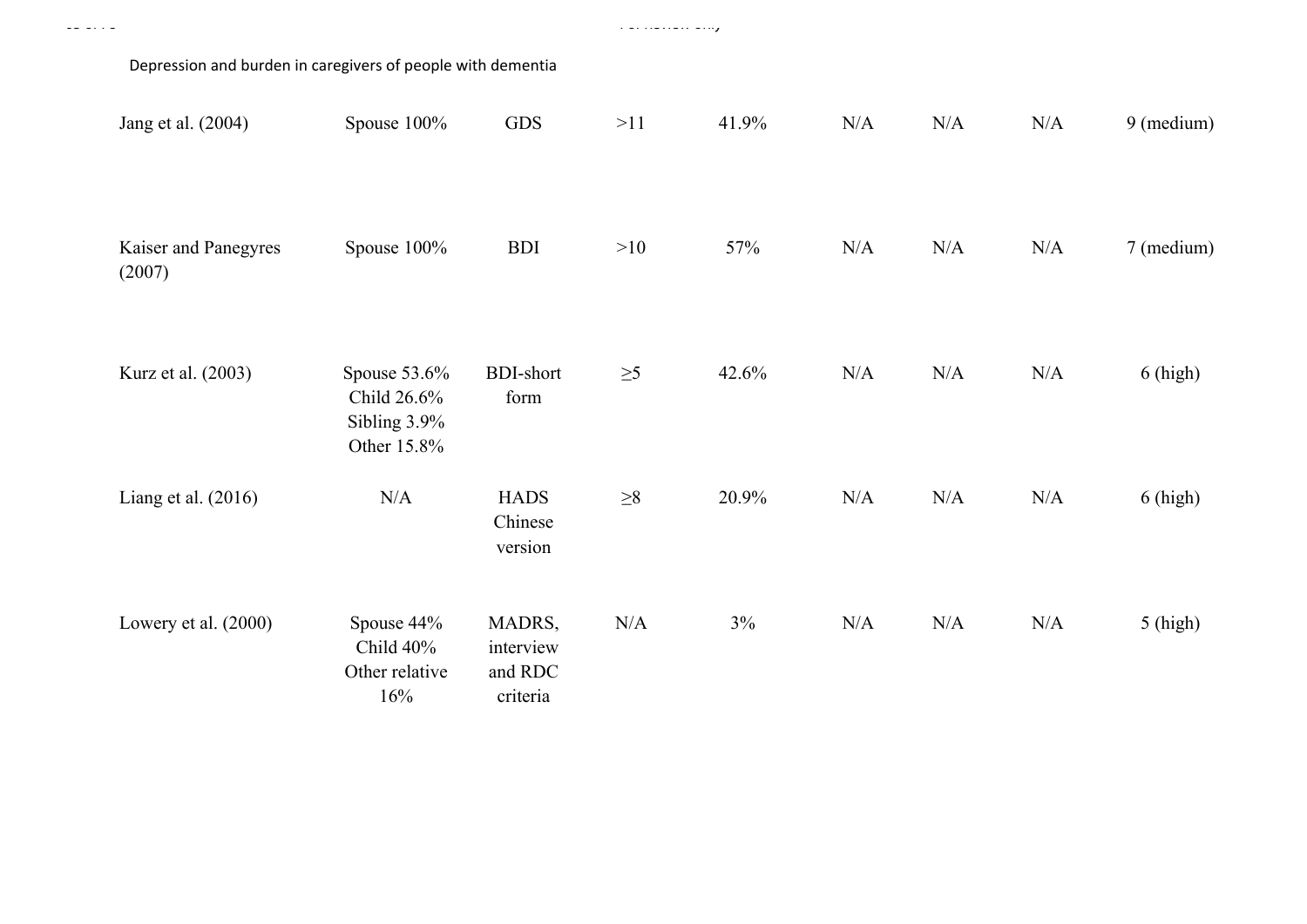| Depression and burden in caregivers of people with dementia |                                                            |                                            |          |       |     |     |     |            |
|-------------------------------------------------------------|------------------------------------------------------------|--------------------------------------------|----------|-------|-----|-----|-----|------------|
| Jang et al. (2004)                                          | Spouse 100%                                                | <b>GDS</b>                                 | >11      | 41.9% | N/A | N/A | N/A | 9 (medium) |
| Kaiser and Panegyres<br>(2007)                              | Spouse 100%                                                | <b>BDI</b>                                 | >10      | 57%   | N/A | N/A | N/A | 7 (medium) |
| Kurz et al. (2003)                                          | Spouse 53.6%<br>Child 26.6%<br>Sibling 3.9%<br>Other 15.8% | <b>BDI-short</b><br>form                   | $\geq 5$ | 42.6% | N/A | N/A | N/A | $6$ (high) |
| Liang et al. $(2016)$                                       | N/A                                                        | <b>HADS</b><br>Chinese<br>version          | $\geq 8$ | 20.9% | N/A | N/A | N/A | $6$ (high) |
| Lowery et al. (2000)                                        | Spouse 44%<br>Child 40%<br>Other relative<br>16%           | MADRS,<br>interview<br>and RDC<br>criteria | N/A      | 3%    | N/A | N/A | N/A | $5$ (high) |

Page 63 of 78 For Review only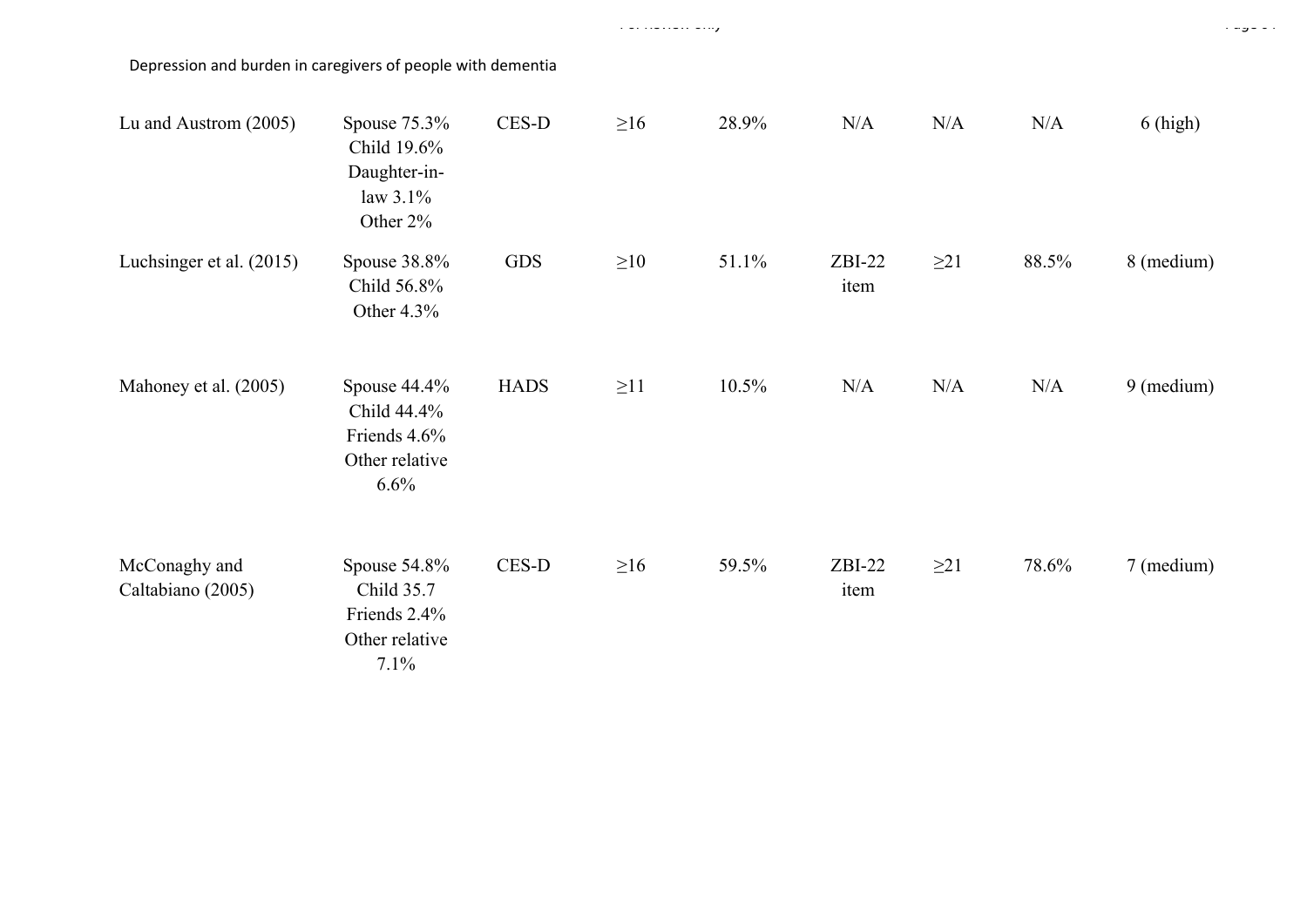| Lu and Austrom (2005)              | Spouse $75.3\%$<br>Child 19.6%<br>Daughter-in-<br>law $3.1\%$<br>Other 2% | CES-D       | $\geq 16$ | 28.9% | N/A              | N/A       | N/A   | $6$ (high)           |
|------------------------------------|---------------------------------------------------------------------------|-------------|-----------|-------|------------------|-----------|-------|----------------------|
| Luchsinger et al. (2015)           | Spouse 38.8%<br>Child 56.8%<br>Other $4.3\%$                              | <b>GDS</b>  | $\geq 10$ | 51.1% | $ZBI-22$<br>item | $\geq$ 21 | 88.5% | 8 (medium)           |
| Mahoney et al. (2005)              | Spouse 44.4%<br>Child 44.4%<br>Friends 4.6%<br>Other relative<br>6.6%     | <b>HADS</b> | $\geq$ 11 | 10.5% | N/A              | N/A       | N/A   | $9 \text{ (medium)}$ |
| McConaghy and<br>Caltabiano (2005) | Spouse 54.8%<br>Child 35.7<br>Friends 2.4%<br>Other relative<br>7.1%      | CES-D       | $\geq 16$ | 59.5% | $ZBI-22$<br>item | $\geq$ 21 | 78.6% | 7 (medium)           |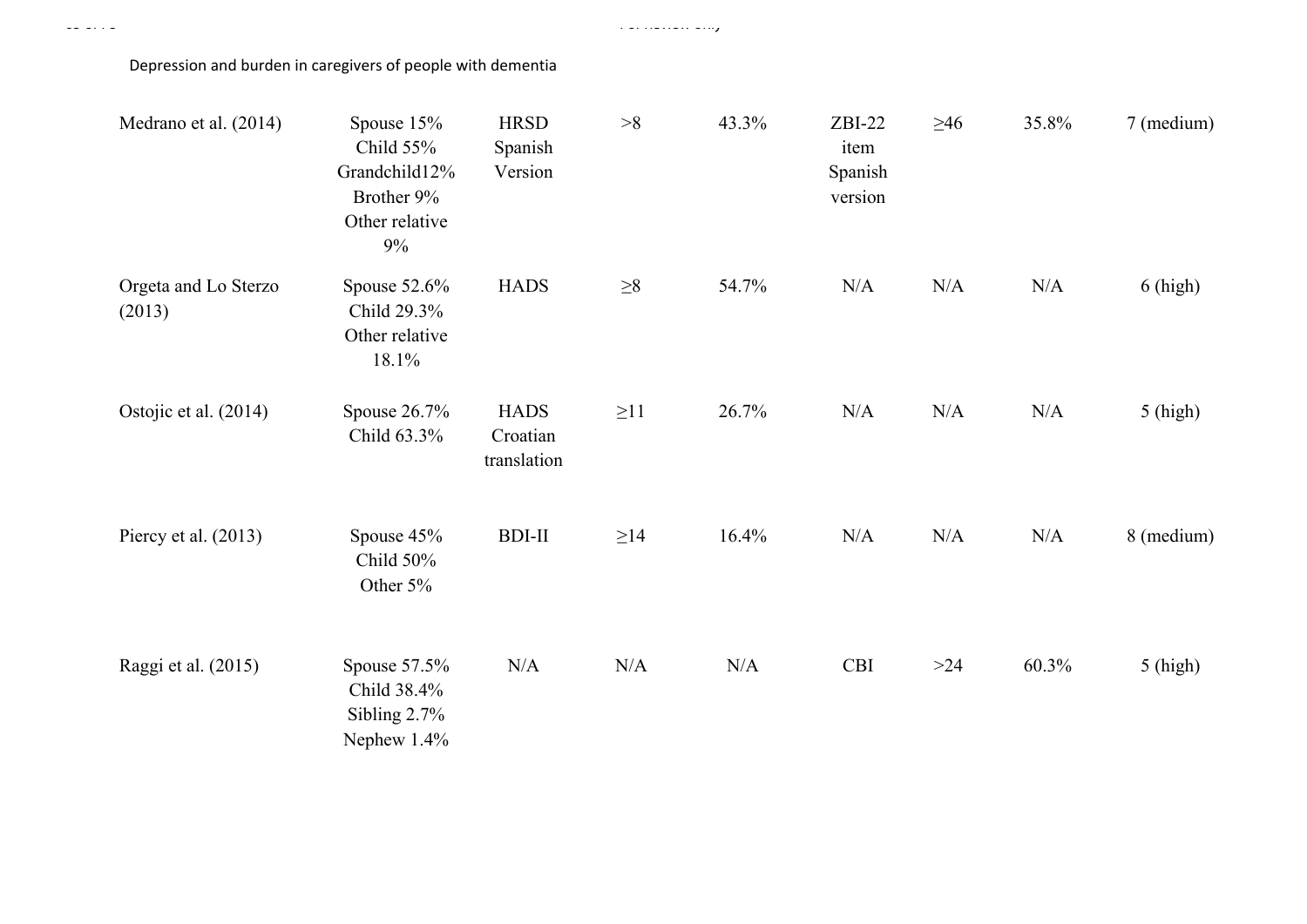Page 65 of 78 For Review only

| Medrano et al. (2014)          | Spouse $15%$<br>Child 55%<br>Grandchild12%<br>Brother 9%<br>Other relative<br>9% | <b>HRSD</b><br>Spanish<br>Version      | $>\!\!8$  | 43.3% | $ZBI-22$<br>item<br>Spanish<br>version | $\geq 46$ | 35.8% | 7 (medium) |
|--------------------------------|----------------------------------------------------------------------------------|----------------------------------------|-----------|-------|----------------------------------------|-----------|-------|------------|
| Orgeta and Lo Sterzo<br>(2013) | Spouse $52.6\%$<br>Child 29.3%<br>Other relative<br>18.1%                        | <b>HADS</b>                            | ${\geq}8$ | 54.7% | N/A                                    | N/A       | N/A   | $6$ (high) |
| Ostojic et al. (2014)          | Spouse $26.7\%$<br>Child 63.3%                                                   | <b>HADS</b><br>Croatian<br>translation | $\geq$ 11 | 26.7% | N/A                                    | N/A       | N/A   | $5$ (high) |
| Piercy et al. $(2013)$         | Spouse 45%<br>Child 50%<br>Other 5%                                              | <b>BDI-II</b>                          | $\geq$ 14 | 16.4% | N/A                                    | N/A       | N/A   | 8 (medium) |
| Raggi et al. (2015)            | Spouse $57.5\%$<br>Child 38.4%<br>Sibling $2.7\%$<br>Nephew 1.4%                 | N/A                                    | N/A       | N/A   | <b>CBI</b>                             | >24       | 60.3% | $5$ (high) |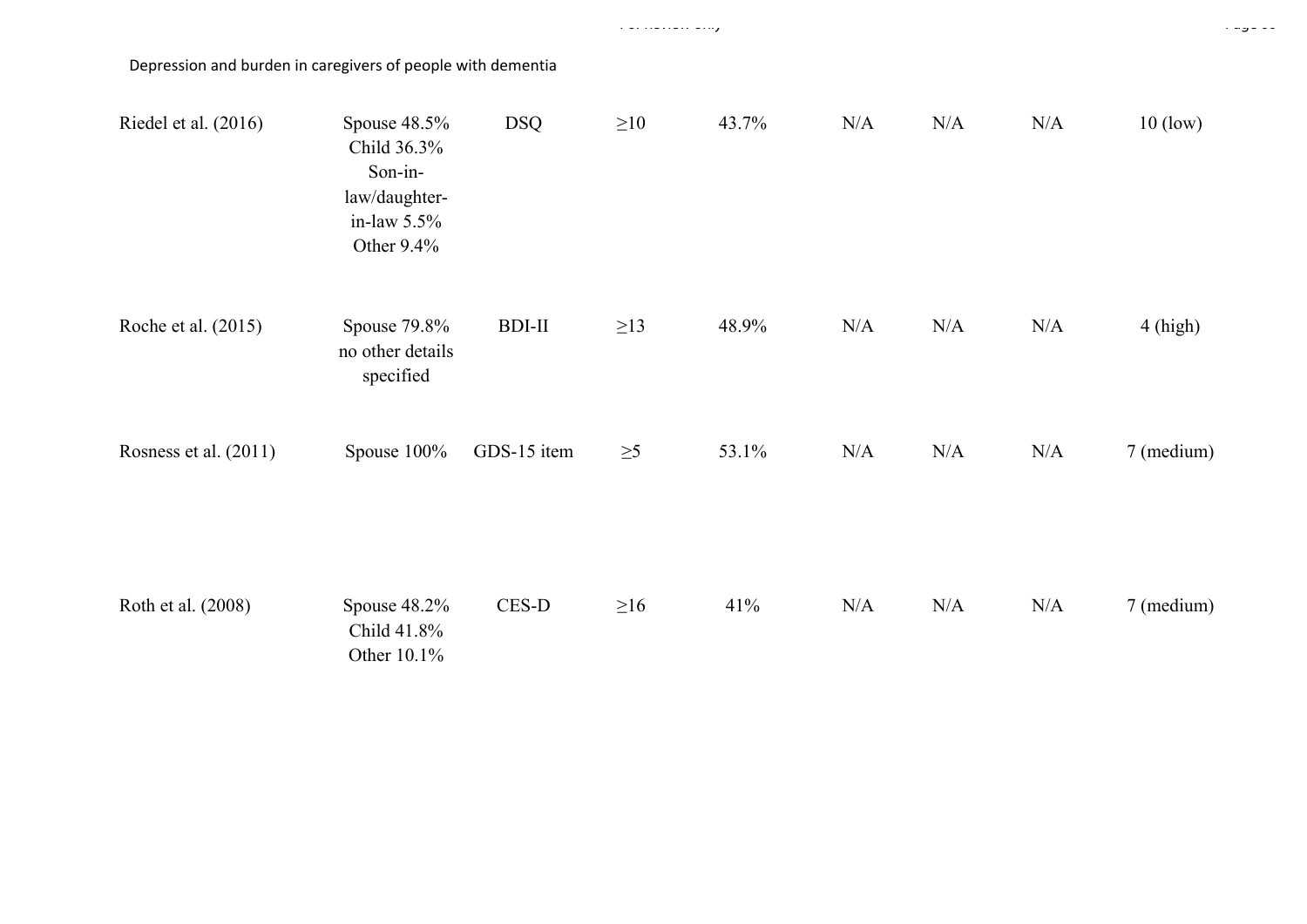| Riedel et al. (2016)  | Spouse 48.5%<br>Child 36.3%<br>Son-in-<br>law/daughter-<br>in-law $5.5\%$<br>Other 9.4% | <b>DSQ</b>    | $\geq 10$ | 43.7% | N/A | N/A | N/A       | $10$ (low) |
|-----------------------|-----------------------------------------------------------------------------------------|---------------|-----------|-------|-----|-----|-----------|------------|
| Roche et al. (2015)   | Spouse 79.8%<br>no other details<br>specified                                           | <b>BDI-II</b> | $\geq$ 13 | 48.9% | N/A | N/A | N/A       | $4$ (high) |
| Rosness et al. (2011) | Spouse 100%                                                                             | GDS-15 item   | $\geq 5$  | 53.1% | N/A | N/A | $\rm N/A$ | 7 (medium) |
| Roth et al. (2008)    | Spouse 48.2%<br>Child 41.8%<br>Other 10.1%                                              | $CES-D$       | $\geq 16$ | 41%   | N/A | N/A | N/A       | 7 (medium) |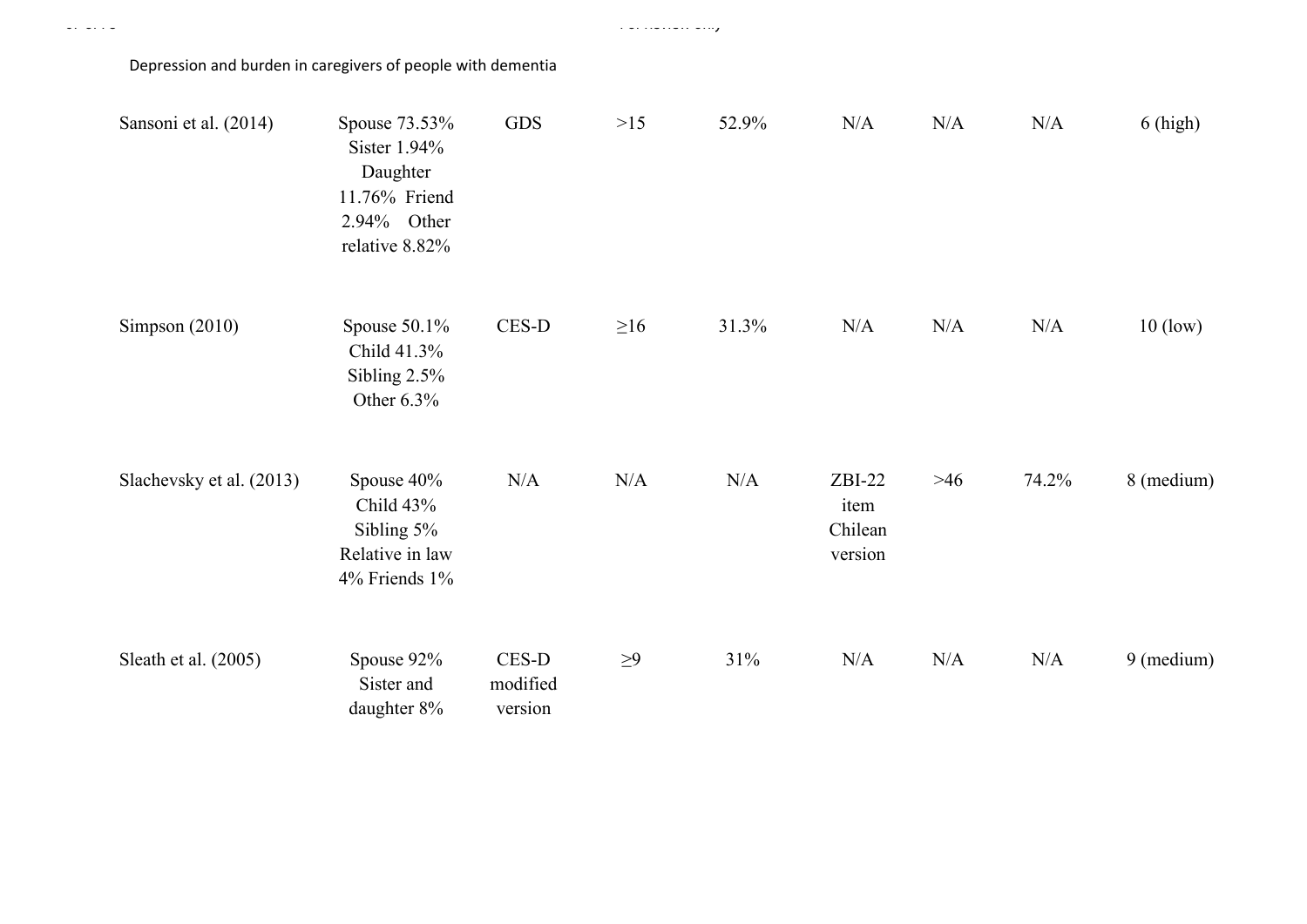Depression and burden in caregivers of people with dementia

| Sansoni et al. (2014)    | Spouse 73.53%<br>Sister 1.94%<br>Daughter<br>11.76% Friend<br>2.94% Other<br>relative 8.82% | <b>GDS</b>                   | >15       | 52.9% | N/A                                    | N/A   | N/A   | $6$ (high) |
|--------------------------|---------------------------------------------------------------------------------------------|------------------------------|-----------|-------|----------------------------------------|-------|-------|------------|
| Simpson $(2010)$         | Spouse $50.1\%$<br>Child 41.3%<br>Sibling $2.5\%$<br>Other 6.3%                             | CES-D                        | $\geq 16$ | 31.3% | N/A                                    | N/A   | N/A   | $10$ (low) |
| Slachevsky et al. (2013) | Spouse 40%<br>Child 43%<br>Sibling 5%<br>Relative in law<br>4% Friends 1%                   | N/A                          | N/A       | N/A   | $ZBI-22$<br>item<br>Chilean<br>version | $>46$ | 74.2% | 8 (medium) |
| Sleath et al. (2005)     | Spouse 92%<br>Sister and<br>daughter 8%                                                     | CES-D<br>modified<br>version | $\geq 9$  | 31%   | N/A                                    | N/A   | N/A   | 9 (medium) |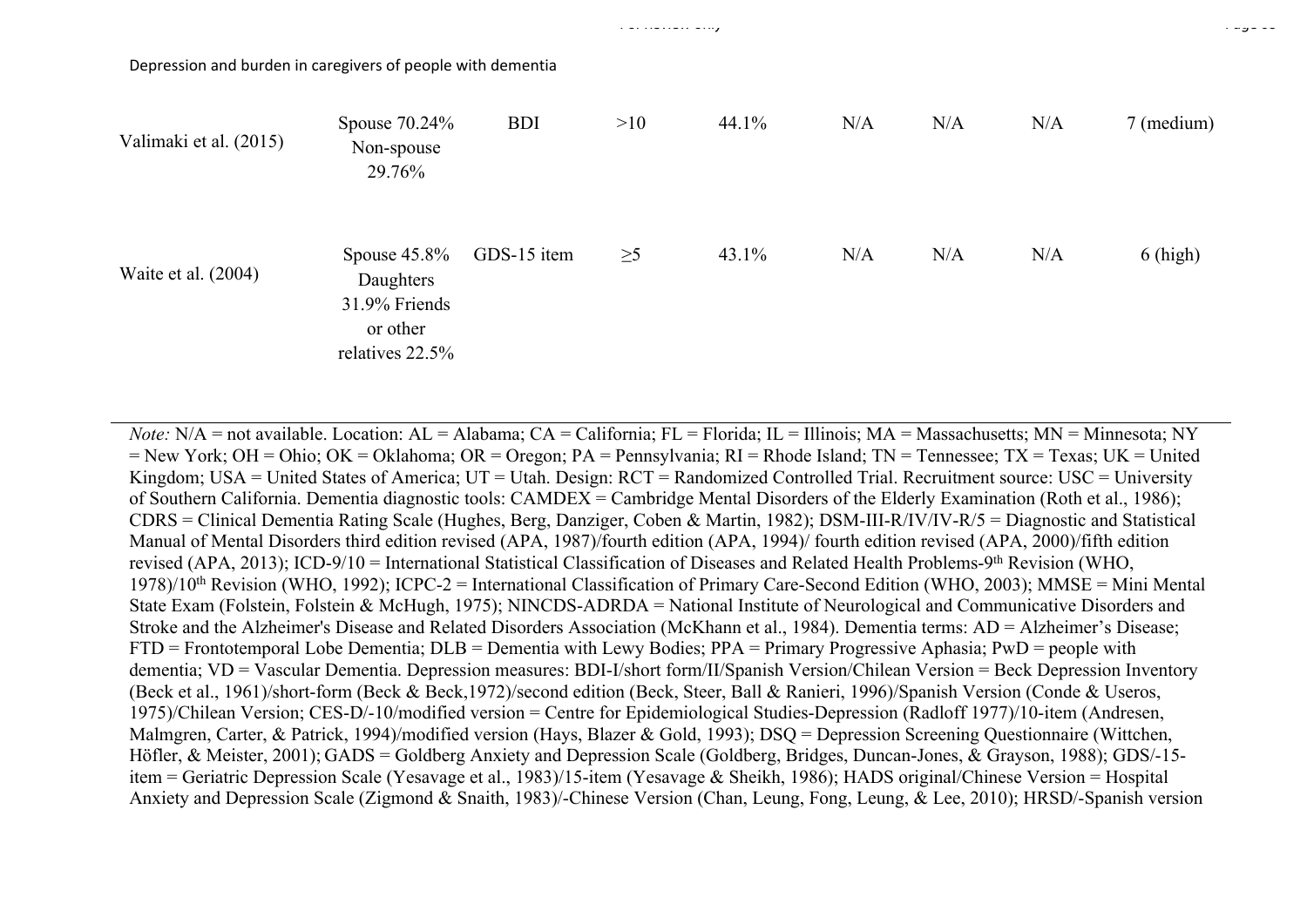Depression and burden in caregivers of people with dementia

| Valimaki et al. (2015) | Spouse $70.24\%$<br>Non-spouse<br>29.76%                                     | <b>BDI</b>  | >10      | 44.1% | N/A | N/A | N/A | 7 (medium) |
|------------------------|------------------------------------------------------------------------------|-------------|----------|-------|-----|-----|-----|------------|
| Waite et al. (2004)    | Spouse $45.8\%$<br>Daughters<br>31.9% Friends<br>or other<br>relatives 22.5% | GDS-15 item | $\geq 5$ | 43.1% | N/A | N/A | N/A | $6$ (high) |

*Note:* N/A = not available. Location: AL = Alabama; CA = California; FL = Florida; IL = Illinois; MA = Massachusetts; MN = Minnesota; NY  $=$  New York; OH = Ohio; OK = Oklahoma; OR = Oregon; PA = Pennsylvania; RI = Rhode Island; TN = Tennessee; TX = Texas; UK = United Kingdom; USA = United States of America; UT = Utah. Design: RCT = Randomized Controlled Trial. Recruitment source: USC = University of Southern California. Dementia diagnostic tools: CAMDEX = Cambridge Mental Disorders of the Elderly Examination (Roth et al., 1986); CDRS = Clinical Dementia Rating Scale (Hughes, Berg, Danziger, Coben & Martin, 1982); DSM-III-R/IV/IV-R/5 = Diagnostic and Statistical Manual of Mental Disorders third edition revised (APA, 1987)/fourth edition (APA, 1994)/ fourth edition revised (APA, 2000)/fifth edition revised (APA, 2013); ICD-9/10 = International Statistical Classification of Diseases and Related Health Problems-9th Revision (WHO, 1978)/10th Revision (WHO, 1992); ICPC-2 = International Classification of Primary Care-Second Edition (WHO, 2003); MMSE = Mini Mental State Exam (Folstein, Folstein & McHugh, 1975); NINCDS-ADRDA = National Institute of Neurological and Communicative Disorders and Stroke and the Alzheimer's Disease and Related Disorders Association (McKhann et al., 1984). Dementia terms: AD = Alzheimer's Disease; FTD = Frontotemporal Lobe Dementia; DLB = Dementia with Lewy Bodies; PPA = Primary Progressive Aphasia; PwD = people with dementia; VD = Vascular Dementia. Depression measures: BDI-I/short form/II/Spanish Version/Chilean Version = Beck Depression Inventory (Beck et al., 1961)/short-form (Beck & Beck,1972)/second edition (Beck, Steer, Ball & Ranieri, 1996)/Spanish Version (Conde & Useros, 1975)/Chilean Version; CES-D/-10/modified version = Centre for Epidemiological Studies-Depression (Radloff 1977)/10-item (Andresen, Malmgren, Carter, & Patrick, 1994)/modified version (Hays, Blazer & Gold, 1993); DSQ = Depression Screening Questionnaire (Wittchen, Höfler, & Meister, 2001); GADS = Goldberg Anxiety and Depression Scale (Goldberg, Bridges, Duncan-Jones, & Grayson, 1988); GDS/-15 item = Geriatric Depression Scale (Yesavage et al., 1983)/15-item (Yesavage & Sheikh, 1986); HADS original/Chinese Version = Hospital Anxiety and Depression Scale (Zigmond & Snaith, 1983)/-Chinese Version (Chan, Leung, Fong, Leung, & Lee, 2010); HRSD/-Spanish version